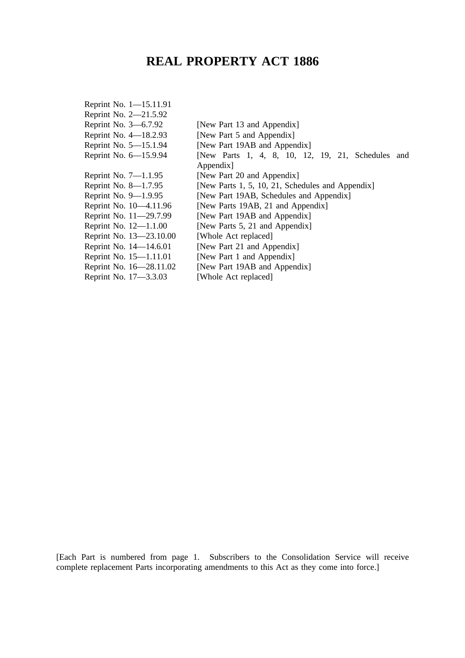# **REAL PROPERTY ACT 1886**

| [New Part 13 and Appendix]                        |  |  |
|---------------------------------------------------|--|--|
| [New Part 5 and Appendix]                         |  |  |
| [New Part 19AB and Appendix]                      |  |  |
| [New Parts 1, 4, 8, 10, 12, 19, 21, Schedules and |  |  |
| Appendix                                          |  |  |
| [New Part 20 and Appendix]                        |  |  |
| [New Parts 1, 5, 10, 21, Schedules and Appendix]  |  |  |
| [New Part 19AB, Schedules and Appendix]           |  |  |
| [New Parts 19AB, 21 and Appendix]                 |  |  |
| [New Part 19AB and Appendix]                      |  |  |
| [New Parts 5, 21 and Appendix]                    |  |  |
| [Whole Act replaced]                              |  |  |
| [New Part 21 and Appendix]                        |  |  |
| [New Part 1 and Appendix]                         |  |  |
| [New Part 19AB and Appendix]                      |  |  |
| [Whole Act replaced]                              |  |  |
|                                                   |  |  |

[Each Part is numbered from page 1. Subscribers to the Consolidation Service will receive complete replacement Parts incorporating amendments to this Act as they come into force.]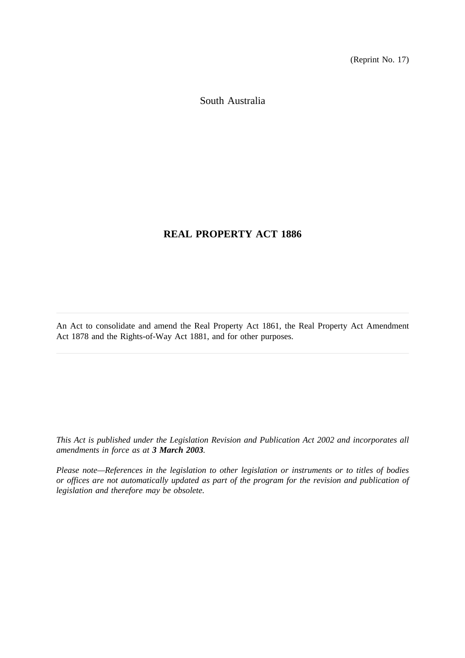(Reprint No. 17)

South Australia

# **REAL PROPERTY ACT 1886**

An Act to consolidate and amend the Real Property Act 1861, the Real Property Act Amendment Act 1878 and the Rights-of-Way Act 1881, and for other purposes.

*This Act is published under the Legislation Revision and Publication Act 2002 and incorporates all amendments in force as at 3 March 2003.*

*Please note—References in the legislation to other legislation or instruments or to titles of bodies or offices are not automatically updated as part of the program for the revision and publication of legislation and therefore may be obsolete.*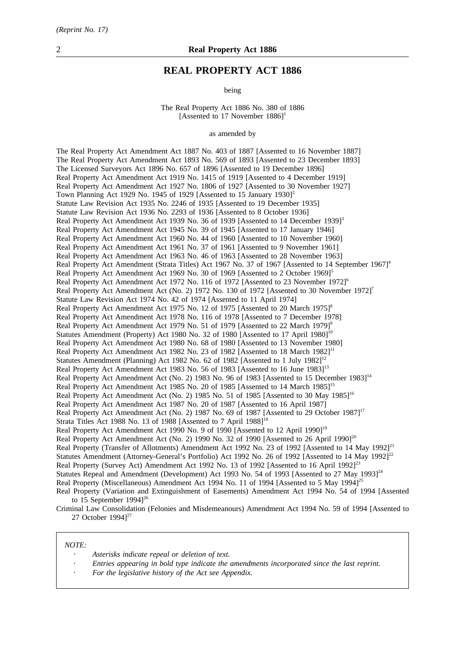### **REAL PROPERTY ACT 1886**

being

The Real Property Act 1886 No. 380 of 1886 [Assented to 17 November  $1886$ ]<sup>1</sup>

as amended by

The Real Property Act Amendment Act 1887 No. 403 of 1887 [Assented to 16 November 1887] The Real Property Act Amendment Act 1893 No. 569 of 1893 [Assented to 23 December 1893] The Licensed Surveyors Act 1896 No. 657 of 1896 [Assented to 19 December 1896] Real Property Act Amendment Act 1919 No. 1415 of 1919 [Assented to 4 December 1919] Real Property Act Amendment Act 1927 No. 1806 of 1927 [Assented to 30 November 1927] Town Planning Act 1929 No. 1945 of 1929 [Assented to 15 January 1930]<sup>2</sup> Statute Law Revision Act 1935 No. 2246 of 1935 [Assented to 19 December 1935] Statute Law Revision Act 1936 No. 2293 of 1936 [Assented to 8 October 1936] Real Property Act Amendment Act 1939 No. 36 of 1939 [Assented to 14 December 1939]<sup>3</sup> Real Property Act Amendment Act 1945 No. 39 of 1945 [Assented to 17 January 1946] Real Property Act Amendment Act 1960 No. 44 of 1960 [Assented to 10 November 1960] Real Property Act Amendment Act 1961 No. 37 of 1961 [Assented to 9 November 1961] Real Property Act Amendment Act 1963 No. 46 of 1963 [Assented to 28 November 1963] Real Property Act Amendment (Strata Titles) Act 1967 No. 37 of 1967 [Assented to 14 September 1967]<sup>4</sup> Real Property Act Amendment Act 1969 No. 30 of 1969 [Assented to 2 October 1969]<sup>5</sup> Real Property Act Amendment Act 1972 No. 116 of 1972 [Assented to 23 November 1972]<sup>6</sup> Real Property Act Amendment Act (No. 2) 1972 No. 130 of 1972 [Assented to 30 November 1972]<sup>7</sup> Statute Law Revision Act 1974 No. 42 of 1974 [Assented to 11 April 1974] Real Property Act Amendment Act 1975 No. 12 of 1975 [Assented to 20 March 1975]<sup>8</sup> Real Property Act Amendment Act 1978 No. 116 of 1978 [Assented to 7 December 1978] Real Property Act Amendment Act 1979 No. 51 of 1979 [Assented to 22 March 1979]<sup>9</sup> Statutes Amendment (Property) Act 1980 No. 32 of 1980 [Assented to 17 April 1980]<sup>10</sup> Real Property Act Amendment Act 1980 No. 68 of 1980 [Assented to 13 November 1980] Real Property Act Amendment Act 1982 No. 23 of 1982 [Assented to 18 March 1982]<sup>11</sup> Statutes Amendment (Planning) Act 1982 No. 62 of 1982 [Assented to 1 July 1982]<sup>12</sup> Real Property Act Amendment Act 1983 No. 56 of 1983 [Assented to 16 June 1983]<sup>13</sup> Real Property Act Amendment Act (No. 2) 1983 No. 96 of 1983 [Assented to 15 December 1983]<sup>14</sup> Real Property Act Amendment Act 1985 No. 20 of 1985 [Assented to 14 March 1985]<sup>15</sup> Real Property Act Amendment Act (No. 2) 1985 No. 51 of 1985 [Assented to 30 May 1985]<sup>16</sup> Real Property Act Amendment Act 1987 No. 20 of 1987 [Assented to 16 April 1987] Real Property Act Amendment Act (No. 2) 1987 No. 69 of 1987 [Assented to 29 October 1987]<sup>17</sup> Strata Titles Act 1988 No. 13 of 1988 [Assented to 7 April 1988]<sup>18</sup> Real Property Act Amendment Act 1990 No. 9 of 1990 [Assented to 12 April 1990]<sup>19</sup> Real Property Act Amendment Act (No. 2) 1990 No. 32 of 1990 [Assented to 26 April 1990]<sup>20</sup> Real Property (Transfer of Allotments) Amendment Act 1992 No. 23 of 1992 [Assented to 14 May 1992]<sup>21</sup> Statutes Amendment (Attorney-General's Portfolio) Act 1992 No. 26 of 1992 [Assented to 14 May 1992]<sup>22</sup> Real Property (Survey Act) Amendment Act 1992 No. 13 of 1992 [Assented to 16 April 1992]<sup>23</sup> Statutes Repeal and Amendment (Development) Act 1993 No. 54 of 1993 [Assented to 27 May 1993]<sup>24</sup> Real Property (Miscellaneous) Amendment Act 1994 No. 11 of 1994 [Assented to 5 May 1994]<sup>25</sup> Real Property (Variation and Extinguishment of Easements) Amendment Act 1994 No. 54 of 1994 [Assented to 15 September 1994]<sup>26</sup>

Criminal Law Consolidation (Felonies and Misdemeanours) Amendment Act 1994 No. 59 of 1994 [Assented to 27 October 1994]<sup>27</sup>

#### *NOTE:*

- *Asterisks indicate repeal or deletion of text.*
- *Entries appearing in bold type indicate the amendments incorporated since the last reprint.*
- *For the legislative history of the Act see Appendix.*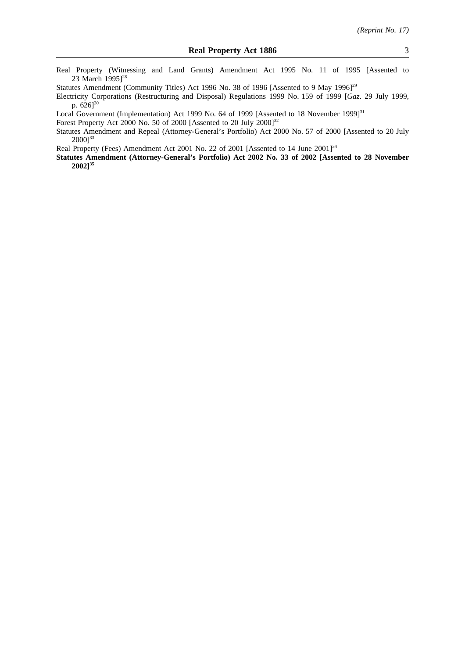- Real Property (Witnessing and Land Grants) Amendment Act 1995 No. 11 of 1995 [Assented to 23 March 1995<sup>128</sup>
- Statutes Amendment (Community Titles) Act 1996 No. 38 of 1996 [Assented to 9 May 1996]<sup>29</sup>
- Electricity Corporations (Restructuring and Disposal) Regulations 1999 No. 159 of 1999 [*Gaz*. 29 July 1999, p.  $626]^{30}$
- Local Government (Implementation) Act 1999 No. 64 of 1999 [Assented to 18 November 1999]<sup>31</sup>
- Forest Property Act 2000 No. 50 of 2000 [Assented to 20 July 2000]<sup>32</sup>
- Statutes Amendment and Repeal (Attorney-General's Portfolio) Act 2000 No. 57 of 2000 [Assented to 20 July  $2000]^{33}$

Real Property (Fees) Amendment Act 2001 No. 22 of 2001 [Assented to 14 June 2001]<sup>34</sup>

**Statutes Amendment (Attorney-General's Portfolio) Act 2002 No. 33 of 2002 [Assented to 28 November 2002]35**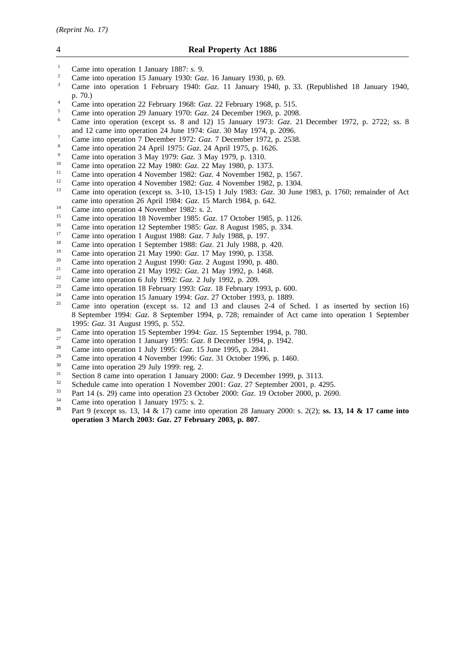- $\frac{1}{2}$  Came into operation 1 January 1887: s. 9.
- <sup>2</sup> Came into operation 15 January 1930: *Gaz*. 16 January 1930, p. 69.
- <sup>3</sup> Came into operation 1 February 1940: *Gaz*. 11 January 1940, p. 33. (Republished 18 January 1940, p. 70.)
- <sup>4</sup> Came into operation 22 February 1968: *Gaz*. 22 February 1968, p. 515.
- <sup>5</sup> Came into operation 29 January 1970: *Gaz*. 24 December 1969, p. 2098.
- <sup>6</sup> Came into operation (except ss. 8 and 12) 15 January 1973: *Gaz*. 21 December 1972, p. 2722; ss. 8 and 12 came into operation 24 June 1974: *Gaz*. 30 May 1974, p. 2096.
- <sup>7</sup> Came into operation 7 December 1972: *Gaz.* 7 December 1972, p. 2538.
- <sup>8</sup> Came into operation 24 April 1975: *Gaz*. 24 April 1975, p. 1626.
- <sup>9</sup> Came into operation 3 May 1979: *Gaz*. 3 May 1979, p. 1310.
- <sup>10</sup> Came into operation 22 May 1980: *Gaz*. 22 May 1980, p. 1373.
- <sup>11</sup> Came into operation 4 November 1982: *Gaz.* 4 November 1982, p. 1567.<br><sup>12</sup> Came into operation 4 November 1982: *Gaz.* 4 November 1982, p. 1394.
- <sup>12</sup> Came into operation 4 November 1982: *Gaz.* 4 November 1982, p. 1304.<br><sup>13</sup> Came into operation (over t.g. <sup>2</sup>, 10, 13, 15), 1 July 1982: *Caz.* <sup>20</sup> June
- <sup>13</sup> Came into operation (except ss. 3-10, 13-15) 1 July 1983: *Gaz*. 30 June 1983, p. 1760; remainder of Act came into operation 26 April 1984: *Gaz*. 15 March 1984, p. 642.
- <sup>14</sup> Came into operation 4 November 1982: s. 2.<br> $\frac{15}{2}$
- <sup>15</sup> Came into operation 18 November 1985: *Gaz*. 17 October 1985, p. 1126.
- <sup>16</sup> Came into operation 12 September 1985: *Gaz*. 8 August 1985, p. 334.
- <sup>17</sup> Came into operation 1 August 1988: *Gaz*. 7 July 1988, p. 197.
- <sup>18</sup> Came into operation 1 September 1988: *Gaz*. 21 July 1988, p. 420.
- <sup>19</sup> Came into operation 21 May 1990: *Gaz*. 17 May 1990, p. 1358.
- <sup>20</sup> Came into operation 2 August 1990: *Gaz*. 2 August 1990, p. 480.
- <sup>21</sup> Came into operation 21 May 1992: *Gaz*. 21 May 1992, p. 1468.
- <sup>22</sup> Came into operation 6 July 1992: *Gaz*. 2 July 1992, p. 209.
- <sup>23</sup> Came into operation 18 February 1993: *Gaz*. 18 February 1993, p. 600.
- <sup>24</sup> Came into operation 15 January 1994: *Gaz*. 27 October 1993, p. 1889.
- <sup>25</sup> Came into operation (except ss. 12 and 13 and clauses 2-4 of Sched. 1 as inserted by section 16) 8 September 1994: *Gaz*. 8 September 1994, p. 728; remainder of Act came into operation 1 September 1995: *Gaz*. 31 August 1995, p. 552.
- <sup>26</sup> Came into operation 15 September 1994: *Gaz*. 15 September 1994, p. 780.
- <sup>27</sup> Came into operation 1 January 1995: *Gaz*. 8 December 1994, p. 1942.
- <sup>28</sup> Came into operation 1 July 1995: *Gaz*. 15 June 1995, p. 2841.
- <sup>29</sup> Came into operation 4 November 1996: *Gaz*. 31 October 1996, p. 1460.<br> *Come into operation* 20 July 1000; res. 2.
- $\frac{30}{11}$  Came into operation 29 July 1999: reg. 2.
- <sup>31</sup> Section 8 came into operation 1 January 2000: *Gaz*. 9 December 1999, p. 3113.
- $\frac{32}{2}$  Schedule came into operation 1 November 2001: *Gaz*. 27 September 2001, p. 4295.
- <sup>33</sup> Part 14 (s. 29) came into operation 23 October 2000: *Gaz*. 19 October 2000, p. 2690.
- $\frac{34}{35}$  Came into operation 1 January 1975: s. 2.
- **<sup>35</sup>** Part 9 (except ss. 13, 14 & 17) came into operation 28 January 2000: s. 2(2); **ss. 13, 14 & 17 came into operation 3 March 2003:** *Gaz***. 27 February 2003, p. 807**.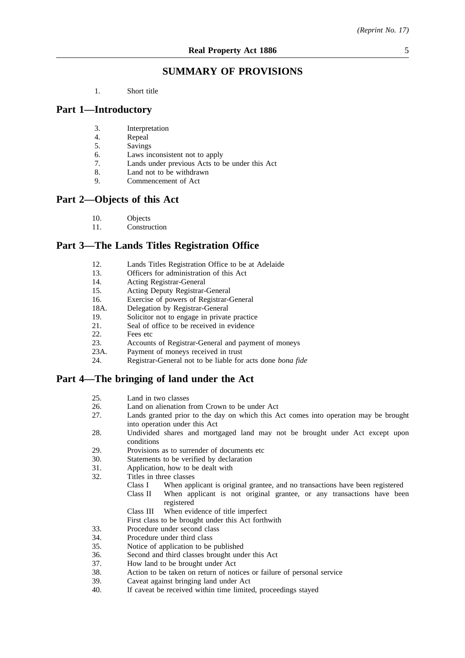# **SUMMARY OF PROVISIONS**

1. Short title

# **Part 1—Introductory**

- 3. Interpretation
- 4. Repeal
- 5. Savings
- 6. Laws inconsistent not to apply<br>7. Lands under previous Acts to 1
- 7. Lands under previous Acts to be under this Act 8. Land not to be withdrawn
- 8. Land not to be withdrawn<br>9. Commencement of Act
- Commencement of Act

# **Part 2—Objects of this Act**

- 10. Objects<br>11. Constru
- Construction

# **Part 3—The Lands Titles Registration Office**

- 12. Lands Titles Registration Office to be at Adelaide
- 13. Officers for administration of this Act
- 14. Acting Registrar-General<br>15. Acting Deputy Registrar-
- Acting Deputy Registrar-General
- 16. Exercise of powers of Registrar-General<br>18A. Delegation by Registrar-General
- 18A. Delegation by Registrar-General<br>19 Solicitor not to engage in private
- 19. Solicitor not to engage in private practice<br>21 Seal of office to be received in evidence
- Seal of office to be received in evidence
- 22. Fees etc
- 23. Accounts of Registrar-General and payment of moneys<br>23A. Payment of moneys received in trust
- Payment of moneys received in trust
- 24. Registrar-General not to be liable for acts done *bona fide*

Land on alienation from Crown to be under Act

# **Part 4—The bringing of land under the Act**

25. Land in two classes<br>26. Land on alienation f

| 27. | Lands granted prior to the day on which this Act comes into operation may be brought<br>into operation under this Act |  |  |  |
|-----|-----------------------------------------------------------------------------------------------------------------------|--|--|--|
| 28. | Undivided shares and mortgaged land may not be brought under Act except upon<br>conditions                            |  |  |  |
| 29. | Provisions as to surrender of documents etc.                                                                          |  |  |  |
| 30. | Statements to be verified by declaration                                                                              |  |  |  |
| 31. | Application, how to be dealt with                                                                                     |  |  |  |
| 32. | Titles in three classes                                                                                               |  |  |  |
|     | When applicant is original grantee, and no transactions have been registered<br>Class I                               |  |  |  |
|     | Class II When applicant is not original grantee, or any transactions have been                                        |  |  |  |
|     | registered                                                                                                            |  |  |  |
|     | Class III When evidence of title imperfect                                                                            |  |  |  |
|     | First class to be brought under this Act forthwith                                                                    |  |  |  |
| 33. | Procedure under second class                                                                                          |  |  |  |
| 34. | Procedure under third class                                                                                           |  |  |  |
| 35. | Notice of application to be published                                                                                 |  |  |  |
| 36. | Second and third classes brought under this Act                                                                       |  |  |  |
| 37. | How land to be brought under Act                                                                                      |  |  |  |
| 38. | Action to be taken on return of notices or failure of personal service                                                |  |  |  |
| 39. | Caveat against bringing land under Act                                                                                |  |  |  |
|     |                                                                                                                       |  |  |  |

40. If caveat be received within time limited, proceedings stayed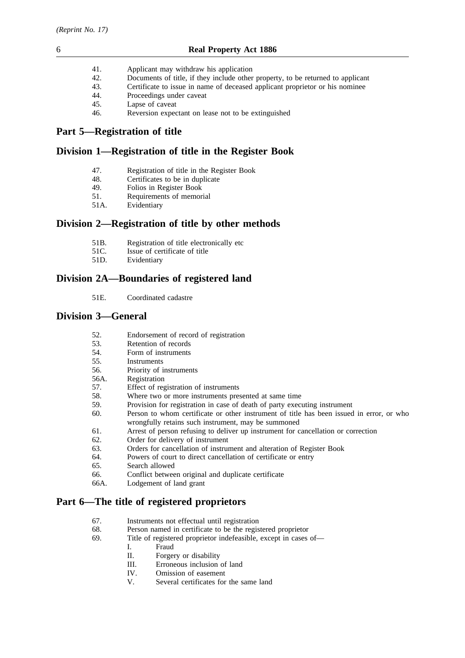- 41. Applicant may withdraw his application
- 42. Documents of title, if they include other property, to be returned to applicant 43. Certificate to issue in name of deceased applicant proprietor or his nominee
- 43. Certificate to issue in name of deceased applicant proprietor or his nominee
- 44. Proceedings under caveat<br>45. Lanse of caveat
- Lapse of caveat
- 46. Reversion expectant on lease not to be extinguished

# **Part 5—Registration of title**

# **Division 1—Registration of title in the Register Book**

- 47. Registration of title in the Register Book
- 48. Certificates to be in duplicate
- 49. Folios in Register Book
- 51. Requirements of memorial<br>51A. Evidentiary
- Evidentiary

# **Division 2—Registration of title by other methods**

- 51B. Registration of title electronically etc 51C. Issue of certificate of title
- 51C. Issue of certificate of title<br>51D. Evidentiary
- Evidentiary

# **Division 2A—Boundaries of registered land**

51E. Coordinated cadastre

# **Division 3—General**

- 52. Endorsement of record of registration
- 53. Retention of records
- 54. Form of instruments
- 55. Instruments
- 56. Priority of instruments
- 56A. Registration
- 57. Effect of registration of instruments
- 58. Where two or more instruments presented at same time<br>59. Provision for registration in case of death of party executed
- Provision for registration in case of death of party executing instrument
- 60. Person to whom certificate or other instrument of title has been issued in error, or who wrongfully retains such instrument, may be summoned
- 61. Arrest of person refusing to deliver up instrument for cancellation or correction
- 62. Order for delivery of instrument
- 63. Orders for cancellation of instrument and alteration of Register Book
- 64. Powers of court to direct cancellation of certificate or entry
- Search allowed
- 66. Conflict between original and duplicate certificate
- Lodgement of land grant

# **Part 6—The title of registered proprietors**

- 67. Instruments not effectual until registration
- 68. Person named in certificate to be the registered proprietor
- 69. Title of registered proprietor indefeasible, except in cases of—
	- I. Fraud
	- II. Forgery or disability
	- III. Erroneous inclusion of land
	- IV. Omission of easement<br>V. Several certificates for
	- Several certificates for the same land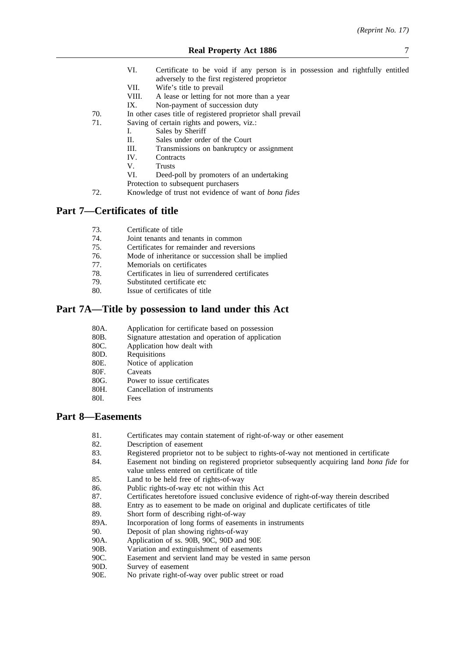- VI. Certificate to be void if any person is in possession and rightfully entitled adversely to the first registered proprietor
- VII. Wife's title to prevail
- VIII. A lease or letting for not more than a year
- IX. Non-payment of succession duty
- 70. In other cases title of registered proprietor shall prevail
- 71. Saving of certain rights and powers, viz.:
	- I. Sales by Sheriff
	- II. Sales under order of the Court
	- III. Transmissions on bankruptcy or assignment
	- IV. Contracts
	- V. Trusts
	- VI. Deed-poll by promoters of an undertaking
	- Protection to subsequent purchasers
- 72. Knowledge of trust not evidence of want of *bona fides*

# **Part 7—Certificates of title**

- 73. Certificate of title
- 74. Joint tenants and tenants in common
- 75. Certificates for remainder and reversions
- 76. Mode of inheritance or succession shall be implied
- 77. Memorials on certificates
- 78. Certificates in lieu of surrendered certificates
- 79. Substituted certificate etc
- 80. Issue of certificates of title

# **Part 7A—Title by possession to land under this Act**

- 80A. Application for certificate based on possession
- 80B. Signature attestation and operation of application 80C. Application how dealt with
- 80C. Application how dealt with<br>80D. Requisitions
- 80D. Requisitions<br>80E. Notice of ap
- 80E. Notice of application<br>80F. Caveats
- **Caveats**
- 80G. Power to issue certificates
- 80H. Cancellation of instruments
- 80I. Fees

# **Part 8—Easements**

- 81. Certificates may contain statement of right-of-way or other easement
- 82. Description of easement<br>83 Registered proprietor not
- 83. Registered proprietor not to be subject to rights-of-way not mentioned in certificate<br>84 Easement not binding on registered proprietor subsequently acquiring land hong fi
- Easement not binding on registered proprietor subsequently acquiring land *bona fide* for value unless entered on certificate of title
- 85. Land to be held free of rights-of-way
- 86. Public rights-of-way etc not within this Act
- 87. Certificates heretofore issued conclusive evidence of right-of-way therein described
- 88. Entry as to easement to be made on original and duplicate certificates of title
- 89. Short form of describing right-of-way
- 89A. Incorporation of long forms of easements in instruments
- 90. Deposit of plan showing rights-of-way
- 90A. Application of ss. 90B, 90C, 90D and 90E
- 90B. Variation and extinguishment of easements
- 90C. Easement and servient land may be vested in same person
- 90D. Survey of easement
- 90E. No private right-of-way over public street or road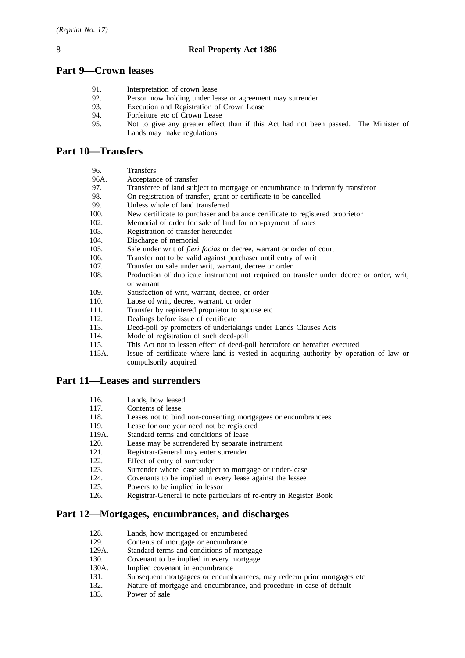# **Part 9—Crown leases**

- 91. Interpretation of crown lease
- 92. Person now holding under lease or agreement may surrender<br>93. Execution and Registration of Crown Lease
- 93. Execution and Registration of Crown Lease<br>94. Eorfeiture etc of Crown Lease
- 94. Forfeiture etc of Crown Lease<br>95. Not to give any greater effec
- Not to give any greater effect than if this Act had not been passed. The Minister of Lands may make regulations

# **Part 10—Transfers**

| 96. | Transfers |
|-----|-----------|
|     |           |

- 96A. Acceptance of transfer
- 97. Transferee of land subject to mortgage or encumbrance to indemnify transferor
- 98. On registration of transfer, grant or certificate to be cancelled
- 99. Unless whole of land transferred<br>100. New certificate to purchaser and
- 100. New certificate to purchaser and balance certificate to registered proprietor 102. Memorial of order for sale of land for non-payment of rates
- 102. Memorial of order for sale of land for non-payment of rates<br>103. Registration of transfer hereunder
- 103. Registration of transfer hereunder<br>104. Discharge of memorial
- 104. Discharge of memorial<br>105. Sale under writ of *fieri*
- Sale under writ of *fieri facias* or decree, warrant or order of court
- 106. Transfer not to be valid against purchaser until entry of writ
- 107. Transfer on sale under writ, warrant, decree or order
- 108. Production of duplicate instrument not required on transfer under decree or order, writ, or warrant
- 109. Satisfaction of writ, warrant, decree, or order
- 110. Lapse of writ, decree, warrant, or order
- 111. Transfer by registered proprietor to spouse etc
- 112. Dealings before issue of certificate
- 113. Deed-poll by promoters of undertakings under Lands Clauses Acts
- 114. Mode of registration of such deed-poll
- 115. This Act not to lessen effect of deed-poll heretofore or hereafter executed
- 115A. Issue of certificate where land is vested in acquiring authority by operation of law or compulsorily acquired

# **Part 11—Leases and surrenders**

- 116. Lands, how leased
- 117. Contents of lease<br>118. Leases not to bin
- 118. Leases not to bind non-consenting mortgagees or encumbrancees<br>119. Lease for one year need not be registered
- 119. Lease for one year need not be registered<br>119A. Standard terms and conditions of lease
- Standard terms and conditions of lease
- 120. Lease may be surrendered by separate instrument
- 121. Registrar-General may enter surrender
- 122. Effect of entry of surrender
- 123. Surrender where lease subject to mortgage or under-lease
- 124. Covenants to be implied in every lease against the lessee
- 125. Powers to be implied in lessor
- 126. Registrar-General to note particulars of re-entry in Register Book

# **Part 12—Mortgages, encumbrances, and discharges**

- 128. Lands, how mortgaged or encumbered<br>129. Contents of mortgage or encumbrance
- Contents of mortgage or encumbrance
- 129A. Standard terms and conditions of mortgage
- 130. Covenant to be implied in every mortgage
- 130A. Implied covenant in encumbrance
- 131. Subsequent mortgagees or encumbrancees, may redeem prior mortgages etc
- 132. Nature of mortgage and encumbrance, and procedure in case of default
- 133. Power of sale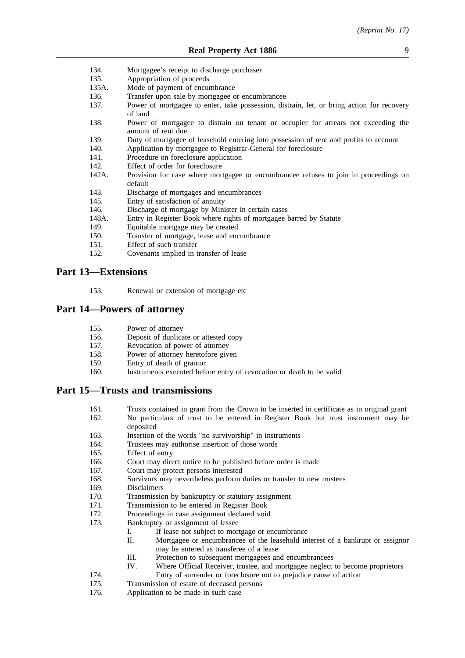- 134. Mortgagee's receipt to discharge purchaser
- 135. Appropriation of proceeds
- 135A. Mode of payment of encumbrance
- 136. Transfer upon sale by mortgagee or encumbrancee
- 137. Power of mortgagee to enter, take possession, distrain, let, or bring action for recovery of land
- 138. Power of mortgagee to distrain on tenant or occupier for arrears not exceeding the amount of rent due
- 139. Duty of mortgagee of leasehold entering into possession of rent and profits to account
- 140. Application by mortgagee to Registrar-General for foreclosure
- 141. Procedure on foreclosure application
- 142. Effect of order for foreclosure
- 142A. Provision for case where mortgagee or encumbrancee refuses to join in proceedings on default
- 143. Discharge of mortgages and encumbrances<br>145. Entry of satisfaction of annuity
- 145. Entry of satisfaction of annuity<br>146. Discharge of mortgage by Mini
- 146. Discharge of mortgage by Minister in certain cases<br>148A. Entry in Register Book where rights of mortgagee b
- 148A. Entry in Register Book where rights of mortgagee barred by Statute 149. Equitable mortgage may be created
- Equitable mortgage may be created
- 150. Transfer of mortgage, lease and encumbrance
- 151. Effect of such transfer
- 152. Covenants implied in transfer of lease

# **Part 13—Extensions**

153. Renewal or extension of mortgage etc

### **Part 14—Powers of attorney**

- 155. Power of attorney<br>156. Deposit of duplica
- 156. Deposit of duplicate or attested copy<br>157. Revocation of nower of attorney
- 157. Revocation of power of attorney<br>158. Power of attorney heretofore give
- 158. Power of attorney heretofore given<br>159. Entry of death of grantor
- 159. Entry of death of grantor<br>160 Instruments executed before
- Instruments executed before entry of revocation or death to be valid

# **Part 15—Trusts and transmissions**

- 161. Trusts contained in grant from the Crown to be inserted in certificate as in original grant
- 162. No particulars of trust to be entered in Register Book but trust instrument may be deposited
- 163. Insertion of the words "no survivorship" in instruments
- 164. Trustees may authorise insertion of those words<br>165 Effect of entry
- Effect of entry
- 166. Court may direct notice to be published before order is made
- 167. Court may protect persons interested
- 168. Survivors may nevertheless perform duties or transfer to new trustees
- 169. Disclaimers
- 170. Transmission by bankruptcy or statutory assignment
- 171. Transmission to be entered in Register Book
- 172. Proceedings in case assignment declared void
- 173. Bankruptcy or assignment of lessee
	- I. If lease not subject to mortgage or encumbrance
		- II. Mortgagee or encumbrancee of the leasehold interest of a bankrupt or assignor may be entered as transferee of a lease
		- III. Protection to subsequent mortgagees and encumbrancees
	- IV. Where Official Receiver, trustee, and mortgagee neglect to become proprietors
- 174. Entry of surrender or foreclosure not to prejudice cause of action
- 175. Transmission of estate of deceased persons
- 176. Application to be made in such case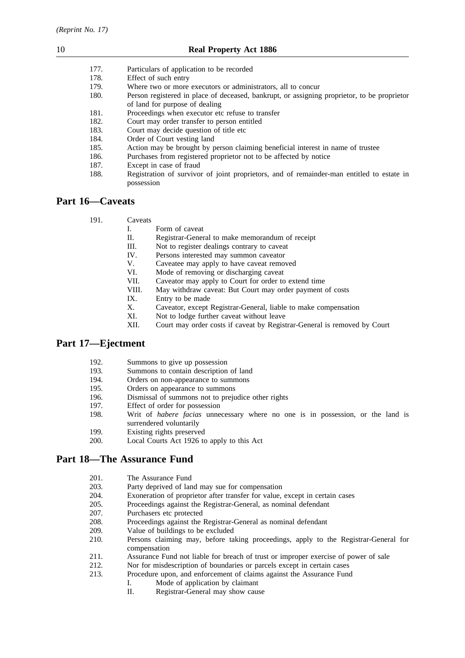- 177. Particulars of application to be recorded
- 178. Effect of such entry<br>179. Where two or more
	- Where two or more executors or administrators, all to concur
- 180. Person registered in place of deceased, bankrupt, or assigning proprietor, to be proprietor of land for purpose of dealing
- 181. Proceedings when executor etc refuse to transfer
- 182. Court may order transfer to person entitled
- 183. Court may decide question of title etc
- 184. Order of Court vesting land
- 185. Action may be brought by person claiming beneficial interest in name of trustee
- 186. Purchases from registered proprietor not to be affected by notice
- 187. Except in case of fraud
- 188. Registration of survivor of joint proprietors, and of remainder-man entitled to estate in possession

# **Part 16—Caveats**

| 191. | Caveats |
|------|---------|
|      |         |

- I. Form of caveat
- II. Registrar-General to make memorandum of receipt
- III. Not to register dealings contrary to caveat
- IV. Persons interested may summon caveator
- V. Caveatee may apply to have caveat removed<br>VI. Mode of removing or discharging caveat
- Mode of removing or discharging caveat
- VII. Caveator may apply to Court for order to extend time
- VIII. May withdraw caveat: But Court may order payment of costs
- IX. Entry to be made
- X. Caveator, except Registrar-General, liable to make compensation
- XI. Not to lodge further caveat without leave
- XII. Court may order costs if caveat by Registrar-General is removed by Court

# **Part 17—Ejectment**

- 192. Summons to give up possession
- 193. Summons to contain description of land<br>194. Orders on non-appearance to summons
- Orders on non-appearance to summons
- 195. Orders on appearance to summons
- 196. Dismissal of summons not to prejudice other rights
- 197. Effect of order for possession
- 198. Writ of *habere facias* unnecessary where no one is in possession, or the land is surrendered voluntarily
- 199. Existing rights preserved
- 200. Local Courts Act 1926 to apply to this Act

# **Part 18—The Assurance Fund**

- 201. The Assurance Fund
- 203. Party deprived of land may sue for compensation
- 204. Exoneration of proprietor after transfer for value, except in certain cases
- 205. Proceedings against the Registrar-General, as nominal defendant
- 207. Purchasers etc protected
- 208. Proceedings against the Registrar-General as nominal defendant
- 209. Value of buildings to be excluded
- 210. Persons claiming may, before taking proceedings, apply to the Registrar-General for compensation
- 211. Assurance Fund not liable for breach of trust or improper exercise of power of sale<br>212. Nor for misdescription of boundaries or parcels except in certain cases
- Nor for misdescription of boundaries or parcels except in certain cases
- 213. Procedure upon, and enforcement of claims against the Assurance Fund
	- I. Mode of application by claimant
		- II. Registrar-General may show cause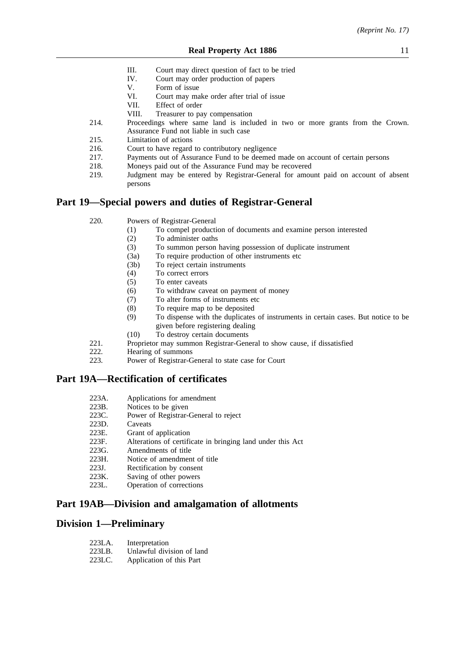- III. Court may direct question of fact to be tried
- IV. Court may order production of papers
- V. Form of issue
- VI. Court may make order after trial of issue
- VII. Effect of order
- VIII. Treasurer to pay compensation
- 214. Proceedings where same land is included in two or more grants from the Crown. Assurance Fund not liable in such case
- 215. Limitation of actions
- 216. Court to have regard to contributory negligence
- 217. Payments out of Assurance Fund to be deemed made on account of certain persons
- 218. Moneys paid out of the Assurance Fund may be recovered
- 219. Judgment may be entered by Registrar-General for amount paid on account of absent persons

# **Part 19—Special powers and duties of Registrar-General**

- 220. Powers of Registrar-General
	- (1) To compel production of documents and examine person interested
	- (2) To administer oaths
	- (3) To summon person having possession of duplicate instrument
	- (3a) To require production of other instruments etc
	- (3b) To reject certain instruments
	- (4) To correct errors
	- (5) To enter caveats
	- (6) To withdraw caveat on payment of money
	- (7) To alter forms of instruments etc
	- (8) To require map to be deposited
	- (9) To dispense with the duplicates of instruments in certain cases. But notice to be given before registering dealing
	- (10) To destroy certain documents
- 221. Proprietor may summon Registrar-General to show cause, if dissatisfied
- 222. Hearing of summons
- 223. Power of Registrar-General to state case for Court

# **Part 19A—Rectification of certificates**

- 223A. Applications for amendment
- 223B. Notices to be given<br>223C. Power of Registrar-
- 223C. Power of Registrar-General to reject<br>223D. Caveats
- 223D. Caveats<br>223E. Grant of
- 223E. Grant of application<br>223F. Alterations of certific
- Alterations of certificate in bringing land under this Act
- 223G. Amendments of title
- 223H Notice of amendment of title
- 223J. Rectification by consent
- 223K. Saving of other powers
- 223L. Operation of corrections

# **Part 19AB—Division and amalgamation of allotments**

# **Division 1—Preliminary**

| 223LA. | Interpretation |
|--------|----------------|
|--------|----------------|

- 223LB. Unlawful division of land<br>223LC. Application of this Part
- Application of this Part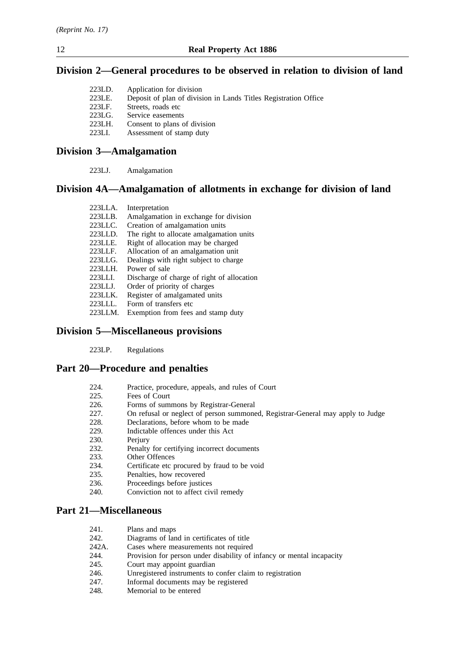# **Division 2—General procedures to be observed in relation to division of land**

| 223LD. | Application for division                                        |
|--------|-----------------------------------------------------------------|
| 223LE. | Deposit of plan of division in Lands Titles Registration Office |
| 223LF. | Streets, roads etc.                                             |
| 223LG. | Service easements                                               |
| 223LH. | Consent to plans of division                                    |
| 223LI. | Assessment of stamp duty                                        |
|        |                                                                 |

# **Division 3—Amalgamation**

223LJ. Amalgamation

# **Division 4A—Amalgamation of allotments in exchange for division of land**

| 223LLA. | Interpretation                             |
|---------|--------------------------------------------|
| 223LLB. | Amalgamation in exchange for division      |
| 223LLC. | Creation of amalgamation units             |
| 223LLD. | The right to allocate amalgamation units   |
| 223LLE. | Right of allocation may be charged         |
| 223LLF. | Allocation of an amalgamation unit         |
| 223LLG. | Dealings with right subject to charge      |
| 223LLH. | Power of sale                              |
| 223LLI. | Discharge of charge of right of allocation |
| 223LLJ. | Order of priority of charges               |
| 223LLK. | Register of amalgamated units              |
| 223LLL. | Form of transfers etc                      |
| 223LLM. | Exemption from fees and stamp duty         |

# **Division 5—Miscellaneous provisions**

223LP. Regulations

# **Part 20—Procedure and penalties**

| 224. | Practice, procedure, appeals, and rules of Court |  |  |  |  |
|------|--------------------------------------------------|--|--|--|--|
|------|--------------------------------------------------|--|--|--|--|

- 225. Fees of Court
- 226. Forms of summons by Registrar-General
- 227. On refusal or neglect of person summoned, Registrar-General may apply to Judge
- 228. Declarations, before whom to be made
- 229. Indictable offences under this Act
- 230. Perjury
- 232. Penalty for certifying incorrect documents
- 233. Other Offences<br>234. Certificate etc n
- 234. Certificate etc procured by fraud to be void<br>235. Penalties. how recovered
- 235. Penalties, how recovered<br>236. Proceedings before justice
- 236. Proceedings before justices<br>240. Conviction not to affect civ
- Conviction not to affect civil remedy

# **Part 21—Miscellaneous**

- 241. Plans and maps
- 242. Diagrams of land in certificates of title
- 242A. Cases where measurements not required
- 244. Provision for person under disability of infancy or mental incapacity
- 245. Court may appoint guardian
- 246. Unregistered instruments to confer claim to registration
- 247. Informal documents may be registered
- 248. Memorial to be entered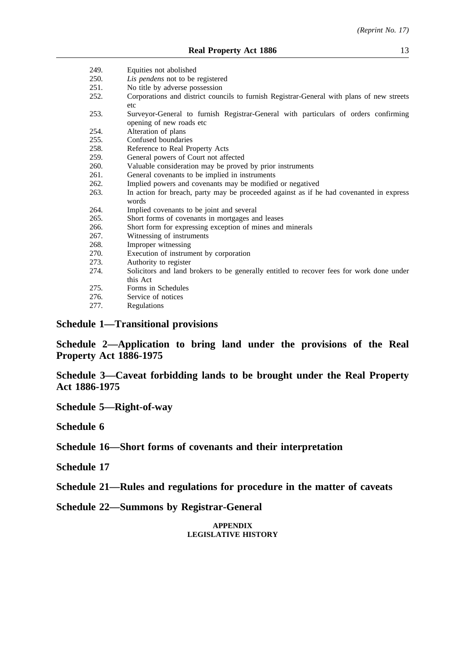| 249. | Equities not abolished                                                                    |  |  |
|------|-------------------------------------------------------------------------------------------|--|--|
| 250. | Lis pendens not to be registered                                                          |  |  |
| 251. | No title by adverse possession                                                            |  |  |
| 252. | Corporations and district councils to furnish Registrar-General with plans of new streets |  |  |
|      | etc                                                                                       |  |  |
| 253. | Surveyor-General to furnish Registrar-General with particulars of orders confirming       |  |  |
|      | opening of new roads etc                                                                  |  |  |
| 254. | Alteration of plans                                                                       |  |  |
| 255. | Confused boundaries                                                                       |  |  |
| 258. | Reference to Real Property Acts                                                           |  |  |
| 259. | General powers of Court not affected                                                      |  |  |
| 260. | Valuable consideration may be proved by prior instruments                                 |  |  |
| 261. | General covenants to be implied in instruments                                            |  |  |
| 262. | Implied powers and covenants may be modified or negatived                                 |  |  |
| 263. | In action for breach, party may be proceeded against as if he had covenanted in express   |  |  |
|      | words                                                                                     |  |  |
| 264. | Implied covenants to be joint and several                                                 |  |  |
| 265. | Short forms of covenants in mortgages and leases                                          |  |  |
| 266. | Short form for expressing exception of mines and minerals                                 |  |  |
| 267. | Witnessing of instruments                                                                 |  |  |
| 268. | Improper witnessing                                                                       |  |  |
| 270. | Execution of instrument by corporation                                                    |  |  |
| 273. | Authority to register                                                                     |  |  |
| 274. | Solicitors and land brokers to be generally entitled to recover fees for work done under  |  |  |
|      | this Act                                                                                  |  |  |
| 275. | Forms in Schedules                                                                        |  |  |
| 276. | Service of notices                                                                        |  |  |
| 277. | Regulations                                                                               |  |  |

# **Schedule 1—Transitional provisions**

**Schedule 2—Application to bring land under the provisions of the Real Property Act 1886-1975**

**Schedule 3—Caveat forbidding lands to be brought under the Real Property Act 1886-1975**

**Schedule 5—Right-of-way**

**Schedule 6**

**Schedule 16—Short forms of covenants and their interpretation**

**Schedule 17**

**Schedule 21—Rules and regulations for procedure in the matter of caveats**

**Schedule 22—Summons by Registrar-General**

**APPENDIX LEGISLATIVE HISTORY**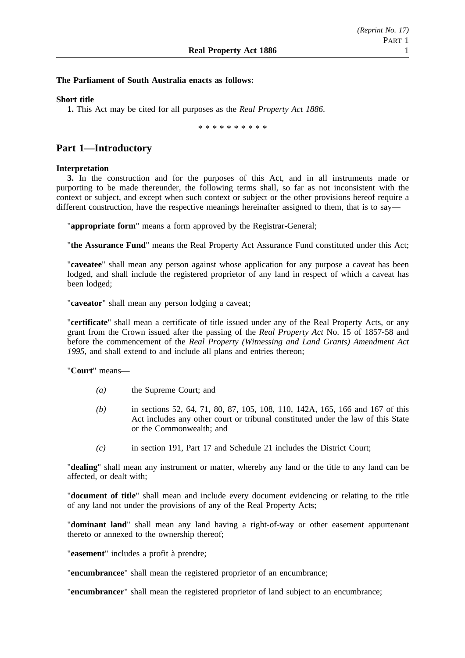### **The Parliament of South Australia enacts as follows:**

**Short title**

**1.** This Act may be cited for all purposes as the *Real Property Act 1886*.

\*\*\*\*\*\*\*\*\*\*

# **Part 1—Introductory**

### **Interpretation**

**3.** In the construction and for the purposes of this Act, and in all instruments made or purporting to be made thereunder, the following terms shall, so far as not inconsistent with the context or subject, and except when such context or subject or the other provisions hereof require a different construction, have the respective meanings hereinafter assigned to them, that is to say—

"**appropriate form**" means a form approved by the Registrar-General;

"**the Assurance Fund**" means the Real Property Act Assurance Fund constituted under this Act;

"**caveatee**" shall mean any person against whose application for any purpose a caveat has been lodged, and shall include the registered proprietor of any land in respect of which a caveat has been lodged;

"**caveator**" shall mean any person lodging a caveat;

"**certificate**" shall mean a certificate of title issued under any of the Real Property Acts, or any grant from the Crown issued after the passing of the *Real Property Act* No. 15 of 1857-58 and before the commencement of the *Real Property (Witnessing and Land Grants) Amendment Act 1995*, and shall extend to and include all plans and entries thereon;

"**Court**" means—

- *(a)* the Supreme Court; and
- *(b)* in sections 52, 64, 71, 80, 87, 105, 108, 110, 142A, 165, 166 and 167 of this Act includes any other court or tribunal constituted under the law of this State or the Commonwealth; and
- *(c)* in section 191, Part 17 and Schedule 21 includes the District Court;

"**dealing**" shall mean any instrument or matter, whereby any land or the title to any land can be affected, or dealt with;

"**document of title**" shall mean and include every document evidencing or relating to the title of any land not under the provisions of any of the Real Property Acts;

"**dominant land**" shall mean any land having a right-of-way or other easement appurtenant thereto or annexed to the ownership thereof;

"**easement**" includes a profit à prendre;

"**encumbrancee**" shall mean the registered proprietor of an encumbrance;

"**encumbrancer**" shall mean the registered proprietor of land subject to an encumbrance;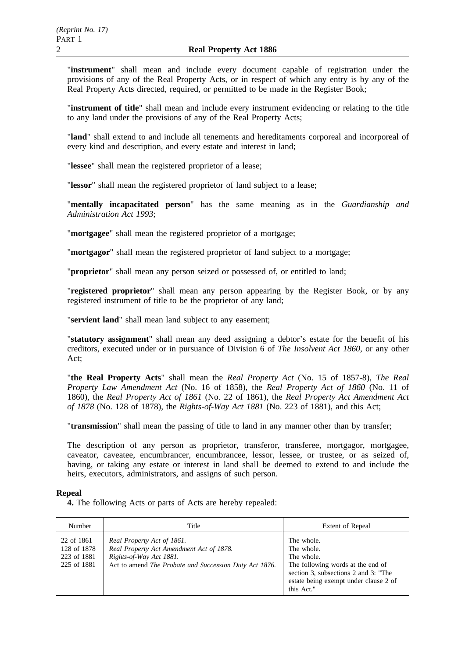"**instrument**" shall mean and include every document capable of registration under the provisions of any of the Real Property Acts, or in respect of which any entry is by any of the Real Property Acts directed, required, or permitted to be made in the Register Book;

"**instrument of title**" shall mean and include every instrument evidencing or relating to the title to any land under the provisions of any of the Real Property Acts;

"**land**" shall extend to and include all tenements and hereditaments corporeal and incorporeal of every kind and description, and every estate and interest in land;

"**lessee**" shall mean the registered proprietor of a lease;

"**lessor**" shall mean the registered proprietor of land subject to a lease;

"**mentally incapacitated person**" has the same meaning as in the *Guardianship and Administration Act 1993*;

"**mortgagee**" shall mean the registered proprietor of a mortgage;

"**mortgagor**" shall mean the registered proprietor of land subject to a mortgage;

"**proprietor**" shall mean any person seized or possessed of, or entitled to land;

"**registered proprietor**" shall mean any person appearing by the Register Book, or by any registered instrument of title to be the proprietor of any land;

"**servient land**" shall mean land subject to any easement;

"**statutory assignment**" shall mean any deed assigning a debtor's estate for the benefit of his creditors, executed under or in pursuance of Division 6 of *The Insolvent Act 1860*, or any other Act;

"**the Real Property Acts**" shall mean the *Real Property Act* (No. 15 of 1857-8), *The Real Property Law Amendment Act* (No. 16 of 1858), the *Real Property Act of 1860* (No. 11 of 1860), the *Real Property Act of 1861* (No. 22 of 1861), the *Real Property Act Amendment Act of 1878* (No. 128 of 1878), the *Rights-of-Way Act 1881* (No. 223 of 1881), and this Act;

"**transmission**" shall mean the passing of title to land in any manner other than by transfer;

The description of any person as proprietor, transferor, transferee, mortgagor, mortgagee, caveator, caveatee, encumbrancer, encumbrancee, lessor, lessee, or trustee, or as seized of, having, or taking any estate or interest in land shall be deemed to extend to and include the heirs, executors, administrators, and assigns of such person.

# **Repeal**

**4.** The following Acts or parts of Acts are hereby repealed:

| Number                                                  | Title                                                                                                                                                       | Extent of Repeal                                                                                                                                                           |
|---------------------------------------------------------|-------------------------------------------------------------------------------------------------------------------------------------------------------------|----------------------------------------------------------------------------------------------------------------------------------------------------------------------------|
| 22 of 1861<br>128 of 1878<br>223 of 1881<br>225 of 1881 | Real Property Act of 1861.<br>Real Property Act Amendment Act of 1878.<br>Rights-of-Way Act 1881.<br>Act to amend The Probate and Succession Duty Act 1876. | The whole.<br>The whole.<br>The whole.<br>The following words at the end of<br>section 3, subsections 2 and 3: "The<br>estate being exempt under clause 2 of<br>this Act." |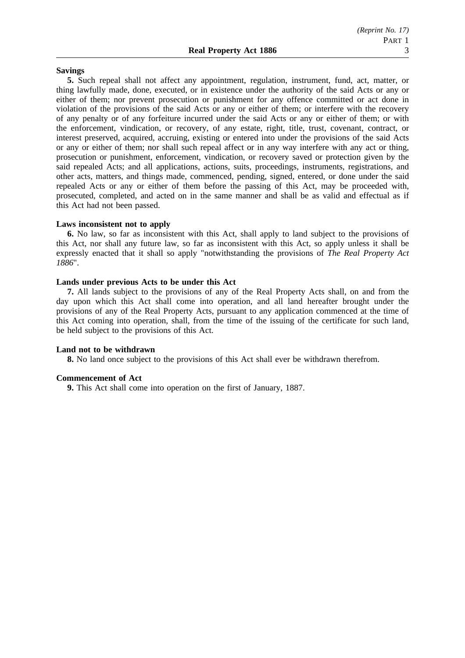#### **Savings**

**5.** Such repeal shall not affect any appointment, regulation, instrument, fund, act, matter, or thing lawfully made, done, executed, or in existence under the authority of the said Acts or any or either of them; nor prevent prosecution or punishment for any offence committed or act done in violation of the provisions of the said Acts or any or either of them; or interfere with the recovery of any penalty or of any forfeiture incurred under the said Acts or any or either of them; or with the enforcement, vindication, or recovery, of any estate, right, title, trust, covenant, contract, or interest preserved, acquired, accruing, existing or entered into under the provisions of the said Acts or any or either of them; nor shall such repeal affect or in any way interfere with any act or thing, prosecution or punishment, enforcement, vindication, or recovery saved or protection given by the said repealed Acts; and all applications, actions, suits, proceedings, instruments, registrations, and other acts, matters, and things made, commenced, pending, signed, entered, or done under the said repealed Acts or any or either of them before the passing of this Act, may be proceeded with, prosecuted, completed, and acted on in the same manner and shall be as valid and effectual as if this Act had not been passed.

#### **Laws inconsistent not to apply**

**6.** No law, so far as inconsistent with this Act, shall apply to land subject to the provisions of this Act, nor shall any future law, so far as inconsistent with this Act, so apply unless it shall be expressly enacted that it shall so apply "notwithstanding the provisions of *The Real Property Act 1886*".

#### **Lands under previous Acts to be under this Act**

**7.** All lands subject to the provisions of any of the Real Property Acts shall, on and from the day upon which this Act shall come into operation, and all land hereafter brought under the provisions of any of the Real Property Acts, pursuant to any application commenced at the time of this Act coming into operation, shall, from the time of the issuing of the certificate for such land, be held subject to the provisions of this Act.

#### **Land not to be withdrawn**

**8.** No land once subject to the provisions of this Act shall ever be withdrawn therefrom.

#### **Commencement of Act**

**9.** This Act shall come into operation on the first of January, 1887.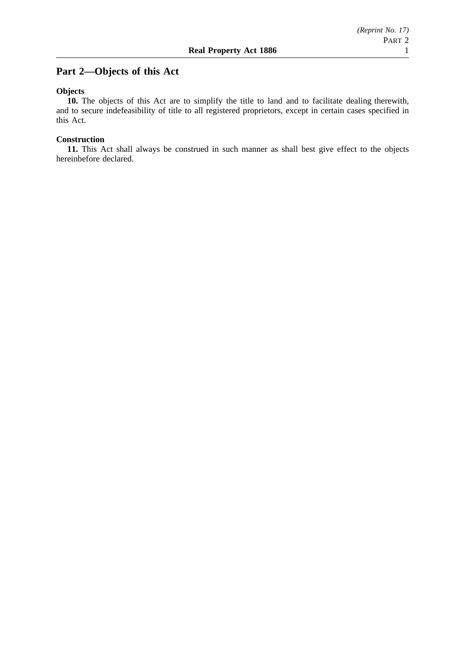# **Part 2—Objects of this Act**

### **Objects**

**10.** The objects of this Act are to simplify the title to land and to facilitate dealing therewith, and to secure indefeasibility of title to all registered proprietors, except in certain cases specified in this Act.

### **Construction**

**11.** This Act shall always be construed in such manner as shall best give effect to the objects hereinbefore declared.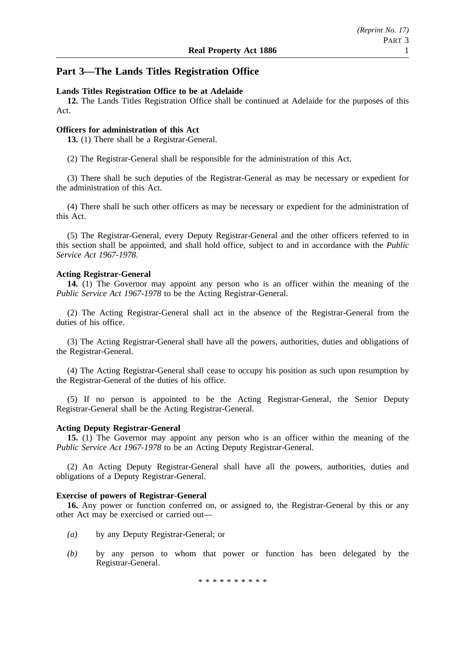# **Part 3—The Lands Titles Registration Office**

### **Lands Titles Registration Office to be at Adelaide**

**12.** The Lands Titles Registration Office shall be continued at Adelaide for the purposes of this Act.

### **Officers for administration of this Act**

**13.** (1) There shall be a Registrar-General.

(2) The Registrar-General shall be responsible for the administration of this Act.

(3) There shall be such deputies of the Registrar-General as may be necessary or expedient for the administration of this Act.

(4) There shall be such other officers as may be necessary or expedient for the administration of this Act.

(5) The Registrar-General, every Deputy Registrar-General and the other officers referred to in this section shall be appointed, and shall hold office, subject to and in accordance with the *Public Service Act 1967-1978*.

### **Acting Registrar-General**

**14.** (1) The Governor may appoint any person who is an officer within the meaning of the *Public Service Act 1967-1978* to be the Acting Registrar-General.

(2) The Acting Registrar-General shall act in the absence of the Registrar-General from the duties of his office.

(3) The Acting Registrar-General shall have all the powers, authorities, duties and obligations of the Registrar-General.

(4) The Acting Registrar-General shall cease to occupy his position as such upon resumption by the Registrar-General of the duties of his office.

(5) If no person is appointed to be the Acting Registrar-General, the Senior Deputy Registrar-General shall be the Acting Registrar-General.

### **Acting Deputy Registrar-General**

**15.** (1) The Governor may appoint any person who is an officer within the meaning of the *Public Service Act 1967-1978* to be an Acting Deputy Registrar-General.

(2) An Acting Deputy Registrar-General shall have all the powers, authorities, duties and obligations of a Deputy Registrar-General.

#### **Exercise of powers of Registrar-General**

**16.** Any power or function conferred on, or assigned to, the Registrar-General by this or any other Act may be exercised or carried out—

- *(a)* by any Deputy Registrar-General; or
- *(b)* by any person to whom that power or function has been delegated by the Registrar-General.

\*\*\*\*\*\*\*\*\*\*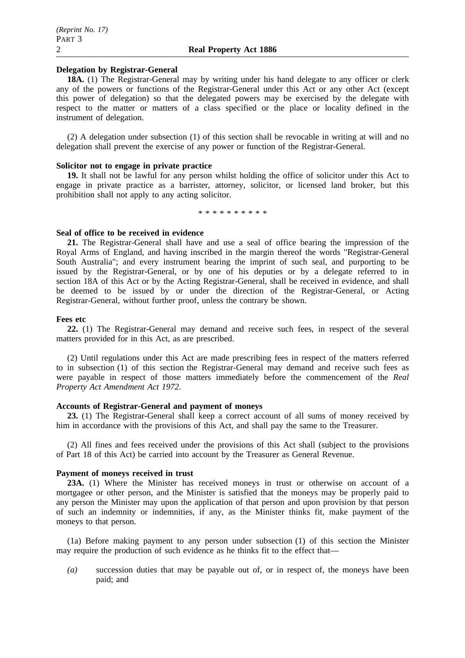### **Delegation by Registrar-General**

**18A.** (1) The Registrar-General may by writing under his hand delegate to any officer or clerk any of the powers or functions of the Registrar-General under this Act or any other Act (except this power of delegation) so that the delegated powers may be exercised by the delegate with respect to the matter or matters of a class specified or the place or locality defined in the instrument of delegation.

(2) A delegation under subsection (1) of this section shall be revocable in writing at will and no delegation shall prevent the exercise of any power or function of the Registrar-General.

#### **Solicitor not to engage in private practice**

**19.** It shall not be lawful for any person whilst holding the office of solicitor under this Act to engage in private practice as a barrister, attorney, solicitor, or licensed land broker, but this prohibition shall not apply to any acting solicitor.

\*\*\*\*\*\*\*\*\*\*

### **Seal of office to be received in evidence**

**21.** The Registrar-General shall have and use a seal of office bearing the impression of the Royal Arms of England, and having inscribed in the margin thereof the words "Registrar-General South Australia"; and every instrument bearing the imprint of such seal, and purporting to be issued by the Registrar-General, or by one of his deputies or by a delegate referred to in section 18A of this Act or by the Acting Registrar-General, shall be received in evidence, and shall be deemed to be issued by or under the direction of the Registrar-General, or Acting Registrar-General, without further proof, unless the contrary be shown.

### **Fees etc**

**22.** (1) The Registrar-General may demand and receive such fees, in respect of the several matters provided for in this Act, as are prescribed.

(2) Until regulations under this Act are made prescribing fees in respect of the matters referred to in subsection (1) of this section the Registrar-General may demand and receive such fees as were payable in respect of those matters immediately before the commencement of the *Real Property Act Amendment Act 1972*.

# **Accounts of Registrar-General and payment of moneys**

**23.** (1) The Registrar-General shall keep a correct account of all sums of money received by him in accordance with the provisions of this Act, and shall pay the same to the Treasurer.

(2) All fines and fees received under the provisions of this Act shall (subject to the provisions of Part 18 of this Act) be carried into account by the Treasurer as General Revenue.

# **Payment of moneys received in trust**

**23A.** (1) Where the Minister has received moneys in trust or otherwise on account of a mortgagee or other person, and the Minister is satisfied that the moneys may be properly paid to any person the Minister may upon the application of that person and upon provision by that person of such an indemnity or indemnities, if any, as the Minister thinks fit, make payment of the moneys to that person.

(1a) Before making payment to any person under subsection (1) of this section the Minister may require the production of such evidence as he thinks fit to the effect that—

*(a)* succession duties that may be payable out of, or in respect of, the moneys have been paid; and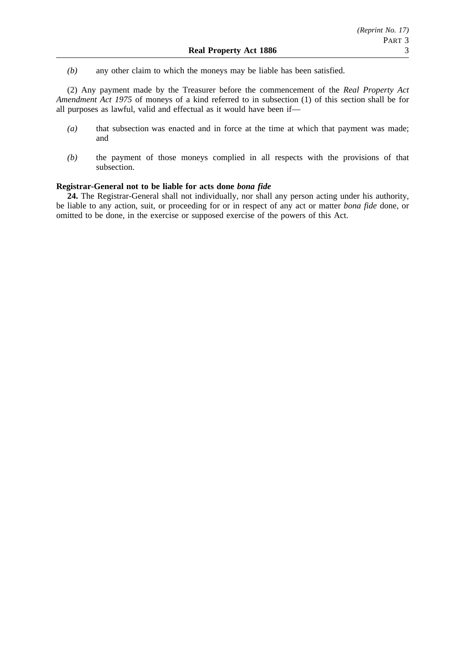*(b)* any other claim to which the moneys may be liable has been satisfied.

(2) Any payment made by the Treasurer before the commencement of the *Real Property Act Amendment Act 1975* of moneys of a kind referred to in subsection (1) of this section shall be for all purposes as lawful, valid and effectual as it would have been if—

- *(a)* that subsection was enacted and in force at the time at which that payment was made; and
- *(b)* the payment of those moneys complied in all respects with the provisions of that subsection.

#### **Registrar-General not to be liable for acts done** *bona fide*

**24.** The Registrar-General shall not individually, nor shall any person acting under his authority, be liable to any action, suit, or proceeding for or in respect of any act or matter *bona fide* done, or omitted to be done, in the exercise or supposed exercise of the powers of this Act.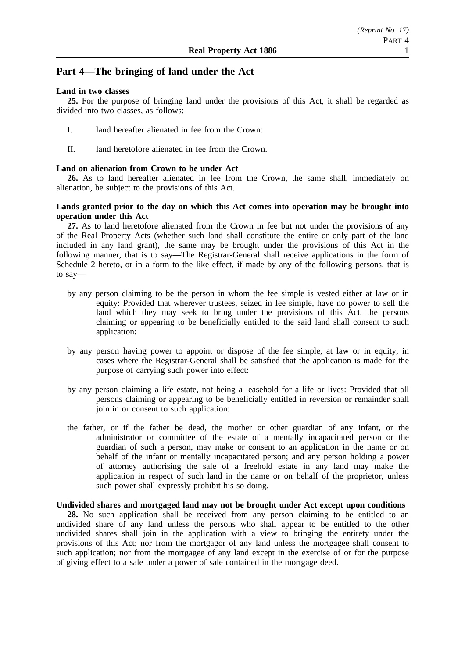# **Part 4—The bringing of land under the Act**

### **Land in two classes**

**25.** For the purpose of bringing land under the provisions of this Act, it shall be regarded as divided into two classes, as follows:

- I. land hereafter alienated in fee from the Crown:
- II. land heretofore alienated in fee from the Crown.

### **Land on alienation from Crown to be under Act**

**26.** As to land hereafter alienated in fee from the Crown, the same shall, immediately on alienation, be subject to the provisions of this Act.

### **Lands granted prior to the day on which this Act comes into operation may be brought into operation under this Act**

**27.** As to land heretofore alienated from the Crown in fee but not under the provisions of any of the Real Property Acts (whether such land shall constitute the entire or only part of the land included in any land grant), the same may be brought under the provisions of this Act in the following manner, that is to say—The Registrar-General shall receive applications in the form of Schedule 2 hereto, or in a form to the like effect, if made by any of the following persons, that is to say—

- by any person claiming to be the person in whom the fee simple is vested either at law or in equity: Provided that wherever trustees, seized in fee simple, have no power to sell the land which they may seek to bring under the provisions of this Act, the persons claiming or appearing to be beneficially entitled to the said land shall consent to such application:
- by any person having power to appoint or dispose of the fee simple, at law or in equity, in cases where the Registrar-General shall be satisfied that the application is made for the purpose of carrying such power into effect:
- by any person claiming a life estate, not being a leasehold for a life or lives: Provided that all persons claiming or appearing to be beneficially entitled in reversion or remainder shall join in or consent to such application:
- the father, or if the father be dead, the mother or other guardian of any infant, or the administrator or committee of the estate of a mentally incapacitated person or the guardian of such a person, may make or consent to an application in the name or on behalf of the infant or mentally incapacitated person; and any person holding a power of attorney authorising the sale of a freehold estate in any land may make the application in respect of such land in the name or on behalf of the proprietor, unless such power shall expressly prohibit his so doing.

### **Undivided shares and mortgaged land may not be brought under Act except upon conditions**

**28.** No such application shall be received from any person claiming to be entitled to an undivided share of any land unless the persons who shall appear to be entitled to the other undivided shares shall join in the application with a view to bringing the entirety under the provisions of this Act; nor from the mortgagor of any land unless the mortgagee shall consent to such application; nor from the mortgagee of any land except in the exercise of or for the purpose of giving effect to a sale under a power of sale contained in the mortgage deed.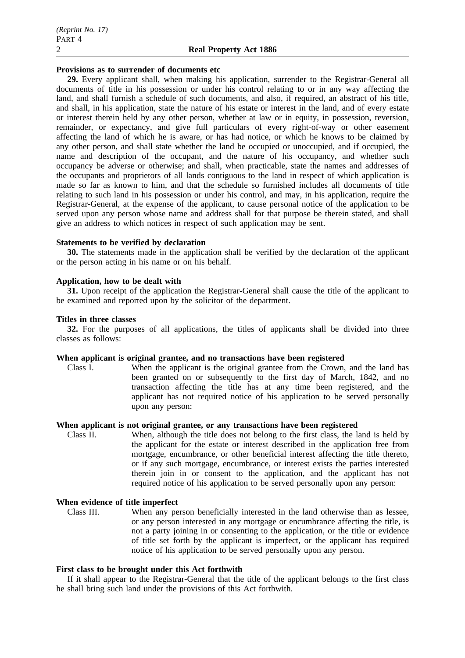#### **Provisions as to surrender of documents etc**

**29.** Every applicant shall, when making his application, surrender to the Registrar-General all documents of title in his possession or under his control relating to or in any way affecting the land, and shall furnish a schedule of such documents, and also, if required, an abstract of his title, and shall, in his application, state the nature of his estate or interest in the land, and of every estate or interest therein held by any other person, whether at law or in equity, in possession, reversion, remainder, or expectancy, and give full particulars of every right-of-way or other easement affecting the land of which he is aware, or has had notice, or which he knows to be claimed by any other person, and shall state whether the land be occupied or unoccupied, and if occupied, the name and description of the occupant, and the nature of his occupancy, and whether such occupancy be adverse or otherwise; and shall, when practicable, state the names and addresses of the occupants and proprietors of all lands contiguous to the land in respect of which application is made so far as known to him, and that the schedule so furnished includes all documents of title relating to such land in his possession or under his control, and may, in his application, require the Registrar-General, at the expense of the applicant, to cause personal notice of the application to be served upon any person whose name and address shall for that purpose be therein stated, and shall give an address to which notices in respect of such application may be sent.

#### **Statements to be verified by declaration**

**30.** The statements made in the application shall be verified by the declaration of the applicant or the person acting in his name or on his behalf.

### **Application, how to be dealt with**

**31.** Upon receipt of the application the Registrar-General shall cause the title of the applicant to be examined and reported upon by the solicitor of the department.

#### **Titles in three classes**

**32.** For the purposes of all applications, the titles of applicants shall be divided into three classes as follows:

### **When applicant is original grantee, and no transactions have been registered**

Class I. When the applicant is the original grantee from the Crown, and the land has been granted on or subsequently to the first day of March, 1842, and no transaction affecting the title has at any time been registered, and the applicant has not required notice of his application to be served personally upon any person:

### **When applicant is not original grantee, or any transactions have been registered**

Class II. When, although the title does not belong to the first class, the land is held by the applicant for the estate or interest described in the application free from mortgage, encumbrance, or other beneficial interest affecting the title thereto, or if any such mortgage, encumbrance, or interest exists the parties interested therein join in or consent to the application, and the applicant has not required notice of his application to be served personally upon any person:

# **When evidence of title imperfect**<br>Class III. When any pe

When any person beneficially interested in the land otherwise than as lessee, or any person interested in any mortgage or encumbrance affecting the title, is not a party joining in or consenting to the application, or the title or evidence of title set forth by the applicant is imperfect, or the applicant has required notice of his application to be served personally upon any person.

#### **First class to be brought under this Act forthwith**

If it shall appear to the Registrar-General that the title of the applicant belongs to the first class he shall bring such land under the provisions of this Act forthwith.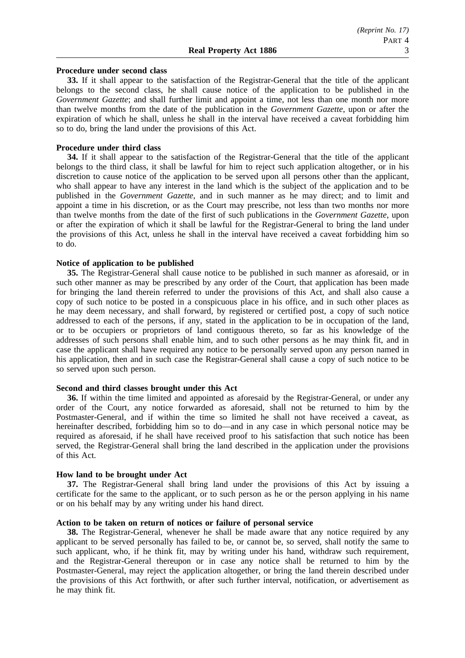#### **Procedure under second class**

**33.** If it shall appear to the satisfaction of the Registrar-General that the title of the applicant belongs to the second class, he shall cause notice of the application to be published in the *Government Gazette*; and shall further limit and appoint a time, not less than one month nor more than twelve months from the date of the publication in the *Government Gazette*, upon or after the expiration of which he shall, unless he shall in the interval have received a caveat forbidding him so to do, bring the land under the provisions of this Act.

#### **Procedure under third class**

**34.** If it shall appear to the satisfaction of the Registrar-General that the title of the applicant belongs to the third class, it shall be lawful for him to reject such application altogether, or in his discretion to cause notice of the application to be served upon all persons other than the applicant, who shall appear to have any interest in the land which is the subject of the application and to be published in the *Government Gazette*, and in such manner as he may direct; and to limit and appoint a time in his discretion, or as the Court may prescribe, not less than two months nor more than twelve months from the date of the first of such publications in the *Government Gazette*, upon or after the expiration of which it shall be lawful for the Registrar-General to bring the land under the provisions of this Act, unless he shall in the interval have received a caveat forbidding him so to do.

#### **Notice of application to be published**

**35.** The Registrar-General shall cause notice to be published in such manner as aforesaid, or in such other manner as may be prescribed by any order of the Court, that application has been made for bringing the land therein referred to under the provisions of this Act, and shall also cause a copy of such notice to be posted in a conspicuous place in his office, and in such other places as he may deem necessary, and shall forward, by registered or certified post, a copy of such notice addressed to each of the persons, if any, stated in the application to be in occupation of the land, or to be occupiers or proprietors of land contiguous thereto, so far as his knowledge of the addresses of such persons shall enable him, and to such other persons as he may think fit, and in case the applicant shall have required any notice to be personally served upon any person named in his application, then and in such case the Registrar-General shall cause a copy of such notice to be so served upon such person.

#### **Second and third classes brought under this Act**

**36.** If within the time limited and appointed as aforesaid by the Registrar-General, or under any order of the Court, any notice forwarded as aforesaid, shall not be returned to him by the Postmaster-General, and if within the time so limited he shall not have received a caveat, as hereinafter described, forbidding him so to do—and in any case in which personal notice may be required as aforesaid, if he shall have received proof to his satisfaction that such notice has been served, the Registrar-General shall bring the land described in the application under the provisions of this Act.

#### **How land to be brought under Act**

**37.** The Registrar-General shall bring land under the provisions of this Act by issuing a certificate for the same to the applicant, or to such person as he or the person applying in his name or on his behalf may by any writing under his hand direct.

#### **Action to be taken on return of notices or failure of personal service**

**38.** The Registrar-General, whenever he shall be made aware that any notice required by any applicant to be served personally has failed to be, or cannot be, so served, shall notify the same to such applicant, who, if he think fit, may by writing under his hand, withdraw such requirement, and the Registrar-General thereupon or in case any notice shall be returned to him by the Postmaster-General, may reject the application altogether, or bring the land therein described under the provisions of this Act forthwith, or after such further interval, notification, or advertisement as he may think fit.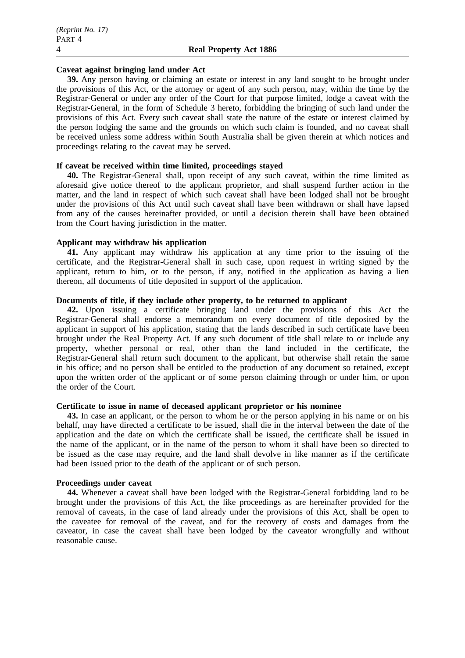#### **Caveat against bringing land under Act**

**39.** Any person having or claiming an estate or interest in any land sought to be brought under the provisions of this Act, or the attorney or agent of any such person, may, within the time by the Registrar-General or under any order of the Court for that purpose limited, lodge a caveat with the Registrar-General, in the form of Schedule 3 hereto, forbidding the bringing of such land under the provisions of this Act. Every such caveat shall state the nature of the estate or interest claimed by the person lodging the same and the grounds on which such claim is founded, and no caveat shall be received unless some address within South Australia shall be given therein at which notices and proceedings relating to the caveat may be served.

#### **If caveat be received within time limited, proceedings stayed**

**40.** The Registrar-General shall, upon receipt of any such caveat, within the time limited as aforesaid give notice thereof to the applicant proprietor, and shall suspend further action in the matter, and the land in respect of which such caveat shall have been lodged shall not be brought under the provisions of this Act until such caveat shall have been withdrawn or shall have lapsed from any of the causes hereinafter provided, or until a decision therein shall have been obtained from the Court having jurisdiction in the matter.

#### **Applicant may withdraw his application**

**41.** Any applicant may withdraw his application at any time prior to the issuing of the certificate, and the Registrar-General shall in such case, upon request in writing signed by the applicant, return to him, or to the person, if any, notified in the application as having a lien thereon, all documents of title deposited in support of the application.

#### **Documents of title, if they include other property, to be returned to applicant**

**42.** Upon issuing a certificate bringing land under the provisions of this Act the Registrar-General shall endorse a memorandum on every document of title deposited by the applicant in support of his application, stating that the lands described in such certificate have been brought under the Real Property Act. If any such document of title shall relate to or include any property, whether personal or real, other than the land included in the certificate, the Registrar-General shall return such document to the applicant, but otherwise shall retain the same in his office; and no person shall be entitled to the production of any document so retained, except upon the written order of the applicant or of some person claiming through or under him, or upon the order of the Court.

### **Certificate to issue in name of deceased applicant proprietor or his nominee**

**43.** In case an applicant, or the person to whom he or the person applying in his name or on his behalf, may have directed a certificate to be issued, shall die in the interval between the date of the application and the date on which the certificate shall be issued, the certificate shall be issued in the name of the applicant, or in the name of the person to whom it shall have been so directed to be issued as the case may require, and the land shall devolve in like manner as if the certificate had been issued prior to the death of the applicant or of such person.

#### **Proceedings under caveat**

**44.** Whenever a caveat shall have been lodged with the Registrar-General forbidding land to be brought under the provisions of this Act, the like proceedings as are hereinafter provided for the removal of caveats, in the case of land already under the provisions of this Act, shall be open to the caveatee for removal of the caveat, and for the recovery of costs and damages from the caveator, in case the caveat shall have been lodged by the caveator wrongfully and without reasonable cause.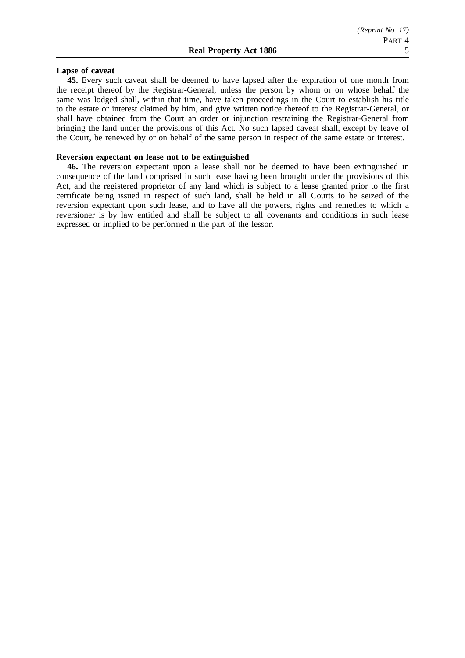#### **Lapse of caveat**

**45.** Every such caveat shall be deemed to have lapsed after the expiration of one month from the receipt thereof by the Registrar-General, unless the person by whom or on whose behalf the same was lodged shall, within that time, have taken proceedings in the Court to establish his title to the estate or interest claimed by him, and give written notice thereof to the Registrar-General, or shall have obtained from the Court an order or injunction restraining the Registrar-General from bringing the land under the provisions of this Act. No such lapsed caveat shall, except by leave of the Court, be renewed by or on behalf of the same person in respect of the same estate or interest.

#### **Reversion expectant on lease not to be extinguished**

**46.** The reversion expectant upon a lease shall not be deemed to have been extinguished in consequence of the land comprised in such lease having been brought under the provisions of this Act, and the registered proprietor of any land which is subject to a lease granted prior to the first certificate being issued in respect of such land, shall be held in all Courts to be seized of the reversion expectant upon such lease, and to have all the powers, rights and remedies to which a reversioner is by law entitled and shall be subject to all covenants and conditions in such lease expressed or implied to be performed n the part of the lessor.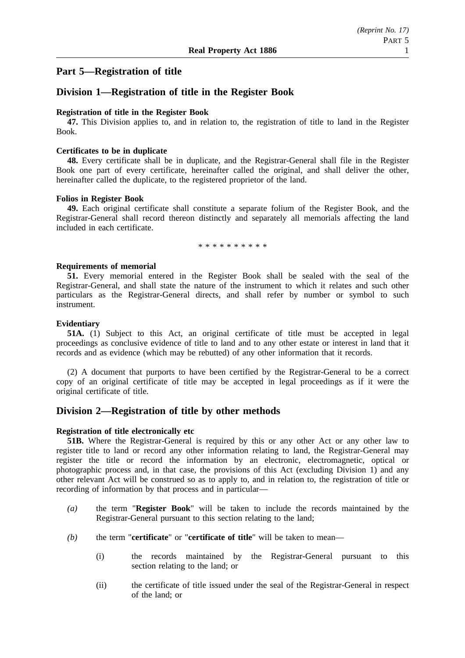# **Part 5—Registration of title**

# **Division 1—Registration of title in the Register Book**

### **Registration of title in the Register Book**

**47.** This Division applies to, and in relation to, the registration of title to land in the Register Book.

### **Certificates to be in duplicate**

**48.** Every certificate shall be in duplicate, and the Registrar-General shall file in the Register Book one part of every certificate, hereinafter called the original, and shall deliver the other, hereinafter called the duplicate, to the registered proprietor of the land.

#### **Folios in Register Book**

**49.** Each original certificate shall constitute a separate folium of the Register Book, and the Registrar-General shall record thereon distinctly and separately all memorials affecting the land included in each certificate.

\*\*\*\*\*\*\*\*\*\*

### **Requirements of memorial**

**51.** Every memorial entered in the Register Book shall be sealed with the seal of the Registrar-General, and shall state the nature of the instrument to which it relates and such other particulars as the Registrar-General directs, and shall refer by number or symbol to such instrument.

### **Evidentiary**

**51A.** (1) Subject to this Act, an original certificate of title must be accepted in legal proceedings as conclusive evidence of title to land and to any other estate or interest in land that it records and as evidence (which may be rebutted) of any other information that it records.

(2) A document that purports to have been certified by the Registrar-General to be a correct copy of an original certificate of title may be accepted in legal proceedings as if it were the original certificate of title.

# **Division 2—Registration of title by other methods**

### **Registration of title electronically etc**

**51B.** Where the Registrar-General is required by this or any other Act or any other law to register title to land or record any other information relating to land, the Registrar-General may register the title or record the information by an electronic, electromagnetic, optical or photographic process and, in that case, the provisions of this Act (excluding Division 1) and any other relevant Act will be construed so as to apply to, and in relation to, the registration of title or recording of information by that process and in particular—

- *(a)* the term "**Register Book**" will be taken to include the records maintained by the Registrar-General pursuant to this section relating to the land;
- *(b)* the term "**certificate**" or "**certificate of title**" will be taken to mean—
	- (i) the records maintained by the Registrar-General pursuant to this section relating to the land; or
	- (ii) the certificate of title issued under the seal of the Registrar-General in respect of the land; or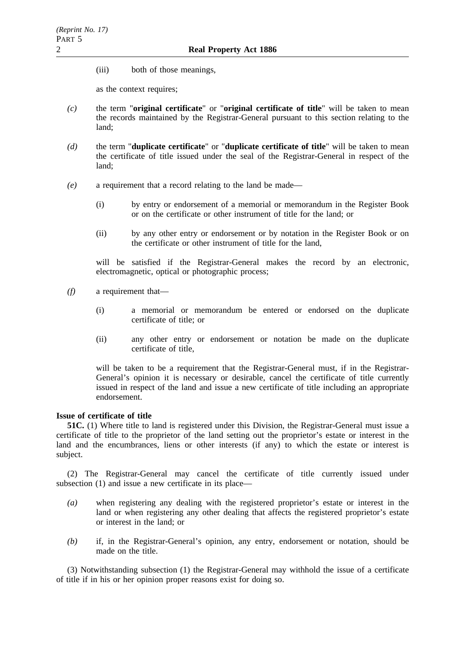(iii) both of those meanings,

as the context requires;

- *(c)* the term "**original certificate**" or "**original certificate of title**" will be taken to mean the records maintained by the Registrar-General pursuant to this section relating to the land;
- *(d)* the term "**duplicate certificate**" or "**duplicate certificate of title**" will be taken to mean the certificate of title issued under the seal of the Registrar-General in respect of the land;
- *(e)* a requirement that a record relating to the land be made—
	- (i) by entry or endorsement of a memorial or memorandum in the Register Book or on the certificate or other instrument of title for the land; or
	- (ii) by any other entry or endorsement or by notation in the Register Book or on the certificate or other instrument of title for the land,

will be satisfied if the Registrar-General makes the record by an electronic, electromagnetic, optical or photographic process;

- *(f)* a requirement that—
	- (i) a memorial or memorandum be entered or endorsed on the duplicate certificate of title; or
	- (ii) any other entry or endorsement or notation be made on the duplicate certificate of title,

will be taken to be a requirement that the Registrar-General must, if in the Registrar-General's opinion it is necessary or desirable, cancel the certificate of title currently issued in respect of the land and issue a new certificate of title including an appropriate endorsement.

# **Issue of certificate of title**

**51C.** (1) Where title to land is registered under this Division, the Registrar-General must issue a certificate of title to the proprietor of the land setting out the proprietor's estate or interest in the land and the encumbrances, liens or other interests (if any) to which the estate or interest is subject.

(2) The Registrar-General may cancel the certificate of title currently issued under subsection (1) and issue a new certificate in its place—

- *(a)* when registering any dealing with the registered proprietor's estate or interest in the land or when registering any other dealing that affects the registered proprietor's estate or interest in the land; or
- *(b)* if, in the Registrar-General's opinion, any entry, endorsement or notation, should be made on the title.

(3) Notwithstanding subsection (1) the Registrar-General may withhold the issue of a certificate of title if in his or her opinion proper reasons exist for doing so.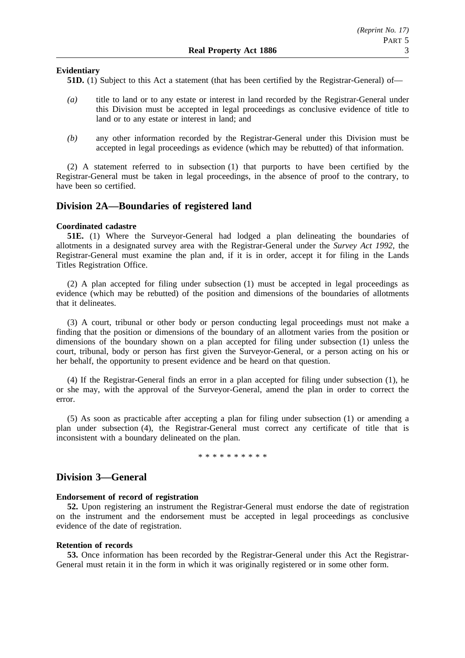#### **Evidentiary**

**51D.** (1) Subject to this Act a statement (that has been certified by the Registrar-General) of—

- *(a)* title to land or to any estate or interest in land recorded by the Registrar-General under this Division must be accepted in legal proceedings as conclusive evidence of title to land or to any estate or interest in land; and
- *(b)* any other information recorded by the Registrar-General under this Division must be accepted in legal proceedings as evidence (which may be rebutted) of that information.

(2) A statement referred to in subsection (1) that purports to have been certified by the Registrar-General must be taken in legal proceedings, in the absence of proof to the contrary, to have been so certified.

# **Division 2A—Boundaries of registered land**

#### **Coordinated cadastre**

**51E.** (1) Where the Surveyor-General had lodged a plan delineating the boundaries of allotments in a designated survey area with the Registrar-General under the *Survey Act 1992*, the Registrar-General must examine the plan and, if it is in order, accept it for filing in the Lands Titles Registration Office.

(2) A plan accepted for filing under subsection (1) must be accepted in legal proceedings as evidence (which may be rebutted) of the position and dimensions of the boundaries of allotments that it delineates.

(3) A court, tribunal or other body or person conducting legal proceedings must not make a finding that the position or dimensions of the boundary of an allotment varies from the position or dimensions of the boundary shown on a plan accepted for filing under subsection (1) unless the court, tribunal, body or person has first given the Surveyor-General, or a person acting on his or her behalf, the opportunity to present evidence and be heard on that question.

(4) If the Registrar-General finds an error in a plan accepted for filing under subsection (1), he or she may, with the approval of the Surveyor-General, amend the plan in order to correct the error.

(5) As soon as practicable after accepting a plan for filing under subsection (1) or amending a plan under subsection (4), the Registrar-General must correct any certificate of title that is inconsistent with a boundary delineated on the plan.

\*\*\*\*\*\*\*\*\*\*

# **Division 3—General**

#### **Endorsement of record of registration**

**52.** Upon registering an instrument the Registrar-General must endorse the date of registration on the instrument and the endorsement must be accepted in legal proceedings as conclusive evidence of the date of registration.

#### **Retention of records**

**53.** Once information has been recorded by the Registrar-General under this Act the Registrar-General must retain it in the form in which it was originally registered or in some other form.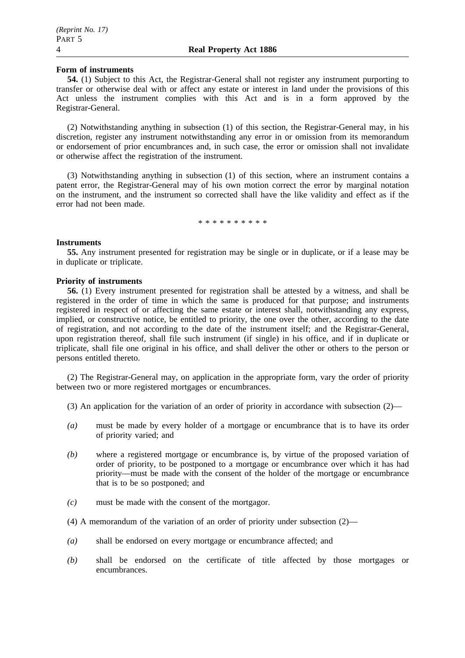#### **Form of instruments**

**54.** (1) Subject to this Act, the Registrar-General shall not register any instrument purporting to transfer or otherwise deal with or affect any estate or interest in land under the provisions of this Act unless the instrument complies with this Act and is in a form approved by the Registrar-General.

(2) Notwithstanding anything in subsection (1) of this section, the Registrar-General may, in his discretion, register any instrument notwithstanding any error in or omission from its memorandum or endorsement of prior encumbrances and, in such case, the error or omission shall not invalidate or otherwise affect the registration of the instrument.

(3) Notwithstanding anything in subsection (1) of this section, where an instrument contains a patent error, the Registrar-General may of his own motion correct the error by marginal notation on the instrument, and the instrument so corrected shall have the like validity and effect as if the error had not been made.

\*\*\*\*\*\*\*\*\*\*

#### **Instruments**

**55.** Any instrument presented for registration may be single or in duplicate, or if a lease may be in duplicate or triplicate.

### **Priority of instruments**

**56.** (1) Every instrument presented for registration shall be attested by a witness, and shall be registered in the order of time in which the same is produced for that purpose; and instruments registered in respect of or affecting the same estate or interest shall, notwithstanding any express, implied, or constructive notice, be entitled to priority, the one over the other, according to the date of registration, and not according to the date of the instrument itself; and the Registrar-General, upon registration thereof, shall file such instrument (if single) in his office, and if in duplicate or triplicate, shall file one original in his office, and shall deliver the other or others to the person or persons entitled thereto.

(2) The Registrar-General may, on application in the appropriate form, vary the order of priority between two or more registered mortgages or encumbrances.

- (3) An application for the variation of an order of priority in accordance with subsection (2)—
- *(a)* must be made by every holder of a mortgage or encumbrance that is to have its order of priority varied; and
- *(b)* where a registered mortgage or encumbrance is, by virtue of the proposed variation of order of priority, to be postponed to a mortgage or encumbrance over which it has had priority—must be made with the consent of the holder of the mortgage or encumbrance that is to be so postponed; and
- *(c)* must be made with the consent of the mortgagor.
- (4) A memorandum of the variation of an order of priority under subsection (2)—
- *(a)* shall be endorsed on every mortgage or encumbrance affected; and
- *(b)* shall be endorsed on the certificate of title affected by those mortgages or encumbrances.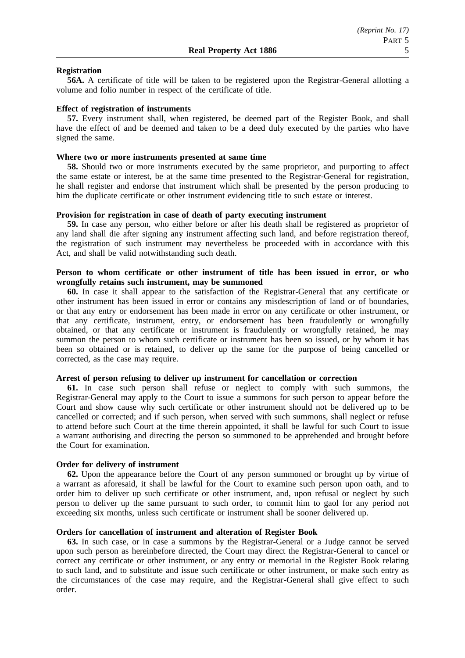#### **Registration**

**56A.** A certificate of title will be taken to be registered upon the Registrar-General allotting a volume and folio number in respect of the certificate of title.

#### **Effect of registration of instruments**

**57.** Every instrument shall, when registered, be deemed part of the Register Book, and shall have the effect of and be deemed and taken to be a deed duly executed by the parties who have signed the same.

#### **Where two or more instruments presented at same time**

**58.** Should two or more instruments executed by the same proprietor, and purporting to affect the same estate or interest, be at the same time presented to the Registrar-General for registration, he shall register and endorse that instrument which shall be presented by the person producing to him the duplicate certificate or other instrument evidencing title to such estate or interest.

#### **Provision for registration in case of death of party executing instrument**

**59.** In case any person, who either before or after his death shall be registered as proprietor of any land shall die after signing any instrument affecting such land, and before registration thereof, the registration of such instrument may nevertheless be proceeded with in accordance with this Act, and shall be valid notwithstanding such death.

# **Person to whom certificate or other instrument of title has been issued in error, or who wrongfully retains such instrument, may be summoned**

**60.** In case it shall appear to the satisfaction of the Registrar-General that any certificate or other instrument has been issued in error or contains any misdescription of land or of boundaries, or that any entry or endorsement has been made in error on any certificate or other instrument, or that any certificate, instrument, entry, or endorsement has been fraudulently or wrongfully obtained, or that any certificate or instrument is fraudulently or wrongfully retained, he may summon the person to whom such certificate or instrument has been so issued, or by whom it has been so obtained or is retained, to deliver up the same for the purpose of being cancelled or corrected, as the case may require.

#### **Arrest of person refusing to deliver up instrument for cancellation or correction**

**61.** In case such person shall refuse or neglect to comply with such summons, the Registrar-General may apply to the Court to issue a summons for such person to appear before the Court and show cause why such certificate or other instrument should not be delivered up to be cancelled or corrected; and if such person, when served with such summons, shall neglect or refuse to attend before such Court at the time therein appointed, it shall be lawful for such Court to issue a warrant authorising and directing the person so summoned to be apprehended and brought before the Court for examination.

#### **Order for delivery of instrument**

**62.** Upon the appearance before the Court of any person summoned or brought up by virtue of a warrant as aforesaid, it shall be lawful for the Court to examine such person upon oath, and to order him to deliver up such certificate or other instrument, and, upon refusal or neglect by such person to deliver up the same pursuant to such order, to commit him to gaol for any period not exceeding six months, unless such certificate or instrument shall be sooner delivered up.

#### **Orders for cancellation of instrument and alteration of Register Book**

**63.** In such case, or in case a summons by the Registrar-General or a Judge cannot be served upon such person as hereinbefore directed, the Court may direct the Registrar-General to cancel or correct any certificate or other instrument, or any entry or memorial in the Register Book relating to such land, and to substitute and issue such certificate or other instrument, or make such entry as the circumstances of the case may require, and the Registrar-General shall give effect to such order.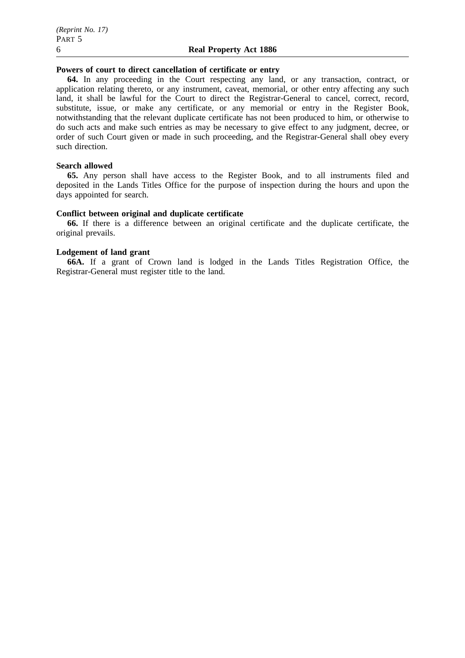#### **Powers of court to direct cancellation of certificate or entry**

**64.** In any proceeding in the Court respecting any land, or any transaction, contract, or application relating thereto, or any instrument, caveat, memorial, or other entry affecting any such land, it shall be lawful for the Court to direct the Registrar-General to cancel, correct, record, substitute, issue, or make any certificate, or any memorial or entry in the Register Book, notwithstanding that the relevant duplicate certificate has not been produced to him, or otherwise to do such acts and make such entries as may be necessary to give effect to any judgment, decree, or order of such Court given or made in such proceeding, and the Registrar-General shall obey every such direction.

#### **Search allowed**

**65.** Any person shall have access to the Register Book, and to all instruments filed and deposited in the Lands Titles Office for the purpose of inspection during the hours and upon the days appointed for search.

### **Conflict between original and duplicate certificate**

**66.** If there is a difference between an original certificate and the duplicate certificate, the original prevails.

### **Lodgement of land grant**

**66A.** If a grant of Crown land is lodged in the Lands Titles Registration Office, the Registrar-General must register title to the land.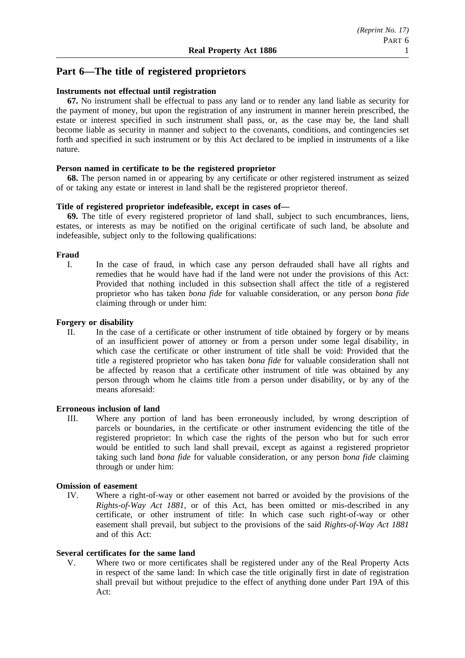# **Part 6—The title of registered proprietors**

### **Instruments not effectual until registration**

**67.** No instrument shall be effectual to pass any land or to render any land liable as security for the payment of money, but upon the registration of any instrument in manner herein prescribed, the estate or interest specified in such instrument shall pass, or, as the case may be, the land shall become liable as security in manner and subject to the covenants, conditions, and contingencies set forth and specified in such instrument or by this Act declared to be implied in instruments of a like nature.

### **Person named in certificate to be the registered proprietor**

**68.** The person named in or appearing by any certificate or other registered instrument as seized of or taking any estate or interest in land shall be the registered proprietor thereof.

### **Title of registered proprietor indefeasible, except in cases of—**

**69.** The title of every registered proprietor of land shall, subject to such encumbrances, liens, estates, or interests as may be notified on the original certificate of such land, be absolute and indefeasible, subject only to the following qualifications:

### **Fraud**

I. In the case of fraud, in which case any person defrauded shall have all rights and remedies that he would have had if the land were not under the provisions of this Act: Provided that nothing included in this subsection shall affect the title of a registered proprietor who has taken *bona fide* for valuable consideration, or any person *bona fide* claiming through or under him:

# **Forgery or disability**

II. In the case of a certificate or other instrument of title obtained by forgery or by means of an insufficient power of attorney or from a person under some legal disability, in which case the certificate or other instrument of title shall be void: Provided that the title a registered proprietor who has taken *bona fide* for valuable consideration shall not be affected by reason that a certificate other instrument of title was obtained by any person through whom he claims title from a person under disability, or by any of the means aforesaid:

### **Erroneous inclusion of land**

III. Where any portion of land has been erroneously included, by wrong description of parcels or boundaries, in the certificate or other instrument evidencing the title of the registered proprietor: In which case the rights of the person who but for such error would be entitled to such land shall prevail, except as against a registered proprietor taking such land *bona fide* for valuable consideration, or any person *bona fide* claiming through or under him:

# **Omission of easement**

IV. Where a right-of-way or other easement not barred or avoided by the provisions of the *Rights-of-Way Act 1881*, or of this Act, has been omitted or mis-described in any certificate, or other instrument of title: In which case such right-of-way or other easement shall prevail, but subject to the provisions of the said *Rights-of-Way Act 1881* and of this Act:

#### **Several certificates for the same land**

V. Where two or more certificates shall be registered under any of the Real Property Acts in respect of the same land: In which case the title originally first in date of registration shall prevail but without prejudice to the effect of anything done under Part 19A of this Act: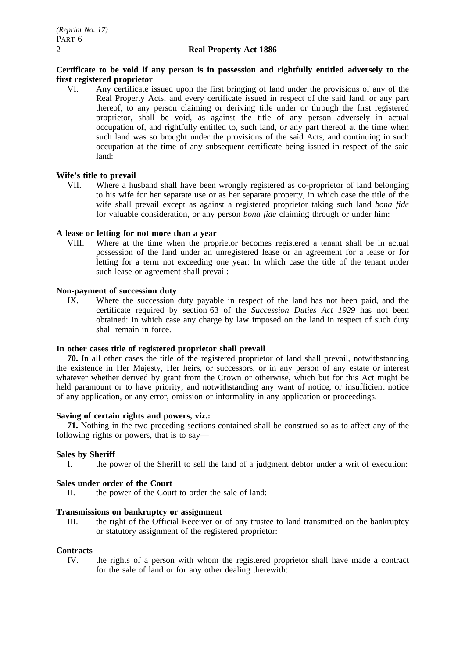# **Certificate to be void if any person is in possession and rightfully entitled adversely to the first registered proprietor**

VI. Any certificate issued upon the first bringing of land under the provisions of any of the Real Property Acts, and every certificate issued in respect of the said land, or any part thereof, to any person claiming or deriving title under or through the first registered proprietor, shall be void, as against the title of any person adversely in actual occupation of, and rightfully entitled to, such land, or any part thereof at the time when such land was so brought under the provisions of the said Acts, and continuing in such occupation at the time of any subsequent certificate being issued in respect of the said land:

# **Wife's title to prevail**

VII. Where a husband shall have been wrongly registered as co-proprietor of land belonging to his wife for her separate use or as her separate property, in which case the title of the wife shall prevail except as against a registered proprietor taking such land *bona fide* for valuable consideration, or any person *bona fide* claiming through or under him:

# **A lease or letting for not more than a year**

VIII. Where at the time when the proprietor becomes registered a tenant shall be in actual possession of the land under an unregistered lease or an agreement for a lease or for letting for a term not exceeding one year: In which case the title of the tenant under such lease or agreement shall prevail:

# **Non-payment of succession duty**

IX. Where the succession duty payable in respect of the land has not been paid, and the certificate required by section 63 of the *Succession Duties Act 1929* has not been obtained: In which case any charge by law imposed on the land in respect of such duty shall remain in force.

# **In other cases title of registered proprietor shall prevail**

**70.** In all other cases the title of the registered proprietor of land shall prevail, notwithstanding the existence in Her Majesty, Her heirs, or successors, or in any person of any estate or interest whatever whether derived by grant from the Crown or otherwise, which but for this Act might be held paramount or to have priority; and notwithstanding any want of notice, or insufficient notice of any application, or any error, omission or informality in any application or proceedings.

# **Saving of certain rights and powers, viz.:**

**71.** Nothing in the two preceding sections contained shall be construed so as to affect any of the following rights or powers, that is to say—

# **Sales by Sheriff**

I. the power of the Sheriff to sell the land of a judgment debtor under a writ of execution:

# **Sales under order of the Court**

II. the power of the Court to order the sale of land:

# **Transmissions on bankruptcy or assignment**

III. the right of the Official Receiver or of any trustee to land transmitted on the bankruptcy or statutory assignment of the registered proprietor:

# **Contracts**

IV. the rights of a person with whom the registered proprietor shall have made a contract for the sale of land or for any other dealing therewith: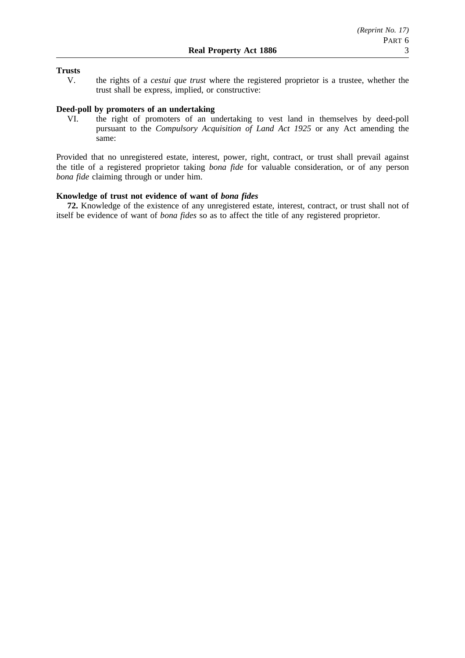### **Trusts**

V. the rights of a *cestui que trust* where the registered proprietor is a trustee, whether the trust shall be express, implied, or constructive:

### **Deed-poll by promoters of an undertaking**

VI. the right of promoters of an undertaking to vest land in themselves by deed-poll pursuant to the *Compulsory Acquisition of Land Act 1925* or any Act amending the same:

Provided that no unregistered estate, interest, power, right, contract, or trust shall prevail against the title of a registered proprietor taking *bona fide* for valuable consideration, or of any person *bona fide* claiming through or under him.

### **Knowledge of trust not evidence of want of** *bona fides*

**72.** Knowledge of the existence of any unregistered estate, interest, contract, or trust shall not of itself be evidence of want of *bona fides* so as to affect the title of any registered proprietor.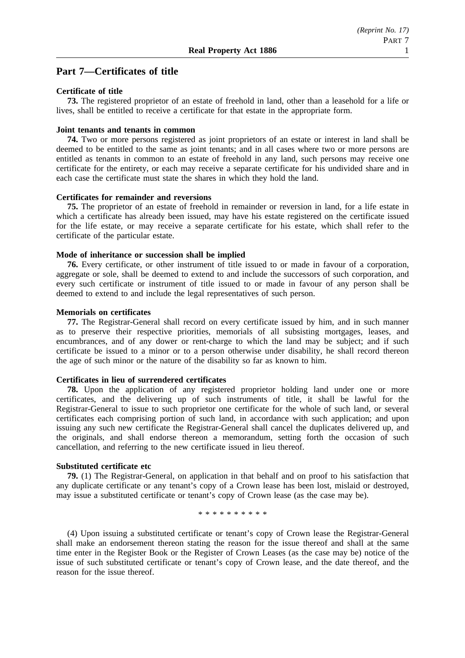## **Part 7—Certificates of title**

#### **Certificate of title**

**73.** The registered proprietor of an estate of freehold in land, other than a leasehold for a life or lives, shall be entitled to receive a certificate for that estate in the appropriate form.

#### **Joint tenants and tenants in common**

**74.** Two or more persons registered as joint proprietors of an estate or interest in land shall be deemed to be entitled to the same as joint tenants; and in all cases where two or more persons are entitled as tenants in common to an estate of freehold in any land, such persons may receive one certificate for the entirety, or each may receive a separate certificate for his undivided share and in each case the certificate must state the shares in which they hold the land.

#### **Certificates for remainder and reversions**

**75.** The proprietor of an estate of freehold in remainder or reversion in land, for a life estate in which a certificate has already been issued, may have his estate registered on the certificate issued for the life estate, or may receive a separate certificate for his estate, which shall refer to the certificate of the particular estate.

#### **Mode of inheritance or succession shall be implied**

**76.** Every certificate, or other instrument of title issued to or made in favour of a corporation, aggregate or sole, shall be deemed to extend to and include the successors of such corporation, and every such certificate or instrument of title issued to or made in favour of any person shall be deemed to extend to and include the legal representatives of such person.

#### **Memorials on certificates**

**77.** The Registrar-General shall record on every certificate issued by him, and in such manner as to preserve their respective priorities, memorials of all subsisting mortgages, leases, and encumbrances, and of any dower or rent-charge to which the land may be subject; and if such certificate be issued to a minor or to a person otherwise under disability, he shall record thereon the age of such minor or the nature of the disability so far as known to him.

### **Certificates in lieu of surrendered certificates**

**78.** Upon the application of any registered proprietor holding land under one or more certificates, and the delivering up of such instruments of title, it shall be lawful for the Registrar-General to issue to such proprietor one certificate for the whole of such land, or several certificates each comprising portion of such land, in accordance with such application; and upon issuing any such new certificate the Registrar-General shall cancel the duplicates delivered up, and the originals, and shall endorse thereon a memorandum, setting forth the occasion of such cancellation, and referring to the new certificate issued in lieu thereof.

### **Substituted certificate etc**

**79.** (1) The Registrar-General, on application in that behalf and on proof to his satisfaction that any duplicate certificate or any tenant's copy of a Crown lease has been lost, mislaid or destroyed, may issue a substituted certificate or tenant's copy of Crown lease (as the case may be).

\*\*\*\*\*\*\*\*\*\*

(4) Upon issuing a substituted certificate or tenant's copy of Crown lease the Registrar-General shall make an endorsement thereon stating the reason for the issue thereof and shall at the same time enter in the Register Book or the Register of Crown Leases (as the case may be) notice of the issue of such substituted certificate or tenant's copy of Crown lease, and the date thereof, and the reason for the issue thereof.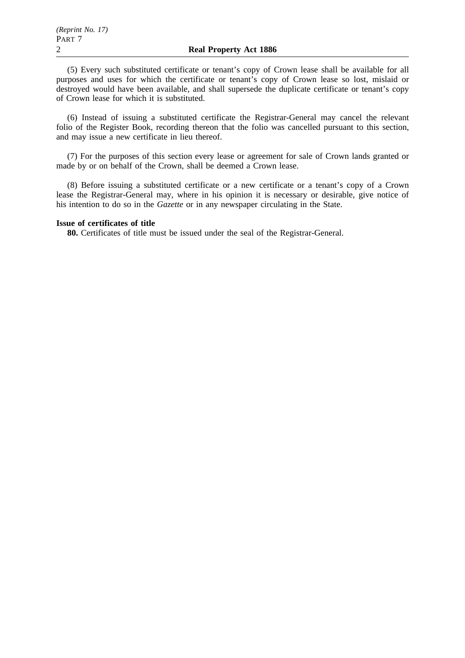(5) Every such substituted certificate or tenant's copy of Crown lease shall be available for all purposes and uses for which the certificate or tenant's copy of Crown lease so lost, mislaid or destroyed would have been available, and shall supersede the duplicate certificate or tenant's copy of Crown lease for which it is substituted.

(6) Instead of issuing a substituted certificate the Registrar-General may cancel the relevant folio of the Register Book, recording thereon that the folio was cancelled pursuant to this section, and may issue a new certificate in lieu thereof.

(7) For the purposes of this section every lease or agreement for sale of Crown lands granted or made by or on behalf of the Crown, shall be deemed a Crown lease.

(8) Before issuing a substituted certificate or a new certificate or a tenant's copy of a Crown lease the Registrar-General may, where in his opinion it is necessary or desirable, give notice of his intention to do so in the *Gazette* or in any newspaper circulating in the State.

#### **Issue of certificates of title**

**80.** Certificates of title must be issued under the seal of the Registrar-General.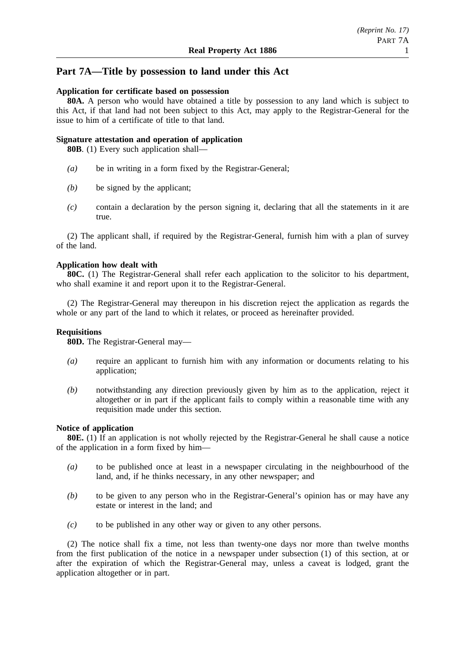# **Part 7A—Title by possession to land under this Act**

### **Application for certificate based on possession**

**80A.** A person who would have obtained a title by possession to any land which is subject to this Act, if that land had not been subject to this Act, may apply to the Registrar-General for the issue to him of a certificate of title to that land.

### **Signature attestation and operation of application**

**80B**. (1) Every such application shall—

- *(a)* be in writing in a form fixed by the Registrar-General;
- *(b)* be signed by the applicant;
- *(c)* contain a declaration by the person signing it, declaring that all the statements in it are true.

(2) The applicant shall, if required by the Registrar-General, furnish him with a plan of survey of the land.

## **Application how dealt with**

**80C.** (1) The Registrar-General shall refer each application to the solicitor to his department, who shall examine it and report upon it to the Registrar-General.

(2) The Registrar-General may thereupon in his discretion reject the application as regards the whole or any part of the land to which it relates, or proceed as hereinafter provided.

### **Requisitions**

**80D.** The Registrar-General may—

- *(a)* require an applicant to furnish him with any information or documents relating to his application;
- *(b)* notwithstanding any direction previously given by him as to the application, reject it altogether or in part if the applicant fails to comply within a reasonable time with any requisition made under this section.

### **Notice of application**

**80E.** (1) If an application is not wholly rejected by the Registrar-General he shall cause a notice of the application in a form fixed by him—

- *(a)* to be published once at least in a newspaper circulating in the neighbourhood of the land, and, if he thinks necessary, in any other newspaper; and
- *(b)* to be given to any person who in the Registrar-General's opinion has or may have any estate or interest in the land; and
- *(c)* to be published in any other way or given to any other persons.

(2) The notice shall fix a time, not less than twenty-one days nor more than twelve months from the first publication of the notice in a newspaper under subsection (1) of this section, at or after the expiration of which the Registrar-General may, unless a caveat is lodged, grant the application altogether or in part.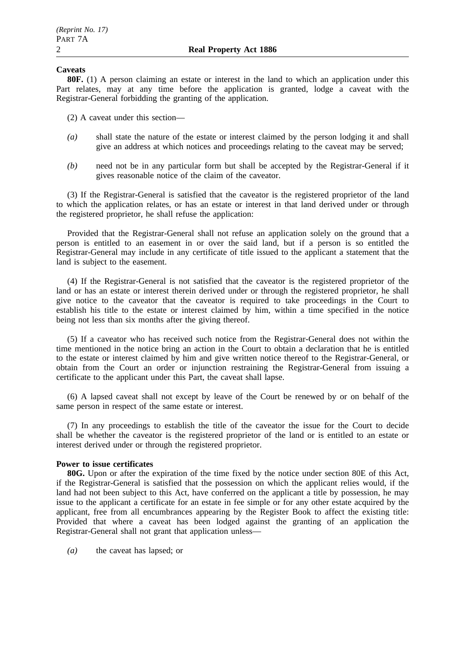### **Caveats**

**80F.** (1) A person claiming an estate or interest in the land to which an application under this Part relates, may at any time before the application is granted, lodge a caveat with the Registrar-General forbidding the granting of the application.

- (2) A caveat under this section—
- *(a)* shall state the nature of the estate or interest claimed by the person lodging it and shall give an address at which notices and proceedings relating to the caveat may be served;
- *(b)* need not be in any particular form but shall be accepted by the Registrar-General if it gives reasonable notice of the claim of the caveator.

(3) If the Registrar-General is satisfied that the caveator is the registered proprietor of the land to which the application relates, or has an estate or interest in that land derived under or through the registered proprietor, he shall refuse the application:

Provided that the Registrar-General shall not refuse an application solely on the ground that a person is entitled to an easement in or over the said land, but if a person is so entitled the Registrar-General may include in any certificate of title issued to the applicant a statement that the land is subject to the easement.

(4) If the Registrar-General is not satisfied that the caveator is the registered proprietor of the land or has an estate or interest therein derived under or through the registered proprietor, he shall give notice to the caveator that the caveator is required to take proceedings in the Court to establish his title to the estate or interest claimed by him, within a time specified in the notice being not less than six months after the giving thereof.

(5) If a caveator who has received such notice from the Registrar-General does not within the time mentioned in the notice bring an action in the Court to obtain a declaration that he is entitled to the estate or interest claimed by him and give written notice thereof to the Registrar-General, or obtain from the Court an order or injunction restraining the Registrar-General from issuing a certificate to the applicant under this Part, the caveat shall lapse.

(6) A lapsed caveat shall not except by leave of the Court be renewed by or on behalf of the same person in respect of the same estate or interest.

(7) In any proceedings to establish the title of the caveator the issue for the Court to decide shall be whether the caveator is the registered proprietor of the land or is entitled to an estate or interest derived under or through the registered proprietor.

### **Power to issue certificates**

**80G.** Upon or after the expiration of the time fixed by the notice under section 80E of this Act, if the Registrar-General is satisfied that the possession on which the applicant relies would, if the land had not been subject to this Act, have conferred on the applicant a title by possession, he may issue to the applicant a certificate for an estate in fee simple or for any other estate acquired by the applicant, free from all encumbrances appearing by the Register Book to affect the existing title: Provided that where a caveat has been lodged against the granting of an application the Registrar-General shall not grant that application unless—

*(a)* the caveat has lapsed; or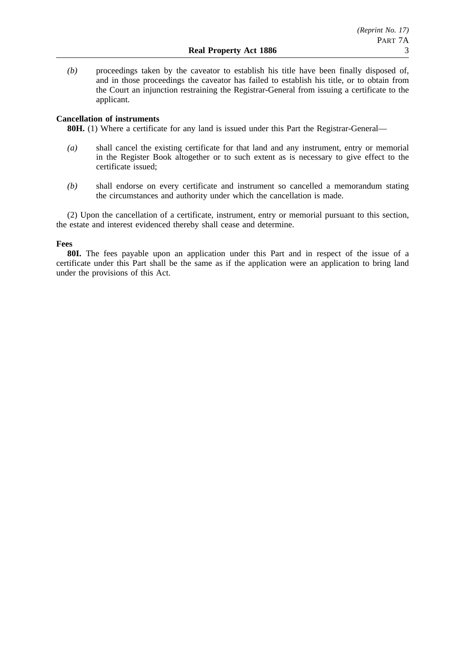*(b)* proceedings taken by the caveator to establish his title have been finally disposed of, and in those proceedings the caveator has failed to establish his title, or to obtain from the Court an injunction restraining the Registrar-General from issuing a certificate to the applicant.

## **Cancellation of instruments**

**80H.** (1) Where a certificate for any land is issued under this Part the Registrar-General—

- *(a)* shall cancel the existing certificate for that land and any instrument, entry or memorial in the Register Book altogether or to such extent as is necessary to give effect to the certificate issued;
- *(b)* shall endorse on every certificate and instrument so cancelled a memorandum stating the circumstances and authority under which the cancellation is made.

(2) Upon the cancellation of a certificate, instrument, entry or memorial pursuant to this section, the estate and interest evidenced thereby shall cease and determine.

## **Fees**

**80I.** The fees payable upon an application under this Part and in respect of the issue of a certificate under this Part shall be the same as if the application were an application to bring land under the provisions of this Act.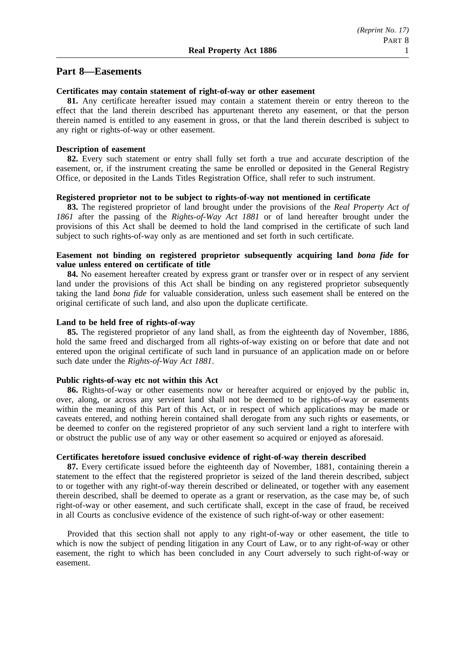## **Part 8—Easements**

## **Certificates may contain statement of right-of-way or other easement**

**81.** Any certificate hereafter issued may contain a statement therein or entry thereon to the effect that the land therein described has appurtenant thereto any easement, or that the person therein named is entitled to any easement in gross, or that the land therein described is subject to any right or rights-of-way or other easement.

#### **Description of easement**

**82.** Every such statement or entry shall fully set forth a true and accurate description of the easement, or, if the instrument creating the same be enrolled or deposited in the General Registry Office, or deposited in the Lands Titles Registration Office, shall refer to such instrument.

#### **Registered proprietor not to be subject to rights-of-way not mentioned in certificate**

**83.** The registered proprietor of land brought under the provisions of the *Real Property Act of 1861* after the passing of the *Rights-of-Way Act 1881* or of land hereafter brought under the provisions of this Act shall be deemed to hold the land comprised in the certificate of such land subject to such rights-of-way only as are mentioned and set forth in such certificate.

## **Easement not binding on registered proprietor subsequently acquiring land** *bona fide* **for value unless entered on certificate of title**

**84.** No easement hereafter created by express grant or transfer over or in respect of any servient land under the provisions of this Act shall be binding on any registered proprietor subsequently taking the land *bona fide* for valuable consideration, unless such easement shall be entered on the original certificate of such land, and also upon the duplicate certificate.

#### **Land to be held free of rights-of-way**

**85.** The registered proprietor of any land shall, as from the eighteenth day of November, 1886, hold the same freed and discharged from all rights-of-way existing on or before that date and not entered upon the original certificate of such land in pursuance of an application made on or before such date under the *Rights-of-Way Act 1881*.

### **Public rights-of-way etc not within this Act**

**86.** Rights-of-way or other easements now or hereafter acquired or enjoyed by the public in, over, along, or across any servient land shall not be deemed to be rights-of-way or easements within the meaning of this Part of this Act, or in respect of which applications may be made or caveats entered, and nothing herein contained shall derogate from any such rights or easements, or be deemed to confer on the registered proprietor of any such servient land a right to interfere with or obstruct the public use of any way or other easement so acquired or enjoyed as aforesaid.

### **Certificates heretofore issued conclusive evidence of right-of-way therein described**

**87.** Every certificate issued before the eighteenth day of November, 1881, containing therein a statement to the effect that the registered proprietor is seized of the land therein described, subject to or together with any right-of-way therein described or delineated, or together with any easement therein described, shall be deemed to operate as a grant or reservation, as the case may be, of such right-of-way or other easement, and such certificate shall, except in the case of fraud, be received in all Courts as conclusive evidence of the existence of such right-of-way or other easement:

Provided that this section shall not apply to any right-of-way or other easement, the title to which is now the subject of pending litigation in any Court of Law, or to any right-of-way or other easement, the right to which has been concluded in any Court adversely to such right-of-way or easement.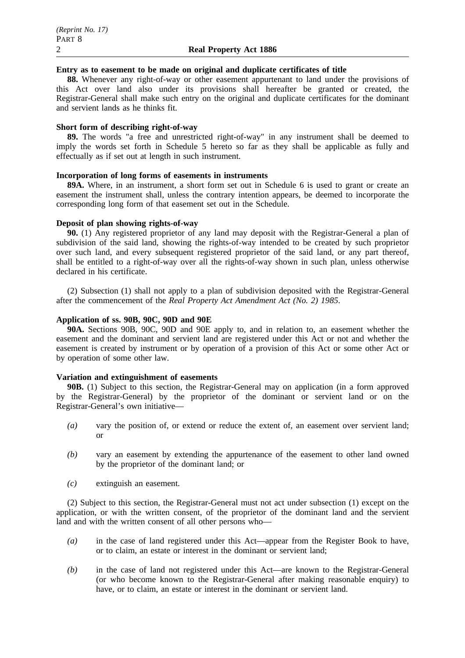#### **Entry as to easement to be made on original and duplicate certificates of title**

**88.** Whenever any right-of-way or other easement appurtenant to land under the provisions of this Act over land also under its provisions shall hereafter be granted or created, the Registrar-General shall make such entry on the original and duplicate certificates for the dominant and servient lands as he thinks fit.

### **Short form of describing right-of-way**

**89.** The words "a free and unrestricted right-of-way" in any instrument shall be deemed to imply the words set forth in Schedule 5 hereto so far as they shall be applicable as fully and effectually as if set out at length in such instrument.

#### **Incorporation of long forms of easements in instruments**

**89A.** Where, in an instrument, a short form set out in Schedule 6 is used to grant or create an easement the instrument shall, unless the contrary intention appears, be deemed to incorporate the corresponding long form of that easement set out in the Schedule.

#### **Deposit of plan showing rights-of-way**

**90.** (1) Any registered proprietor of any land may deposit with the Registrar-General a plan of subdivision of the said land, showing the rights-of-way intended to be created by such proprietor over such land, and every subsequent registered proprietor of the said land, or any part thereof, shall be entitled to a right-of-way over all the rights-of-way shown in such plan, unless otherwise declared in his certificate.

(2) Subsection (1) shall not apply to a plan of subdivision deposited with the Registrar-General after the commencement of the *Real Property Act Amendment Act (No. 2) 1985*.

#### **Application of ss. 90B, 90C, 90D and 90E**

**90A.** Sections 90B, 90C, 90D and 90E apply to, and in relation to, an easement whether the easement and the dominant and servient land are registered under this Act or not and whether the easement is created by instrument or by operation of a provision of this Act or some other Act or by operation of some other law.

### **Variation and extinguishment of easements**

**90B.** (1) Subject to this section, the Registrar-General may on application (in a form approved by the Registrar-General) by the proprietor of the dominant or servient land or on the Registrar-General's own initiative—

- *(a)* vary the position of, or extend or reduce the extent of, an easement over servient land; or
- *(b)* vary an easement by extending the appurtenance of the easement to other land owned by the proprietor of the dominant land; or
- *(c)* extinguish an easement.

(2) Subject to this section, the Registrar-General must not act under subsection (1) except on the application, or with the written consent, of the proprietor of the dominant land and the servient land and with the written consent of all other persons who—

- *(a)* in the case of land registered under this Act—appear from the Register Book to have, or to claim, an estate or interest in the dominant or servient land;
- *(b)* in the case of land not registered under this Act—are known to the Registrar-General (or who become known to the Registrar-General after making reasonable enquiry) to have, or to claim, an estate or interest in the dominant or servient land.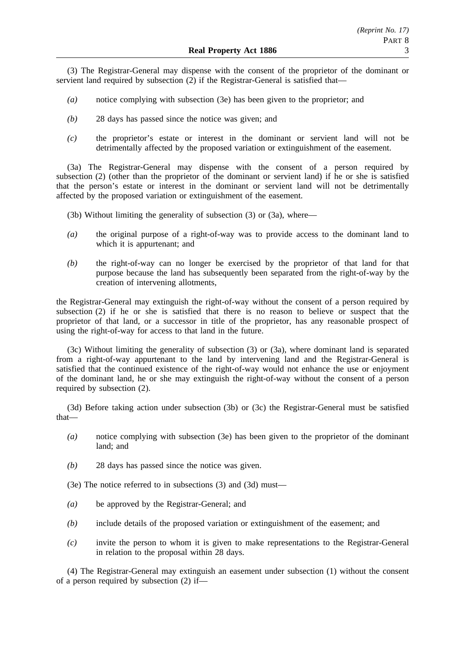(3) The Registrar-General may dispense with the consent of the proprietor of the dominant or servient land required by subsection (2) if the Registrar-General is satisfied that—

- *(a)* notice complying with subsection (3e) has been given to the proprietor; and
- *(b)* 28 days has passed since the notice was given; and
- *(c)* the proprietor's estate or interest in the dominant or servient land will not be detrimentally affected by the proposed variation or extinguishment of the easement.

(3a) The Registrar-General may dispense with the consent of a person required by subsection (2) (other than the proprietor of the dominant or servient land) if he or she is satisfied that the person's estate or interest in the dominant or servient land will not be detrimentally affected by the proposed variation or extinguishment of the easement.

(3b) Without limiting the generality of subsection (3) or (3a), where—

- *(a)* the original purpose of a right-of-way was to provide access to the dominant land to which it is appurtenant; and
- *(b)* the right-of-way can no longer be exercised by the proprietor of that land for that purpose because the land has subsequently been separated from the right-of-way by the creation of intervening allotments,

the Registrar-General may extinguish the right-of-way without the consent of a person required by subsection (2) if he or she is satisfied that there is no reason to believe or suspect that the proprietor of that land, or a successor in title of the proprietor, has any reasonable prospect of using the right-of-way for access to that land in the future.

(3c) Without limiting the generality of subsection (3) or (3a), where dominant land is separated from a right-of-way appurtenant to the land by intervening land and the Registrar-General is satisfied that the continued existence of the right-of-way would not enhance the use or enjoyment of the dominant land, he or she may extinguish the right-of-way without the consent of a person required by subsection (2).

(3d) Before taking action under subsection (3b) or (3c) the Registrar-General must be satisfied that—

- *(a)* notice complying with subsection (3e) has been given to the proprietor of the dominant land; and
- *(b)* 28 days has passed since the notice was given.

(3e) The notice referred to in subsections (3) and (3d) must—

- *(a)* be approved by the Registrar-General; and
- *(b)* include details of the proposed variation or extinguishment of the easement; and
- *(c)* invite the person to whom it is given to make representations to the Registrar-General in relation to the proposal within 28 days.

(4) The Registrar-General may extinguish an easement under subsection (1) without the consent of a person required by subsection (2) if—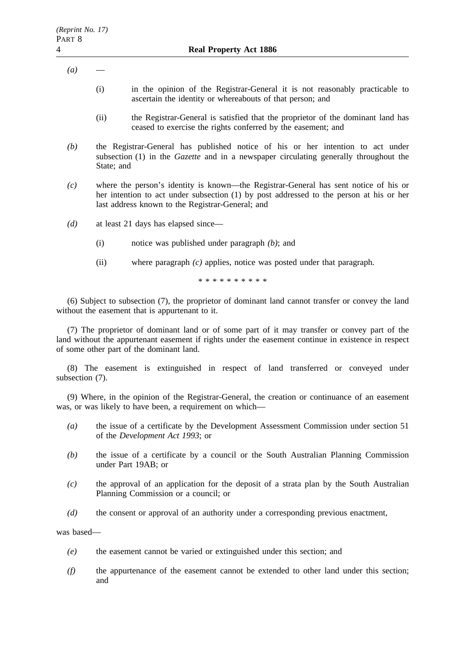- $(a)$ 
	- (i) in the opinion of the Registrar-General it is not reasonably practicable to ascertain the identity or whereabouts of that person; and
	- (ii) the Registrar-General is satisfied that the proprietor of the dominant land has ceased to exercise the rights conferred by the easement; and
- *(b)* the Registrar-General has published notice of his or her intention to act under subsection (1) in the *Gazette* and in a newspaper circulating generally throughout the State; and
- *(c)* where the person's identity is known—the Registrar-General has sent notice of his or her intention to act under subsection (1) by post addressed to the person at his or her last address known to the Registrar-General; and
- *(d)* at least 21 days has elapsed since—
	- (i) notice was published under paragraph *(b)*; and
	- (ii) where paragraph *(c)* applies, notice was posted under that paragraph.

\*\*\*\*\*\*\*\*\*\*

(6) Subject to subsection (7), the proprietor of dominant land cannot transfer or convey the land without the easement that is appurtenant to it.

(7) The proprietor of dominant land or of some part of it may transfer or convey part of the land without the appurtenant easement if rights under the easement continue in existence in respect of some other part of the dominant land.

(8) The easement is extinguished in respect of land transferred or conveyed under subsection (7).

(9) Where, in the opinion of the Registrar-General, the creation or continuance of an easement was, or was likely to have been, a requirement on which—

- *(a)* the issue of a certificate by the Development Assessment Commission under section 51 of the *Development Act 1993*; or
- *(b)* the issue of a certificate by a council or the South Australian Planning Commission under Part 19AB; or
- *(c)* the approval of an application for the deposit of a strata plan by the South Australian Planning Commission or a council; or
- *(d)* the consent or approval of an authority under a corresponding previous enactment,

was based—

- *(e)* the easement cannot be varied or extinguished under this section; and
- *(f)* the appurtenance of the easement cannot be extended to other land under this section; and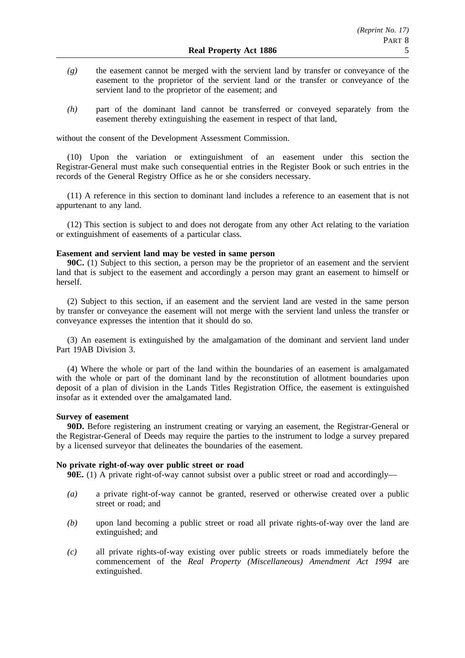- *(g)* the easement cannot be merged with the servient land by transfer or conveyance of the easement to the proprietor of the servient land or the transfer or conveyance of the servient land to the proprietor of the easement; and
- *(h)* part of the dominant land cannot be transferred or conveyed separately from the easement thereby extinguishing the easement in respect of that land,

without the consent of the Development Assessment Commission.

(10) Upon the variation or extinguishment of an easement under this section the Registrar-General must make such consequential entries in the Register Book or such entries in the records of the General Registry Office as he or she considers necessary.

(11) A reference in this section to dominant land includes a reference to an easement that is not appurtenant to any land.

(12) This section is subject to and does not derogate from any other Act relating to the variation or extinguishment of easements of a particular class.

### **Easement and servient land may be vested in same person**

**90C.** (1) Subject to this section, a person may be the proprietor of an easement and the servient land that is subject to the easement and accordingly a person may grant an easement to himself or herself.

(2) Subject to this section, if an easement and the servient land are vested in the same person by transfer or conveyance the easement will not merge with the servient land unless the transfer or conveyance expresses the intention that it should do so.

(3) An easement is extinguished by the amalgamation of the dominant and servient land under Part 19AB Division 3.

(4) Where the whole or part of the land within the boundaries of an easement is amalgamated with the whole or part of the dominant land by the reconstitution of allotment boundaries upon deposit of a plan of division in the Lands Titles Registration Office, the easement is extinguished insofar as it extended over the amalgamated land.

### **Survey of easement**

**90D.** Before registering an instrument creating or varying an easement, the Registrar-General or the Registrar-General of Deeds may require the parties to the instrument to lodge a survey prepared by a licensed surveyor that delineates the boundaries of the easement.

### **No private right-of-way over public street or road**

**90E.** (1) A private right-of-way cannot subsist over a public street or road and accordingly—

- *(a)* a private right-of-way cannot be granted, reserved or otherwise created over a public street or road; and
- *(b)* upon land becoming a public street or road all private rights-of-way over the land are extinguished; and
- *(c)* all private rights-of-way existing over public streets or roads immediately before the commencement of the *Real Property (Miscellaneous) Amendment Act 1994* are extinguished.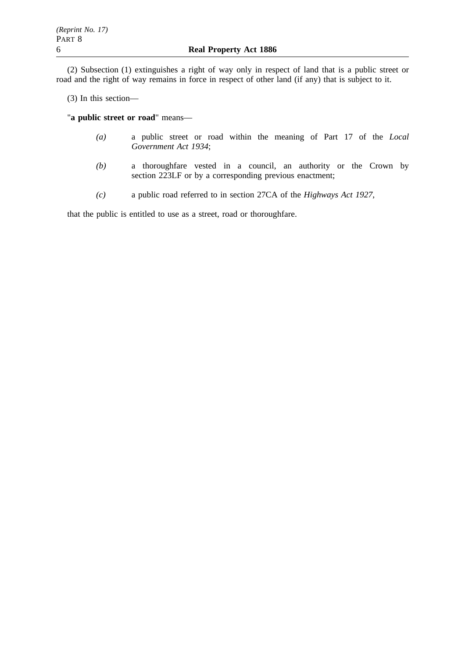(2) Subsection (1) extinguishes a right of way only in respect of land that is a public street or road and the right of way remains in force in respect of other land (if any) that is subject to it.

(3) In this section—

"**a public street or road**" means—

- *(a)* a public street or road within the meaning of Part 17 of the *Local Government Act 1934*;
- *(b)* a thoroughfare vested in a council, an authority or the Crown by section 223LF or by a corresponding previous enactment;
- *(c)* a public road referred to in section 27CA of the *Highways Act 1927*,

that the public is entitled to use as a street, road or thoroughfare.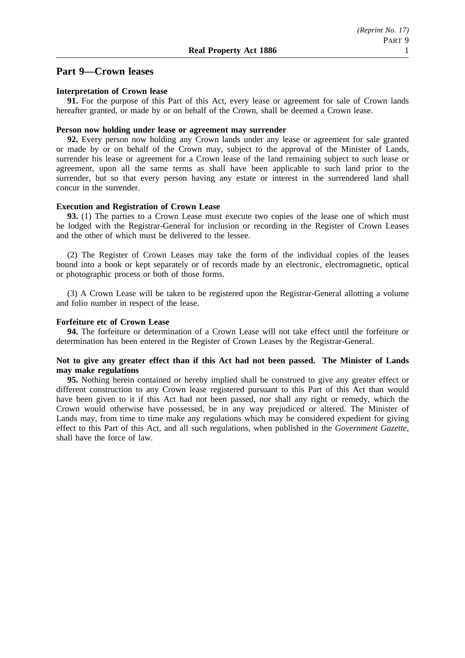## **Part 9—Crown leases**

#### **Interpretation of Crown lease**

**91.** For the purpose of this Part of this Act, every lease or agreement for sale of Crown lands hereafter granted, or made by or on behalf of the Crown, shall be deemed a Crown lease.

#### **Person now holding under lease or agreement may surrender**

**92.** Every person now holding any Crown lands under any lease or agreement for sale granted or made by or on behalf of the Crown may, subject to the approval of the Minister of Lands, surrender his lease or agreement for a Crown lease of the land remaining subject to such lease or agreement, upon all the same terms as shall have been applicable to such land prior to the surrender, but so that every person having any estate or interest in the surrendered land shall concur in the surrender.

#### **Execution and Registration of Crown Lease**

**93.** (1) The parties to a Crown Lease must execute two copies of the lease one of which must be lodged with the Registrar-General for inclusion or recording in the Register of Crown Leases and the other of which must be delivered to the lessee.

(2) The Register of Crown Leases may take the form of the individual copies of the leases bound into a book or kept separately or of records made by an electronic, electromagnetic, optical or photographic process or both of those forms.

(3) A Crown Lease will be taken to be registered upon the Registrar-General allotting a volume and folio number in respect of the lease.

#### **Forfeiture etc of Crown Lease**

**94.** The forfeiture or determination of a Crown Lease will not take effect until the forfeiture or determination has been entered in the Register of Crown Leases by the Registrar-General.

### **Not to give any greater effect than if this Act had not been passed. The Minister of Lands may make regulations**

**95.** Nothing herein contained or hereby implied shall be construed to give any greater effect or different construction to any Crown lease registered pursuant to this Part of this Act than would have been given to it if this Act had not been passed, nor shall any right or remedy, which the Crown would otherwise have possessed, be in any way prejudiced or altered. The Minister of Lands may, from time to time make any regulations which may be considered expedient for giving effect to this Part of this Act, and all such regulations, when published in the *Government Gazette*, shall have the force of law.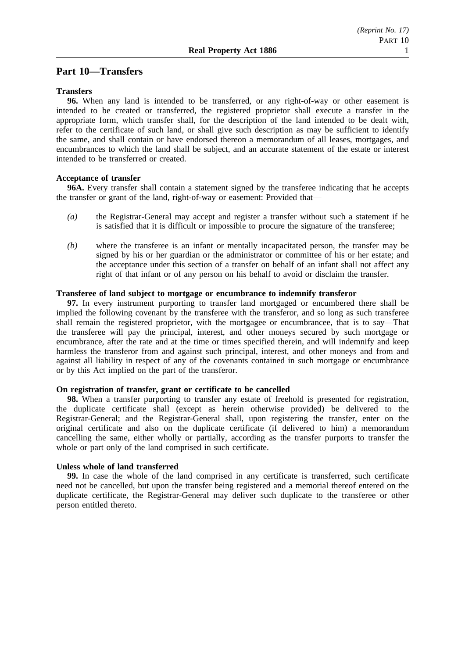# **Part 10—Transfers**

## **Transfers**

**96.** When any land is intended to be transferred, or any right-of-way or other easement is intended to be created or transferred, the registered proprietor shall execute a transfer in the appropriate form, which transfer shall, for the description of the land intended to be dealt with, refer to the certificate of such land, or shall give such description as may be sufficient to identify the same, and shall contain or have endorsed thereon a memorandum of all leases, mortgages, and encumbrances to which the land shall be subject, and an accurate statement of the estate or interest intended to be transferred or created.

## **Acceptance of transfer**

**96A.** Every transfer shall contain a statement signed by the transferee indicating that he accepts the transfer or grant of the land, right-of-way or easement: Provided that—

- *(a)* the Registrar-General may accept and register a transfer without such a statement if he is satisfied that it is difficult or impossible to procure the signature of the transferee;
- *(b)* where the transferee is an infant or mentally incapacitated person, the transfer may be signed by his or her guardian or the administrator or committee of his or her estate; and the acceptance under this section of a transfer on behalf of an infant shall not affect any right of that infant or of any person on his behalf to avoid or disclaim the transfer.

### **Transferee of land subject to mortgage or encumbrance to indemnify transferor**

**97.** In every instrument purporting to transfer land mortgaged or encumbered there shall be implied the following covenant by the transferee with the transferor, and so long as such transferee shall remain the registered proprietor, with the mortgagee or encumbrancee, that is to say—That the transferee will pay the principal, interest, and other moneys secured by such mortgage or encumbrance, after the rate and at the time or times specified therein, and will indemnify and keep harmless the transferor from and against such principal, interest, and other moneys and from and against all liability in respect of any of the covenants contained in such mortgage or encumbrance or by this Act implied on the part of the transferor.

### **On registration of transfer, grant or certificate to be cancelled**

**98.** When a transfer purporting to transfer any estate of freehold is presented for registration, the duplicate certificate shall (except as herein otherwise provided) be delivered to the Registrar-General; and the Registrar-General shall, upon registering the transfer, enter on the original certificate and also on the duplicate certificate (if delivered to him) a memorandum cancelling the same, either wholly or partially, according as the transfer purports to transfer the whole or part only of the land comprised in such certificate.

### **Unless whole of land transferred**

**99.** In case the whole of the land comprised in any certificate is transferred, such certificate need not be cancelled, but upon the transfer being registered and a memorial thereof entered on the duplicate certificate, the Registrar-General may deliver such duplicate to the transferee or other person entitled thereto.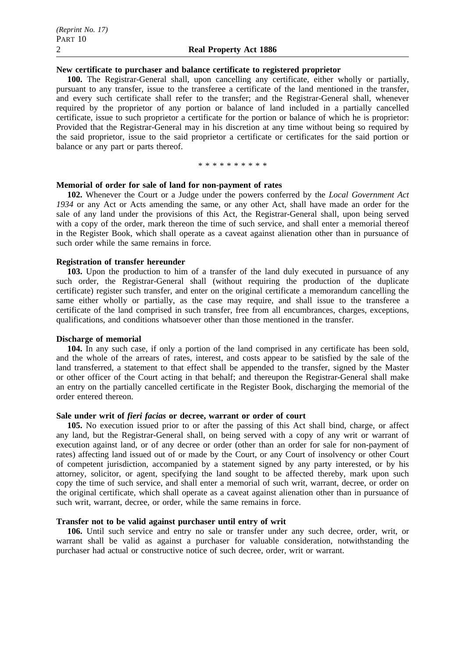### **New certificate to purchaser and balance certificate to registered proprietor**

**100.** The Registrar-General shall, upon cancelling any certificate, either wholly or partially, pursuant to any transfer, issue to the transferee a certificate of the land mentioned in the transfer, and every such certificate shall refer to the transfer; and the Registrar-General shall, whenever required by the proprietor of any portion or balance of land included in a partially cancelled certificate, issue to such proprietor a certificate for the portion or balance of which he is proprietor: Provided that the Registrar-General may in his discretion at any time without being so required by the said proprietor, issue to the said proprietor a certificate or certificates for the said portion or balance or any part or parts thereof.

\*\*\*\*\*\*\*\*\*\*

### **Memorial of order for sale of land for non-payment of rates**

**102.** Whenever the Court or a Judge under the powers conferred by the *Local Government Act 1934* or any Act or Acts amending the same, or any other Act, shall have made an order for the sale of any land under the provisions of this Act, the Registrar-General shall, upon being served with a copy of the order, mark thereon the time of such service, and shall enter a memorial thereof in the Register Book, which shall operate as a caveat against alienation other than in pursuance of such order while the same remains in force.

### **Registration of transfer hereunder**

**103.** Upon the production to him of a transfer of the land duly executed in pursuance of any such order, the Registrar-General shall (without requiring the production of the duplicate certificate) register such transfer, and enter on the original certificate a memorandum cancelling the same either wholly or partially, as the case may require, and shall issue to the transferee a certificate of the land comprised in such transfer, free from all encumbrances, charges, exceptions, qualifications, and conditions whatsoever other than those mentioned in the transfer.

#### **Discharge of memorial**

**104.** In any such case, if only a portion of the land comprised in any certificate has been sold, and the whole of the arrears of rates, interest, and costs appear to be satisfied by the sale of the land transferred, a statement to that effect shall be appended to the transfer, signed by the Master or other officer of the Court acting in that behalf; and thereupon the Registrar-General shall make an entry on the partially cancelled certificate in the Register Book, discharging the memorial of the order entered thereon.

### **Sale under writ of** *fieri facias* **or decree, warrant or order of court**

**105.** No execution issued prior to or after the passing of this Act shall bind, charge, or affect any land, but the Registrar-General shall, on being served with a copy of any writ or warrant of execution against land, or of any decree or order (other than an order for sale for non-payment of rates) affecting land issued out of or made by the Court, or any Court of insolvency or other Court of competent jurisdiction, accompanied by a statement signed by any party interested, or by his attorney, solicitor, or agent, specifying the land sought to be affected thereby, mark upon such copy the time of such service, and shall enter a memorial of such writ, warrant, decree, or order on the original certificate, which shall operate as a caveat against alienation other than in pursuance of such writ, warrant, decree, or order, while the same remains in force.

#### **Transfer not to be valid against purchaser until entry of writ**

**106.** Until such service and entry no sale or transfer under any such decree, order, writ, or warrant shall be valid as against a purchaser for valuable consideration, notwithstanding the purchaser had actual or constructive notice of such decree, order, writ or warrant.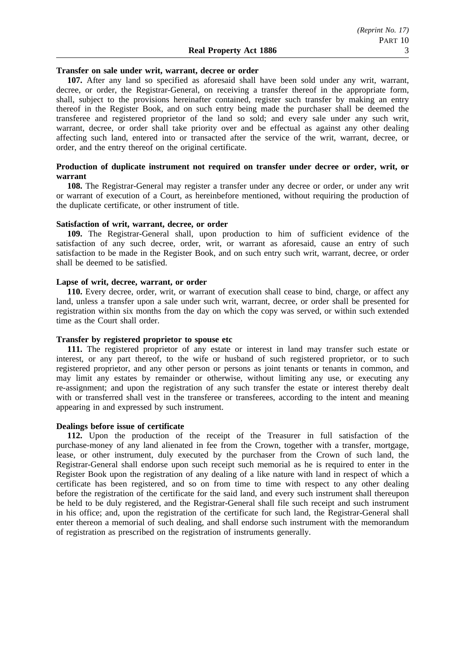#### **Transfer on sale under writ, warrant, decree or order**

**107.** After any land so specified as aforesaid shall have been sold under any writ, warrant, decree, or order, the Registrar-General, on receiving a transfer thereof in the appropriate form, shall, subject to the provisions hereinafter contained, register such transfer by making an entry thereof in the Register Book, and on such entry being made the purchaser shall be deemed the transferee and registered proprietor of the land so sold; and every sale under any such writ, warrant, decree, or order shall take priority over and be effectual as against any other dealing affecting such land, entered into or transacted after the service of the writ, warrant, decree, or order, and the entry thereof on the original certificate.

### **Production of duplicate instrument not required on transfer under decree or order, writ, or warrant**

**108.** The Registrar-General may register a transfer under any decree or order, or under any writ or warrant of execution of a Court, as hereinbefore mentioned, without requiring the production of the duplicate certificate, or other instrument of title.

#### **Satisfaction of writ, warrant, decree, or order**

**109.** The Registrar-General shall, upon production to him of sufficient evidence of the satisfaction of any such decree, order, writ, or warrant as aforesaid, cause an entry of such satisfaction to be made in the Register Book, and on such entry such writ, warrant, decree, or order shall be deemed to be satisfied.

#### **Lapse of writ, decree, warrant, or order**

**110.** Every decree, order, writ, or warrant of execution shall cease to bind, charge, or affect any land, unless a transfer upon a sale under such writ, warrant, decree, or order shall be presented for registration within six months from the day on which the copy was served, or within such extended time as the Court shall order.

#### **Transfer by registered proprietor to spouse etc**

**111.** The registered proprietor of any estate or interest in land may transfer such estate or interest, or any part thereof, to the wife or husband of such registered proprietor, or to such registered proprietor, and any other person or persons as joint tenants or tenants in common, and may limit any estates by remainder or otherwise, without limiting any use, or executing any re-assignment; and upon the registration of any such transfer the estate or interest thereby dealt with or transferred shall vest in the transferee or transferees, according to the intent and meaning appearing in and expressed by such instrument.

#### **Dealings before issue of certificate**

**112.** Upon the production of the receipt of the Treasurer in full satisfaction of the purchase-money of any land alienated in fee from the Crown, together with a transfer, mortgage, lease, or other instrument, duly executed by the purchaser from the Crown of such land, the Registrar-General shall endorse upon such receipt such memorial as he is required to enter in the Register Book upon the registration of any dealing of a like nature with land in respect of which a certificate has been registered, and so on from time to time with respect to any other dealing before the registration of the certificate for the said land, and every such instrument shall thereupon be held to be duly registered, and the Registrar-General shall file such receipt and such instrument in his office; and, upon the registration of the certificate for such land, the Registrar-General shall enter thereon a memorial of such dealing, and shall endorse such instrument with the memorandum of registration as prescribed on the registration of instruments generally.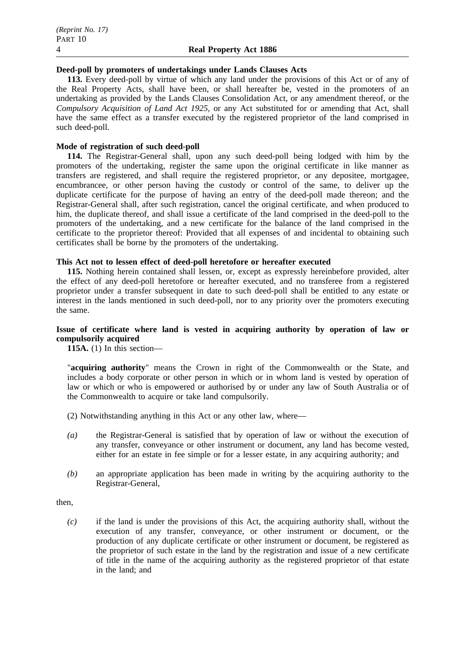### **Deed-poll by promoters of undertakings under Lands Clauses Acts**

**113.** Every deed-poll by virtue of which any land under the provisions of this Act or of any of the Real Property Acts, shall have been, or shall hereafter be, vested in the promoters of an undertaking as provided by the Lands Clauses Consolidation Act, or any amendment thereof, or the *Compulsory Acquisition of Land Act 1925*, or any Act substituted for or amending that Act, shall have the same effect as a transfer executed by the registered proprietor of the land comprised in such deed-poll.

## **Mode of registration of such deed-poll**

**114.** The Registrar-General shall, upon any such deed-poll being lodged with him by the promoters of the undertaking, register the same upon the original certificate in like manner as transfers are registered, and shall require the registered proprietor, or any depositee, mortgagee, encumbrancee, or other person having the custody or control of the same, to deliver up the duplicate certificate for the purpose of having an entry of the deed-poll made thereon; and the Registrar-General shall, after such registration, cancel the original certificate, and when produced to him, the duplicate thereof, and shall issue a certificate of the land comprised in the deed-poll to the promoters of the undertaking, and a new certificate for the balance of the land comprised in the certificate to the proprietor thereof: Provided that all expenses of and incidental to obtaining such certificates shall be borne by the promoters of the undertaking.

## **This Act not to lessen effect of deed-poll heretofore or hereafter executed**

**115.** Nothing herein contained shall lessen, or, except as expressly hereinbefore provided, alter the effect of any deed-poll heretofore or hereafter executed, and no transferee from a registered proprietor under a transfer subsequent in date to such deed-poll shall be entitled to any estate or interest in the lands mentioned in such deed-poll, nor to any priority over the promoters executing the same.

## **Issue of certificate where land is vested in acquiring authority by operation of law or compulsorily acquired**

**115A.** (1) In this section—

"**acquiring authority**" means the Crown in right of the Commonwealth or the State, and includes a body corporate or other person in which or in whom land is vested by operation of law or which or who is empowered or authorised by or under any law of South Australia or of the Commonwealth to acquire or take land compulsorily.

(2) Notwithstanding anything in this Act or any other law, where—

- *(a)* the Registrar-General is satisfied that by operation of law or without the execution of any transfer, conveyance or other instrument or document, any land has become vested, either for an estate in fee simple or for a lesser estate, in any acquiring authority; and
- *(b)* an appropriate application has been made in writing by the acquiring authority to the Registrar-General,

then,

*(c)* if the land is under the provisions of this Act, the acquiring authority shall, without the execution of any transfer, conveyance, or other instrument or document, or the production of any duplicate certificate or other instrument or document, be registered as the proprietor of such estate in the land by the registration and issue of a new certificate of title in the name of the acquiring authority as the registered proprietor of that estate in the land; and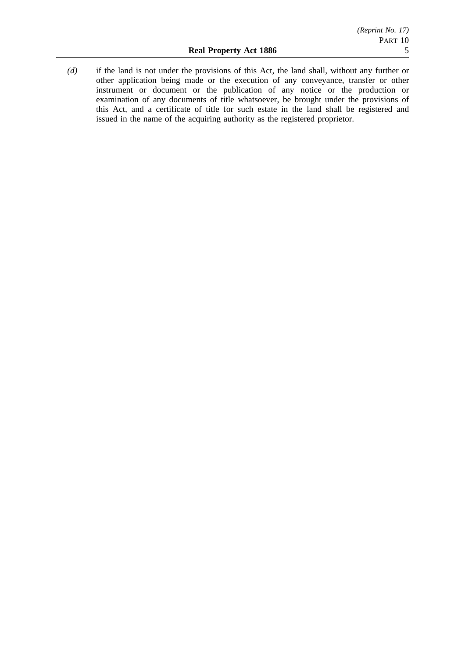*(d)* if the land is not under the provisions of this Act, the land shall, without any further or other application being made or the execution of any conveyance, transfer or other instrument or document or the publication of any notice or the production or examination of any documents of title whatsoever, be brought under the provisions of this Act, and a certificate of title for such estate in the land shall be registered and issued in the name of the acquiring authority as the registered proprietor.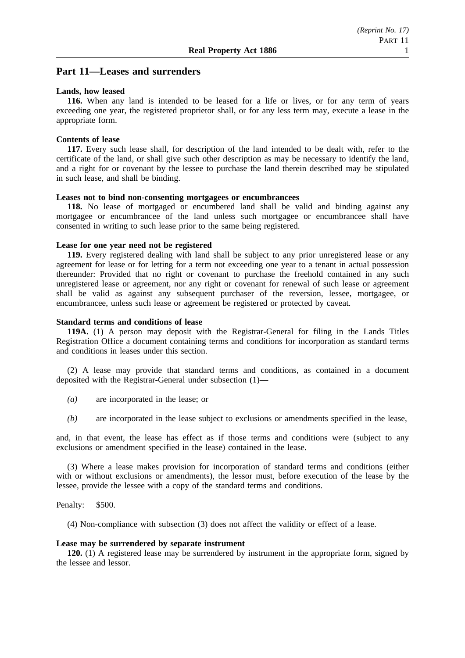## **Part 11—Leases and surrenders**

#### **Lands, how leased**

**116.** When any land is intended to be leased for a life or lives, or for any term of years exceeding one year, the registered proprietor shall, or for any less term may, execute a lease in the appropriate form.

#### **Contents of lease**

**117.** Every such lease shall, for description of the land intended to be dealt with, refer to the certificate of the land, or shall give such other description as may be necessary to identify the land, and a right for or covenant by the lessee to purchase the land therein described may be stipulated in such lease, and shall be binding.

#### **Leases not to bind non-consenting mortgagees or encumbrancees**

**118.** No lease of mortgaged or encumbered land shall be valid and binding against any mortgagee or encumbrancee of the land unless such mortgagee or encumbrancee shall have consented in writing to such lease prior to the same being registered.

#### **Lease for one year need not be registered**

**119.** Every registered dealing with land shall be subject to any prior unregistered lease or any agreement for lease or for letting for a term not exceeding one year to a tenant in actual possession thereunder: Provided that no right or covenant to purchase the freehold contained in any such unregistered lease or agreement, nor any right or covenant for renewal of such lease or agreement shall be valid as against any subsequent purchaser of the reversion, lessee, mortgagee, or encumbrancee, unless such lease or agreement be registered or protected by caveat.

#### **Standard terms and conditions of lease**

**119A.** (1) A person may deposit with the Registrar-General for filing in the Lands Titles Registration Office a document containing terms and conditions for incorporation as standard terms and conditions in leases under this section.

(2) A lease may provide that standard terms and conditions, as contained in a document deposited with the Registrar-General under subsection (1)—

- *(a)* are incorporated in the lease; or
- *(b)* are incorporated in the lease subject to exclusions or amendments specified in the lease,

and, in that event, the lease has effect as if those terms and conditions were (subject to any exclusions or amendment specified in the lease) contained in the lease.

(3) Where a lease makes provision for incorporation of standard terms and conditions (either with or without exclusions or amendments), the lessor must, before execution of the lease by the lessee, provide the lessee with a copy of the standard terms and conditions.

Penalty: \$500.

(4) Non-compliance with subsection (3) does not affect the validity or effect of a lease.

#### **Lease may be surrendered by separate instrument**

**120.** (1) A registered lease may be surrendered by instrument in the appropriate form, signed by the lessee and lessor.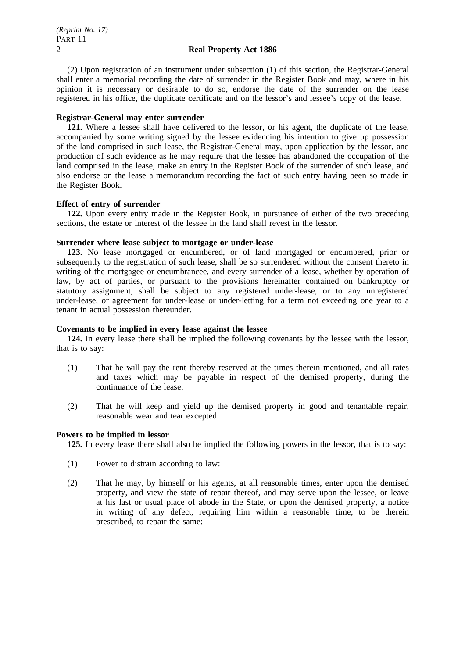(2) Upon registration of an instrument under subsection (1) of this section, the Registrar-General shall enter a memorial recording the date of surrender in the Register Book and may, where in his opinion it is necessary or desirable to do so, endorse the date of the surrender on the lease registered in his office, the duplicate certificate and on the lessor's and lessee's copy of the lease.

### **Registrar-General may enter surrender**

**121.** Where a lessee shall have delivered to the lessor, or his agent, the duplicate of the lease, accompanied by some writing signed by the lessee evidencing his intention to give up possession of the land comprised in such lease, the Registrar-General may, upon application by the lessor, and production of such evidence as he may require that the lessee has abandoned the occupation of the land comprised in the lease, make an entry in the Register Book of the surrender of such lease, and also endorse on the lease a memorandum recording the fact of such entry having been so made in the Register Book.

## **Effect of entry of surrender**

**122.** Upon every entry made in the Register Book, in pursuance of either of the two preceding sections, the estate or interest of the lessee in the land shall revest in the lessor.

### **Surrender where lease subject to mortgage or under-lease**

**123.** No lease mortgaged or encumbered, or of land mortgaged or encumbered, prior or subsequently to the registration of such lease, shall be so surrendered without the consent thereto in writing of the mortgagee or encumbrancee, and every surrender of a lease, whether by operation of law, by act of parties, or pursuant to the provisions hereinafter contained on bankruptcy or statutory assignment, shall be subject to any registered under-lease, or to any unregistered under-lease, or agreement for under-lease or under-letting for a term not exceeding one year to a tenant in actual possession thereunder.

## **Covenants to be implied in every lease against the lessee**

**124.** In every lease there shall be implied the following covenants by the lessee with the lessor, that is to say:

- (1) That he will pay the rent thereby reserved at the times therein mentioned, and all rates and taxes which may be payable in respect of the demised property, during the continuance of the lease:
- (2) That he will keep and yield up the demised property in good and tenantable repair, reasonable wear and tear excepted.

### **Powers to be implied in lessor**

**125.** In every lease there shall also be implied the following powers in the lessor, that is to say:

- (1) Power to distrain according to law:
- (2) That he may, by himself or his agents, at all reasonable times, enter upon the demised property, and view the state of repair thereof, and may serve upon the lessee, or leave at his last or usual place of abode in the State, or upon the demised property, a notice in writing of any defect, requiring him within a reasonable time, to be therein prescribed, to repair the same: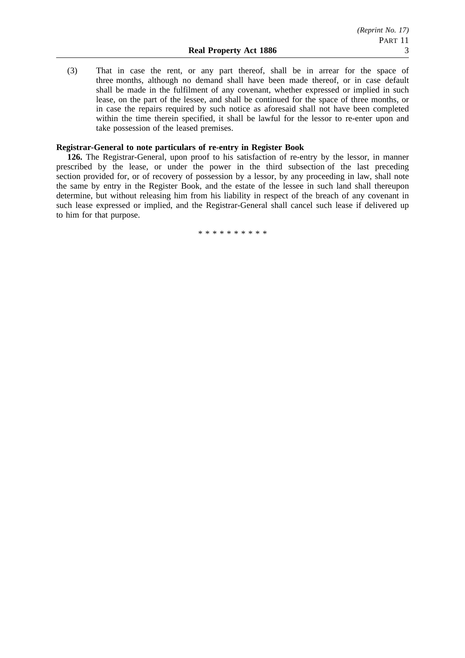(3) That in case the rent, or any part thereof, shall be in arrear for the space of three months, although no demand shall have been made thereof, or in case default shall be made in the fulfilment of any covenant, whether expressed or implied in such lease, on the part of the lessee, and shall be continued for the space of three months, or in case the repairs required by such notice as aforesaid shall not have been completed within the time therein specified, it shall be lawful for the lessor to re-enter upon and take possession of the leased premises.

## **Registrar-General to note particulars of re-entry in Register Book**

**126.** The Registrar-General, upon proof to his satisfaction of re-entry by the lessor, in manner prescribed by the lease, or under the power in the third subsection of the last preceding section provided for, or of recovery of possession by a lessor, by any proceeding in law, shall note the same by entry in the Register Book, and the estate of the lessee in such land shall thereupon determine, but without releasing him from his liability in respect of the breach of any covenant in such lease expressed or implied, and the Registrar-General shall cancel such lease if delivered up to him for that purpose.

\*\*\*\*\*\*\*\*\*\*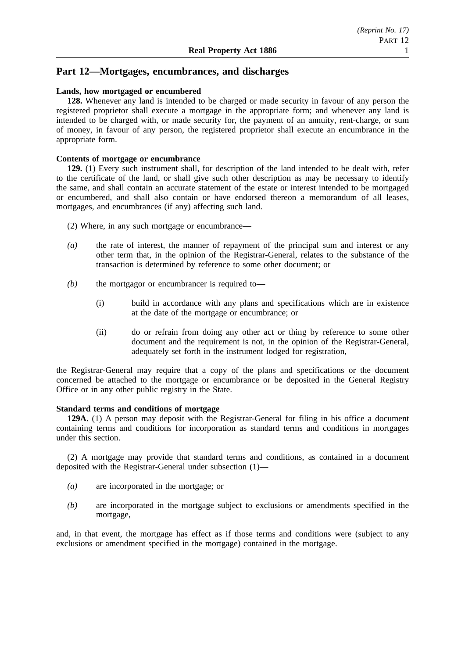# **Part 12—Mortgages, encumbrances, and discharges**

## **Lands, how mortgaged or encumbered**

**128.** Whenever any land is intended to be charged or made security in favour of any person the registered proprietor shall execute a mortgage in the appropriate form; and whenever any land is intended to be charged with, or made security for, the payment of an annuity, rent-charge, or sum of money, in favour of any person, the registered proprietor shall execute an encumbrance in the appropriate form.

## **Contents of mortgage or encumbrance**

**129.** (1) Every such instrument shall, for description of the land intended to be dealt with, refer to the certificate of the land, or shall give such other description as may be necessary to identify the same, and shall contain an accurate statement of the estate or interest intended to be mortgaged or encumbered, and shall also contain or have endorsed thereon a memorandum of all leases, mortgages, and encumbrances (if any) affecting such land.

- (2) Where, in any such mortgage or encumbrance—
- *(a)* the rate of interest, the manner of repayment of the principal sum and interest or any other term that, in the opinion of the Registrar-General, relates to the substance of the transaction is determined by reference to some other document; or
- *(b)* the mortgagor or encumbrancer is required to—
	- (i) build in accordance with any plans and specifications which are in existence at the date of the mortgage or encumbrance; or
	- (ii) do or refrain from doing any other act or thing by reference to some other document and the requirement is not, in the opinion of the Registrar-General, adequately set forth in the instrument lodged for registration,

the Registrar-General may require that a copy of the plans and specifications or the document concerned be attached to the mortgage or encumbrance or be deposited in the General Registry Office or in any other public registry in the State.

## **Standard terms and conditions of mortgage**

**129A.** (1) A person may deposit with the Registrar-General for filing in his office a document containing terms and conditions for incorporation as standard terms and conditions in mortgages under this section.

(2) A mortgage may provide that standard terms and conditions, as contained in a document deposited with the Registrar-General under subsection (1)—

- *(a)* are incorporated in the mortgage; or
- *(b)* are incorporated in the mortgage subject to exclusions or amendments specified in the mortgage,

and, in that event, the mortgage has effect as if those terms and conditions were (subject to any exclusions or amendment specified in the mortgage) contained in the mortgage.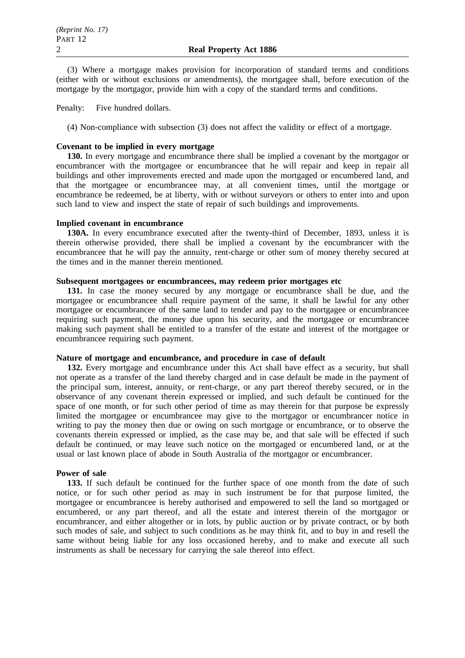(3) Where a mortgage makes provision for incorporation of standard terms and conditions (either with or without exclusions or amendments), the mortgagee shall, before execution of the mortgage by the mortgagor, provide him with a copy of the standard terms and conditions.

#### Penalty: Five hundred dollars.

(4) Non-compliance with subsection (3) does not affect the validity or effect of a mortgage.

#### **Covenant to be implied in every mortgage**

**130.** In every mortgage and encumbrance there shall be implied a covenant by the mortgagor or encumbrancer with the mortgagee or encumbrancee that he will repair and keep in repair all buildings and other improvements erected and made upon the mortgaged or encumbered land, and that the mortgagee or encumbrancee may, at all convenient times, until the mortgage or encumbrance be redeemed, be at liberty, with or without surveyors or others to enter into and upon such land to view and inspect the state of repair of such buildings and improvements.

#### **Implied covenant in encumbrance**

**130A.** In every encumbrance executed after the twenty-third of December, 1893, unless it is therein otherwise provided, there shall be implied a covenant by the encumbrancer with the encumbrancee that he will pay the annuity, rent-charge or other sum of money thereby secured at the times and in the manner therein mentioned.

## **Subsequent mortgagees or encumbrancees, may redeem prior mortgages etc**

**131.** In case the money secured by any mortgage or encumbrance shall be due, and the mortgagee or encumbrancee shall require payment of the same, it shall be lawful for any other mortgagee or encumbrancee of the same land to tender and pay to the mortgagee or encumbrancee requiring such payment, the money due upon his security, and the mortgagee or encumbrancee making such payment shall be entitled to a transfer of the estate and interest of the mortgagee or encumbrancee requiring such payment.

### **Nature of mortgage and encumbrance, and procedure in case of default**

**132.** Every mortgage and encumbrance under this Act shall have effect as a security, but shall not operate as a transfer of the land thereby charged and in case default be made in the payment of the principal sum, interest, annuity, or rent-charge, or any part thereof thereby secured, or in the observance of any covenant therein expressed or implied, and such default be continued for the space of one month, or for such other period of time as may therein for that purpose be expressly limited the mortgagee or encumbrancee may give to the mortgagor or encumbrancer notice in writing to pay the money then due or owing on such mortgage or encumbrance, or to observe the covenants therein expressed or implied, as the case may be, and that sale will be effected if such default be continued, or may leave such notice on the mortgaged or encumbered land, or at the usual or last known place of abode in South Australia of the mortgagor or encumbrancer.

#### **Power of sale**

**133.** If such default be continued for the further space of one month from the date of such notice, or for such other period as may in such instrument be for that purpose limited, the mortgagee or encumbrancee is hereby authorised and empowered to sell the land so mortgaged or encumbered, or any part thereof, and all the estate and interest therein of the mortgagor or encumbrancer, and either altogether or in lots, by public auction or by private contract, or by both such modes of sale, and subject to such conditions as he may think fit, and to buy in and resell the same without being liable for any loss occasioned hereby, and to make and execute all such instruments as shall be necessary for carrying the sale thereof into effect.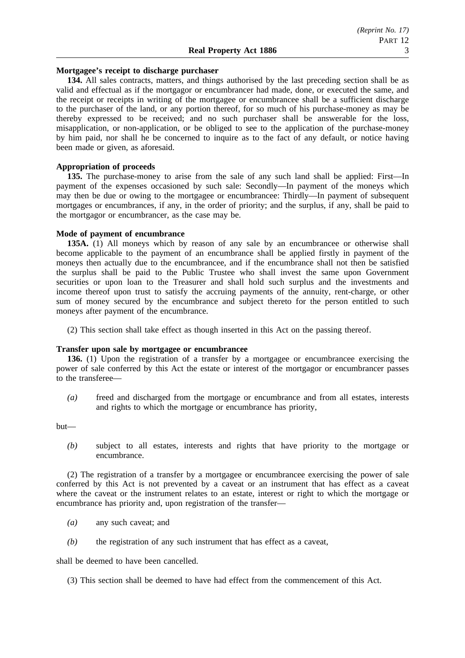#### **Real Property Act 1886** 3

#### **Mortgagee's receipt to discharge purchaser**

**134.** All sales contracts, matters, and things authorised by the last preceding section shall be as valid and effectual as if the mortgagor or encumbrancer had made, done, or executed the same, and the receipt or receipts in writing of the mortgagee or encumbrancee shall be a sufficient discharge to the purchaser of the land, or any portion thereof, for so much of his purchase-money as may be thereby expressed to be received; and no such purchaser shall be answerable for the loss, misapplication, or non-application, or be obliged to see to the application of the purchase-money by him paid, nor shall he be concerned to inquire as to the fact of any default, or notice having been made or given, as aforesaid.

### **Appropriation of proceeds**

**135.** The purchase-money to arise from the sale of any such land shall be applied: First—In payment of the expenses occasioned by such sale: Secondly—In payment of the moneys which may then be due or owing to the mortgagee or encumbrancee: Thirdly—In payment of subsequent mortgages or encumbrances, if any, in the order of priority; and the surplus, if any, shall be paid to the mortgagor or encumbrancer, as the case may be.

#### **Mode of payment of encumbrance**

**135A.** (1) All moneys which by reason of any sale by an encumbrancee or otherwise shall become applicable to the payment of an encumbrance shall be applied firstly in payment of the moneys then actually due to the encumbrancee, and if the encumbrance shall not then be satisfied the surplus shall be paid to the Public Trustee who shall invest the same upon Government securities or upon loan to the Treasurer and shall hold such surplus and the investments and income thereof upon trust to satisfy the accruing payments of the annuity, rent-charge, or other sum of money secured by the encumbrance and subject thereto for the person entitled to such moneys after payment of the encumbrance.

(2) This section shall take effect as though inserted in this Act on the passing thereof.

### **Transfer upon sale by mortgagee or encumbrancee**

**136.** (1) Upon the registration of a transfer by a mortgagee or encumbrancee exercising the power of sale conferred by this Act the estate or interest of the mortgagor or encumbrancer passes to the transferee—

*(a)* freed and discharged from the mortgage or encumbrance and from all estates, interests and rights to which the mortgage or encumbrance has priority,

but—

*(b)* subject to all estates, interests and rights that have priority to the mortgage or encumbrance.

(2) The registration of a transfer by a mortgagee or encumbrancee exercising the power of sale conferred by this Act is not prevented by a caveat or an instrument that has effect as a caveat where the caveat or the instrument relates to an estate, interest or right to which the mortgage or encumbrance has priority and, upon registration of the transfer—

- *(a)* any such caveat; and
- *(b)* the registration of any such instrument that has effect as a caveat,

shall be deemed to have been cancelled.

(3) This section shall be deemed to have had effect from the commencement of this Act.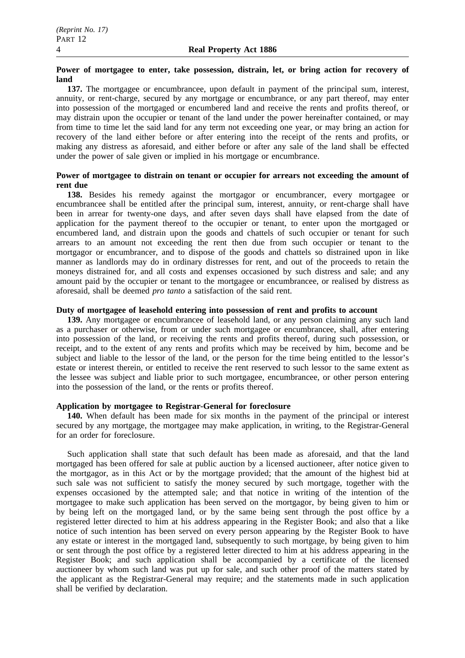### **Power of mortgagee to enter, take possession, distrain, let, or bring action for recovery of land**

**137.** The mortgagee or encumbrancee, upon default in payment of the principal sum, interest, annuity, or rent-charge, secured by any mortgage or encumbrance, or any part thereof, may enter into possession of the mortgaged or encumbered land and receive the rents and profits thereof, or may distrain upon the occupier or tenant of the land under the power hereinafter contained, or may from time to time let the said land for any term not exceeding one year, or may bring an action for recovery of the land either before or after entering into the receipt of the rents and profits, or making any distress as aforesaid, and either before or after any sale of the land shall be effected under the power of sale given or implied in his mortgage or encumbrance.

## **Power of mortgagee to distrain on tenant or occupier for arrears not exceeding the amount of rent due**

**138.** Besides his remedy against the mortgagor or encumbrancer, every mortgagee or encumbrancee shall be entitled after the principal sum, interest, annuity, or rent-charge shall have been in arrear for twenty-one days, and after seven days shall have elapsed from the date of application for the payment thereof to the occupier or tenant, to enter upon the mortgaged or encumbered land, and distrain upon the goods and chattels of such occupier or tenant for such arrears to an amount not exceeding the rent then due from such occupier or tenant to the mortgagor or encumbrancer, and to dispose of the goods and chattels so distrained upon in like manner as landlords may do in ordinary distresses for rent, and out of the proceeds to retain the moneys distrained for, and all costs and expenses occasioned by such distress and sale; and any amount paid by the occupier or tenant to the mortgagee or encumbrancee, or realised by distress as aforesaid, shall be deemed *pro tanto* a satisfaction of the said rent.

## **Duty of mortgagee of leasehold entering into possession of rent and profits to account**

**139.** Any mortgagee or encumbrancee of leasehold land, or any person claiming any such land as a purchaser or otherwise, from or under such mortgagee or encumbrancee, shall, after entering into possession of the land, or receiving the rents and profits thereof, during such possession, or receipt, and to the extent of any rents and profits which may be received by him, become and be subject and liable to the lessor of the land, or the person for the time being entitled to the lessor's estate or interest therein, or entitled to receive the rent reserved to such lessor to the same extent as the lessee was subject and liable prior to such mortgagee, encumbrancee, or other person entering into the possession of the land, or the rents or profits thereof.

## **Application by mortgagee to Registrar-General for foreclosure**

**140.** When default has been made for six months in the payment of the principal or interest secured by any mortgage, the mortgagee may make application, in writing, to the Registrar-General for an order for foreclosure.

Such application shall state that such default has been made as aforesaid, and that the land mortgaged has been offered for sale at public auction by a licensed auctioneer, after notice given to the mortgagor, as in this Act or by the mortgage provided; that the amount of the highest bid at such sale was not sufficient to satisfy the money secured by such mortgage, together with the expenses occasioned by the attempted sale; and that notice in writing of the intention of the mortgagee to make such application has been served on the mortgagor, by being given to him or by being left on the mortgaged land, or by the same being sent through the post office by a registered letter directed to him at his address appearing in the Register Book; and also that a like notice of such intention has been served on every person appearing by the Register Book to have any estate or interest in the mortgaged land, subsequently to such mortgage, by being given to him or sent through the post office by a registered letter directed to him at his address appearing in the Register Book; and such application shall be accompanied by a certificate of the licensed auctioneer by whom such land was put up for sale, and such other proof of the matters stated by the applicant as the Registrar-General may require; and the statements made in such application shall be verified by declaration.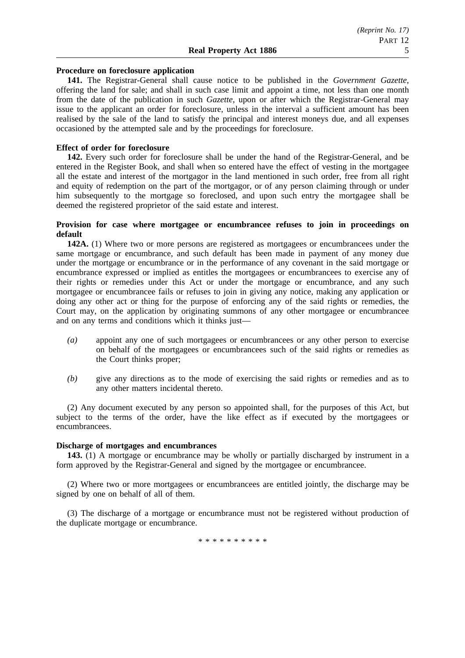#### **Procedure on foreclosure application**

**141.** The Registrar-General shall cause notice to be published in the *Government Gazette*, offering the land for sale; and shall in such case limit and appoint a time, not less than one month from the date of the publication in such *Gazette*, upon or after which the Registrar-General may issue to the applicant an order for foreclosure, unless in the interval a sufficient amount has been realised by the sale of the land to satisfy the principal and interest moneys due, and all expenses occasioned by the attempted sale and by the proceedings for foreclosure.

#### **Effect of order for foreclosure**

**142.** Every such order for foreclosure shall be under the hand of the Registrar-General, and be entered in the Register Book, and shall when so entered have the effect of vesting in the mortgagee all the estate and interest of the mortgagor in the land mentioned in such order, free from all right and equity of redemption on the part of the mortgagor, or of any person claiming through or under him subsequently to the mortgage so foreclosed, and upon such entry the mortgagee shall be deemed the registered proprietor of the said estate and interest.

### **Provision for case where mortgagee or encumbrancee refuses to join in proceedings on default**

**142A.** (1) Where two or more persons are registered as mortgagees or encumbrancees under the same mortgage or encumbrance, and such default has been made in payment of any money due under the mortgage or encumbrance or in the performance of any covenant in the said mortgage or encumbrance expressed or implied as entitles the mortgagees or encumbrancees to exercise any of their rights or remedies under this Act or under the mortgage or encumbrance, and any such mortgagee or encumbrancee fails or refuses to join in giving any notice, making any application or doing any other act or thing for the purpose of enforcing any of the said rights or remedies, the Court may, on the application by originating summons of any other mortgagee or encumbrancee and on any terms and conditions which it thinks just—

- *(a)* appoint any one of such mortgagees or encumbrancees or any other person to exercise on behalf of the mortgagees or encumbrancees such of the said rights or remedies as the Court thinks proper;
- *(b)* give any directions as to the mode of exercising the said rights or remedies and as to any other matters incidental thereto.

(2) Any document executed by any person so appointed shall, for the purposes of this Act, but subject to the terms of the order, have the like effect as if executed by the mortgagees or encumbrancees.

#### **Discharge of mortgages and encumbrances**

**143.** (1) A mortgage or encumbrance may be wholly or partially discharged by instrument in a form approved by the Registrar-General and signed by the mortgagee or encumbrancee.

(2) Where two or more mortgagees or encumbrancees are entitled jointly, the discharge may be signed by one on behalf of all of them.

(3) The discharge of a mortgage or encumbrance must not be registered without production of the duplicate mortgage or encumbrance.

\* \* \* \* \* \* \* \* \*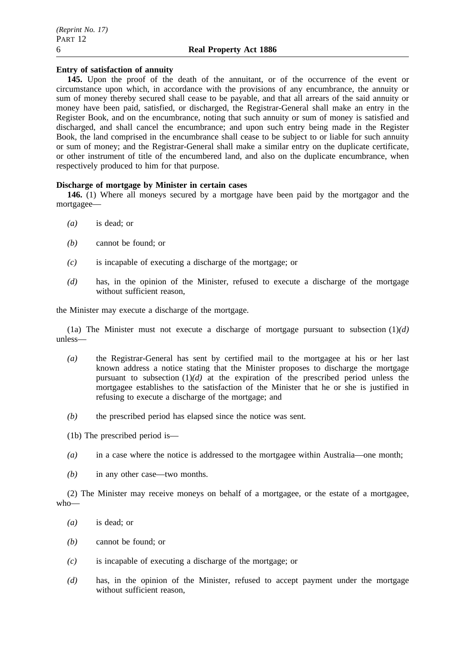### **Entry of satisfaction of annuity**

**145.** Upon the proof of the death of the annuitant, or of the occurrence of the event or circumstance upon which, in accordance with the provisions of any encumbrance, the annuity or sum of money thereby secured shall cease to be payable, and that all arrears of the said annuity or money have been paid, satisfied, or discharged, the Registrar-General shall make an entry in the Register Book, and on the encumbrance, noting that such annuity or sum of money is satisfied and discharged, and shall cancel the encumbrance; and upon such entry being made in the Register Book, the land comprised in the encumbrance shall cease to be subject to or liable for such annuity or sum of money; and the Registrar-General shall make a similar entry on the duplicate certificate, or other instrument of title of the encumbered land, and also on the duplicate encumbrance, when respectively produced to him for that purpose.

### **Discharge of mortgage by Minister in certain cases**

**146.** (1) Where all moneys secured by a mortgage have been paid by the mortgagor and the mortgagee—

- *(a)* is dead; or
- *(b)* cannot be found; or
- *(c)* is incapable of executing a discharge of the mortgage; or
- *(d)* has, in the opinion of the Minister, refused to execute a discharge of the mortgage without sufficient reason,

the Minister may execute a discharge of the mortgage.

(1a) The Minister must not execute a discharge of mortgage pursuant to subsection (1)*(d)* unless—

- *(a)* the Registrar-General has sent by certified mail to the mortgagee at his or her last known address a notice stating that the Minister proposes to discharge the mortgage pursuant to subsection  $(1)(d)$  at the expiration of the prescribed period unless the mortgagee establishes to the satisfaction of the Minister that he or she is justified in refusing to execute a discharge of the mortgage; and
- *(b)* the prescribed period has elapsed since the notice was sent.
- (1b) The prescribed period is—
- *(a)* in a case where the notice is addressed to the mortgagee within Australia—one month;
- *(b)* in any other case—two months.

(2) The Minister may receive moneys on behalf of a mortgagee, or the estate of a mortgagee, who—

- *(a)* is dead; or
- *(b)* cannot be found; or
- *(c)* is incapable of executing a discharge of the mortgage; or
- *(d)* has, in the opinion of the Minister, refused to accept payment under the mortgage without sufficient reason,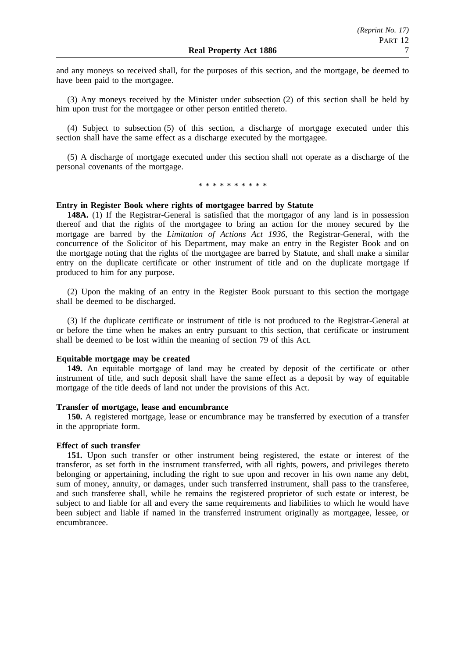and any moneys so received shall, for the purposes of this section, and the mortgage, be deemed to have been paid to the mortgagee.

(3) Any moneys received by the Minister under subsection (2) of this section shall be held by him upon trust for the mortgagee or other person entitled thereto.

(4) Subject to subsection (5) of this section, a discharge of mortgage executed under this section shall have the same effect as a discharge executed by the mortgagee.

(5) A discharge of mortgage executed under this section shall not operate as a discharge of the personal covenants of the mortgage.

\*\*\*\*\*\*\*\*\*\*

## **Entry in Register Book where rights of mortgagee barred by Statute**

**148A.** (1) If the Registrar-General is satisfied that the mortgagor of any land is in possession thereof and that the rights of the mortgagee to bring an action for the money secured by the mortgage are barred by the *Limitation of Actions Act 1936*, the Registrar-General, with the concurrence of the Solicitor of his Department, may make an entry in the Register Book and on the mortgage noting that the rights of the mortgagee are barred by Statute, and shall make a similar entry on the duplicate certificate or other instrument of title and on the duplicate mortgage if produced to him for any purpose.

(2) Upon the making of an entry in the Register Book pursuant to this section the mortgage shall be deemed to be discharged.

(3) If the duplicate certificate or instrument of title is not produced to the Registrar-General at or before the time when he makes an entry pursuant to this section, that certificate or instrument shall be deemed to be lost within the meaning of section 79 of this Act.

#### **Equitable mortgage may be created**

**149.** An equitable mortgage of land may be created by deposit of the certificate or other instrument of title, and such deposit shall have the same effect as a deposit by way of equitable mortgage of the title deeds of land not under the provisions of this Act.

#### **Transfer of mortgage, lease and encumbrance**

**150.** A registered mortgage, lease or encumbrance may be transferred by execution of a transfer in the appropriate form.

#### **Effect of such transfer**

**151.** Upon such transfer or other instrument being registered, the estate or interest of the transferor, as set forth in the instrument transferred, with all rights, powers, and privileges thereto belonging or appertaining, including the right to sue upon and recover in his own name any debt, sum of money, annuity, or damages, under such transferred instrument, shall pass to the transferee, and such transferee shall, while he remains the registered proprietor of such estate or interest, be subject to and liable for all and every the same requirements and liabilities to which he would have been subject and liable if named in the transferred instrument originally as mortgagee, lessee, or encumbrancee.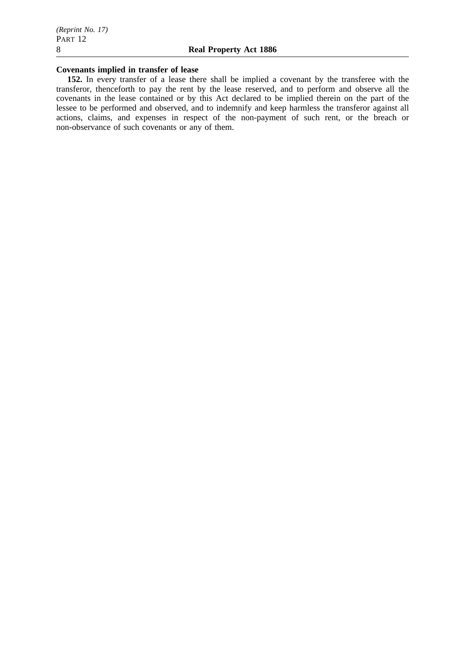## **Covenants implied in transfer of lease**

**152.** In every transfer of a lease there shall be implied a covenant by the transferee with the transferor, thenceforth to pay the rent by the lease reserved, and to perform and observe all the covenants in the lease contained or by this Act declared to be implied therein on the part of the lessee to be performed and observed, and to indemnify and keep harmless the transferor against all actions, claims, and expenses in respect of the non-payment of such rent, or the breach or non-observance of such covenants or any of them.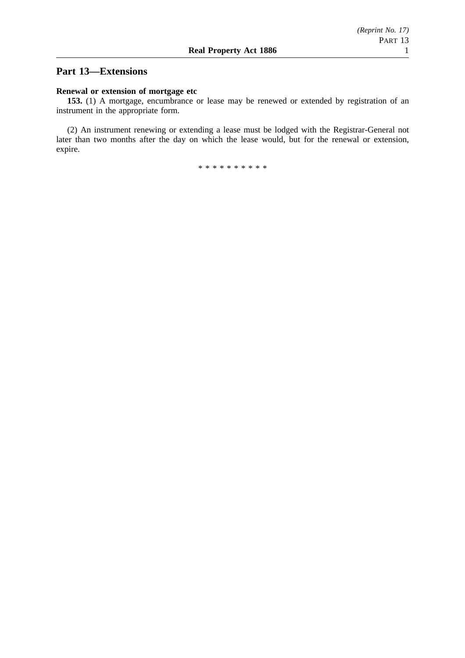# **Part 13—Extensions**

## **Renewal or extension of mortgage etc**

**153.** (1) A mortgage, encumbrance or lease may be renewed or extended by registration of an instrument in the appropriate form.

(2) An instrument renewing or extending a lease must be lodged with the Registrar-General not later than two months after the day on which the lease would, but for the renewal or extension, expire.

\*\*\*\*\*\*\*\*\*\*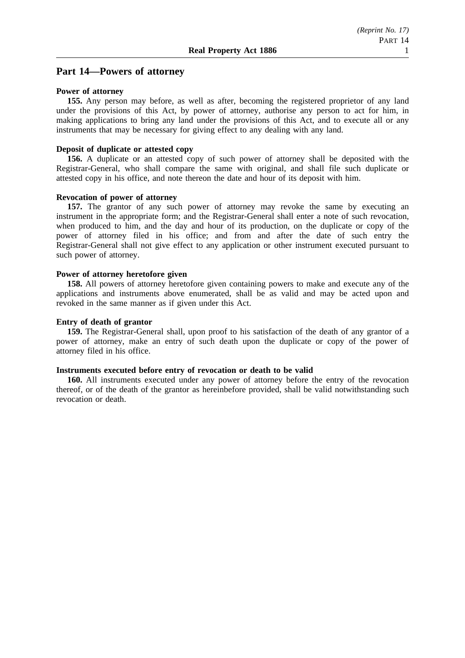## **Part 14—Powers of attorney**

#### **Power of attorney**

**155.** Any person may before, as well as after, becoming the registered proprietor of any land under the provisions of this Act, by power of attorney, authorise any person to act for him, in making applications to bring any land under the provisions of this Act, and to execute all or any instruments that may be necessary for giving effect to any dealing with any land.

#### **Deposit of duplicate or attested copy**

**156.** A duplicate or an attested copy of such power of attorney shall be deposited with the Registrar-General, who shall compare the same with original, and shall file such duplicate or attested copy in his office, and note thereon the date and hour of its deposit with him.

#### **Revocation of power of attorney**

**157.** The grantor of any such power of attorney may revoke the same by executing an instrument in the appropriate form; and the Registrar-General shall enter a note of such revocation, when produced to him, and the day and hour of its production, on the duplicate or copy of the power of attorney filed in his office; and from and after the date of such entry the Registrar-General shall not give effect to any application or other instrument executed pursuant to such power of attorney.

#### **Power of attorney heretofore given**

**158.** All powers of attorney heretofore given containing powers to make and execute any of the applications and instruments above enumerated, shall be as valid and may be acted upon and revoked in the same manner as if given under this Act.

#### **Entry of death of grantor**

**159.** The Registrar-General shall, upon proof to his satisfaction of the death of any grantor of a power of attorney, make an entry of such death upon the duplicate or copy of the power of attorney filed in his office.

#### **Instruments executed before entry of revocation or death to be valid**

**160.** All instruments executed under any power of attorney before the entry of the revocation thereof, or of the death of the grantor as hereinbefore provided, shall be valid notwithstanding such revocation or death.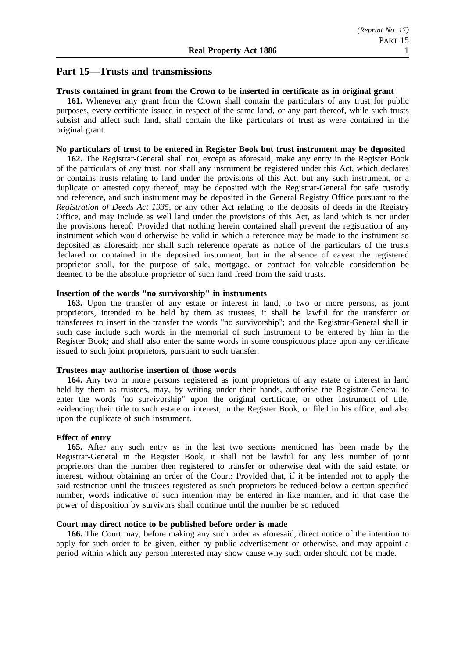## **Part 15—Trusts and transmissions**

### **Trusts contained in grant from the Crown to be inserted in certificate as in original grant**

**161.** Whenever any grant from the Crown shall contain the particulars of any trust for public purposes, every certificate issued in respect of the same land, or any part thereof, while such trusts subsist and affect such land, shall contain the like particulars of trust as were contained in the original grant.

### **No particulars of trust to be entered in Register Book but trust instrument may be deposited**

**162.** The Registrar-General shall not, except as aforesaid, make any entry in the Register Book of the particulars of any trust, nor shall any instrument be registered under this Act, which declares or contains trusts relating to land under the provisions of this Act, but any such instrument, or a duplicate or attested copy thereof, may be deposited with the Registrar-General for safe custody and reference, and such instrument may be deposited in the General Registry Office pursuant to the *Registration of Deeds Act 1935*, or any other Act relating to the deposits of deeds in the Registry Office, and may include as well land under the provisions of this Act, as land which is not under the provisions hereof: Provided that nothing herein contained shall prevent the registration of any instrument which would otherwise be valid in which a reference may be made to the instrument so deposited as aforesaid; nor shall such reference operate as notice of the particulars of the trusts declared or contained in the deposited instrument, but in the absence of caveat the registered proprietor shall, for the purpose of sale, mortgage, or contract for valuable consideration be deemed to be the absolute proprietor of such land freed from the said trusts.

#### **Insertion of the words "no survivorship" in instruments**

**163.** Upon the transfer of any estate or interest in land, to two or more persons, as joint proprietors, intended to be held by them as trustees, it shall be lawful for the transferor or transferees to insert in the transfer the words "no survivorship"; and the Registrar-General shall in such case include such words in the memorial of such instrument to be entered by him in the Register Book; and shall also enter the same words in some conspicuous place upon any certificate issued to such joint proprietors, pursuant to such transfer.

#### **Trustees may authorise insertion of those words**

**164.** Any two or more persons registered as joint proprietors of any estate or interest in land held by them as trustees, may, by writing under their hands, authorise the Registrar-General to enter the words "no survivorship" upon the original certificate, or other instrument of title, evidencing their title to such estate or interest, in the Register Book, or filed in his office, and also upon the duplicate of such instrument.

#### **Effect of entry**

**165.** After any such entry as in the last two sections mentioned has been made by the Registrar-General in the Register Book, it shall not be lawful for any less number of joint proprietors than the number then registered to transfer or otherwise deal with the said estate, or interest, without obtaining an order of the Court: Provided that, if it be intended not to apply the said restriction until the trustees registered as such proprietors be reduced below a certain specified number, words indicative of such intention may be entered in like manner, and in that case the power of disposition by survivors shall continue until the number be so reduced.

## **Court may direct notice to be published before order is made**

**166.** The Court may, before making any such order as aforesaid, direct notice of the intention to apply for such order to be given, either by public advertisement or otherwise, and may appoint a period within which any person interested may show cause why such order should not be made.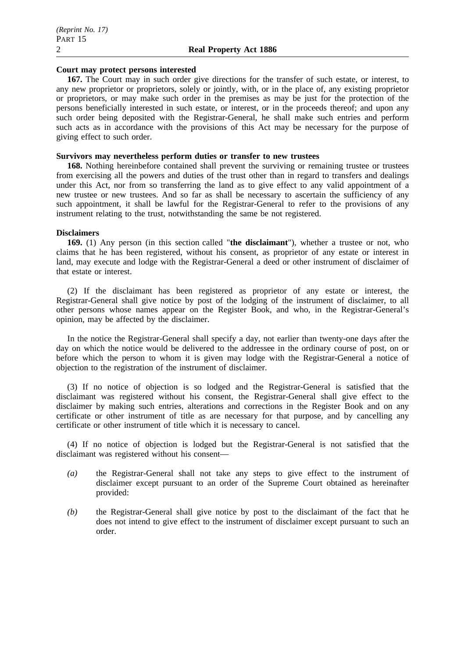#### **Court may protect persons interested**

**167.** The Court may in such order give directions for the transfer of such estate, or interest, to any new proprietor or proprietors, solely or jointly, with, or in the place of, any existing proprietor or proprietors, or may make such order in the premises as may be just for the protection of the persons beneficially interested in such estate, or interest, or in the proceeds thereof; and upon any such order being deposited with the Registrar-General, he shall make such entries and perform such acts as in accordance with the provisions of this Act may be necessary for the purpose of giving effect to such order.

#### **Survivors may nevertheless perform duties or transfer to new trustees**

**168.** Nothing hereinbefore contained shall prevent the surviving or remaining trustee or trustees from exercising all the powers and duties of the trust other than in regard to transfers and dealings under this Act, nor from so transferring the land as to give effect to any valid appointment of a new trustee or new trustees. And so far as shall be necessary to ascertain the sufficiency of any such appointment, it shall be lawful for the Registrar-General to refer to the provisions of any instrument relating to the trust, notwithstanding the same be not registered.

### **Disclaimers**

**169.** (1) Any person (in this section called "**the disclaimant**"), whether a trustee or not, who claims that he has been registered, without his consent, as proprietor of any estate or interest in land, may execute and lodge with the Registrar-General a deed or other instrument of disclaimer of that estate or interest.

(2) If the disclaimant has been registered as proprietor of any estate or interest, the Registrar-General shall give notice by post of the lodging of the instrument of disclaimer, to all other persons whose names appear on the Register Book, and who, in the Registrar-General's opinion, may be affected by the disclaimer.

In the notice the Registrar-General shall specify a day, not earlier than twenty-one days after the day on which the notice would be delivered to the addressee in the ordinary course of post, on or before which the person to whom it is given may lodge with the Registrar-General a notice of objection to the registration of the instrument of disclaimer.

(3) If no notice of objection is so lodged and the Registrar-General is satisfied that the disclaimant was registered without his consent, the Registrar-General shall give effect to the disclaimer by making such entries, alterations and corrections in the Register Book and on any certificate or other instrument of title as are necessary for that purpose, and by cancelling any certificate or other instrument of title which it is necessary to cancel.

(4) If no notice of objection is lodged but the Registrar-General is not satisfied that the disclaimant was registered without his consent—

- *(a)* the Registrar-General shall not take any steps to give effect to the instrument of disclaimer except pursuant to an order of the Supreme Court obtained as hereinafter provided:
- *(b)* the Registrar-General shall give notice by post to the disclaimant of the fact that he does not intend to give effect to the instrument of disclaimer except pursuant to such an order.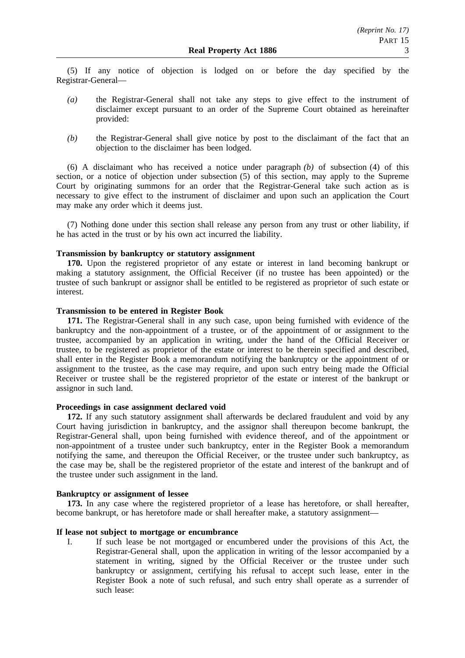(5) If any notice of objection is lodged on or before the day specified by the Registrar-General—

- *(a)* the Registrar-General shall not take any steps to give effect to the instrument of disclaimer except pursuant to an order of the Supreme Court obtained as hereinafter provided:
- *(b)* the Registrar-General shall give notice by post to the disclaimant of the fact that an objection to the disclaimer has been lodged.

(6) A disclaimant who has received a notice under paragraph *(b)* of subsection (4) of this section, or a notice of objection under subsection (5) of this section, may apply to the Supreme Court by originating summons for an order that the Registrar-General take such action as is necessary to give effect to the instrument of disclaimer and upon such an application the Court may make any order which it deems just.

(7) Nothing done under this section shall release any person from any trust or other liability, if he has acted in the trust or by his own act incurred the liability.

## **Transmission by bankruptcy or statutory assignment**

**170.** Upon the registered proprietor of any estate or interest in land becoming bankrupt or making a statutory assignment, the Official Receiver (if no trustee has been appointed) or the trustee of such bankrupt or assignor shall be entitled to be registered as proprietor of such estate or interest.

### **Transmission to be entered in Register Book**

**171.** The Registrar-General shall in any such case, upon being furnished with evidence of the bankruptcy and the non-appointment of a trustee, or of the appointment of or assignment to the trustee, accompanied by an application in writing, under the hand of the Official Receiver or trustee, to be registered as proprietor of the estate or interest to be therein specified and described, shall enter in the Register Book a memorandum notifying the bankruptcy or the appointment of or assignment to the trustee, as the case may require, and upon such entry being made the Official Receiver or trustee shall be the registered proprietor of the estate or interest of the bankrupt or assignor in such land.

## **Proceedings in case assignment declared void**

**172.** If any such statutory assignment shall afterwards be declared fraudulent and void by any Court having jurisdiction in bankruptcy, and the assignor shall thereupon become bankrupt, the Registrar-General shall, upon being furnished with evidence thereof, and of the appointment or non-appointment of a trustee under such bankruptcy, enter in the Register Book a memorandum notifying the same, and thereupon the Official Receiver, or the trustee under such bankruptcy, as the case may be, shall be the registered proprietor of the estate and interest of the bankrupt and of the trustee under such assignment in the land.

### **Bankruptcy or assignment of lessee**

**173.** In any case where the registered proprietor of a lease has heretofore, or shall hereafter, become bankrupt, or has heretofore made or shall hereafter make, a statutory assignment—

### **If lease not subject to mortgage or encumbrance**

I. If such lease be not mortgaged or encumbered under the provisions of this Act, the Registrar-General shall, upon the application in writing of the lessor accompanied by a statement in writing, signed by the Official Receiver or the trustee under such bankruptcy or assignment, certifying his refusal to accept such lease, enter in the Register Book a note of such refusal, and such entry shall operate as a surrender of such lease: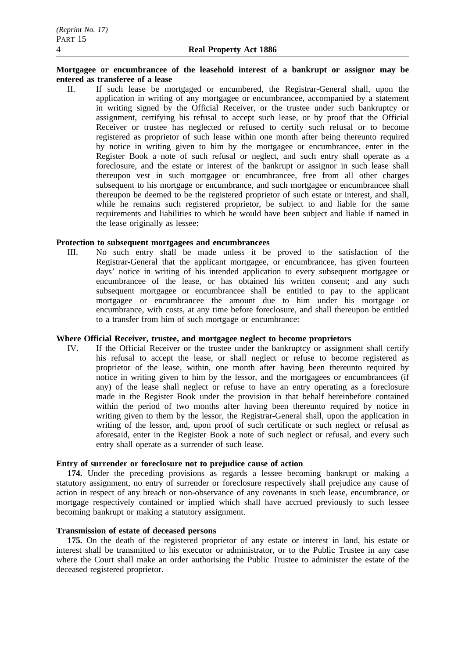### **Mortgagee or encumbrancee of the leasehold interest of a bankrupt or assignor may be entered as transferee of a lease**

II. If such lease be mortgaged or encumbered, the Registrar-General shall, upon the application in writing of any mortgagee or encumbrancee, accompanied by a statement in writing signed by the Official Receiver, or the trustee under such bankruptcy or assignment, certifying his refusal to accept such lease, or by proof that the Official Receiver or trustee has neglected or refused to certify such refusal or to become registered as proprietor of such lease within one month after being thereunto required by notice in writing given to him by the mortgagee or encumbrancee, enter in the Register Book a note of such refusal or neglect, and such entry shall operate as a foreclosure, and the estate or interest of the bankrupt or assignor in such lease shall thereupon vest in such mortgagee or encumbrancee, free from all other charges subsequent to his mortgage or encumbrance, and such mortgagee or encumbrancee shall thereupon be deemed to be the registered proprietor of such estate or interest, and shall, while he remains such registered proprietor, be subject to and liable for the same requirements and liabilities to which he would have been subject and liable if named in the lease originally as lessee:

## **Protection to subsequent mortgagees and encumbrancees**

III. No such entry shall be made unless it be proved to the satisfaction of the Registrar-General that the applicant mortgagee, or encumbrancee, has given fourteen days' notice in writing of his intended application to every subsequent mortgagee or encumbrancee of the lease, or has obtained his written consent; and any such subsequent mortgagee or encumbrancee shall be entitled to pay to the applicant mortgagee or encumbrancee the amount due to him under his mortgage or encumbrance, with costs, at any time before foreclosure, and shall thereupon be entitled to a transfer from him of such mortgage or encumbrance:

## **Where Official Receiver, trustee, and mortgagee neglect to become proprietors**

IV. If the Official Receiver or the trustee under the bankruptcy or assignment shall certify his refusal to accept the lease, or shall neglect or refuse to become registered as proprietor of the lease, within, one month after having been thereunto required by notice in writing given to him by the lessor, and the mortgagees or encumbrancees (if any) of the lease shall neglect or refuse to have an entry operating as a foreclosure made in the Register Book under the provision in that behalf hereinbefore contained within the period of two months after having been thereunto required by notice in writing given to them by the lessor, the Registrar-General shall, upon the application in writing of the lessor, and, upon proof of such certificate or such neglect or refusal as aforesaid, enter in the Register Book a note of such neglect or refusal, and every such entry shall operate as a surrender of such lease.

## **Entry of surrender or foreclosure not to prejudice cause of action**

**174.** Under the preceding provisions as regards a lessee becoming bankrupt or making a statutory assignment, no entry of surrender or foreclosure respectively shall prejudice any cause of action in respect of any breach or non-observance of any covenants in such lease, encumbrance, or mortgage respectively contained or implied which shall have accrued previously to such lessee becoming bankrupt or making a statutory assignment.

### **Transmission of estate of deceased persons**

**175.** On the death of the registered proprietor of any estate or interest in land, his estate or interest shall be transmitted to his executor or administrator, or to the Public Trustee in any case where the Court shall make an order authorising the Public Trustee to administer the estate of the deceased registered proprietor.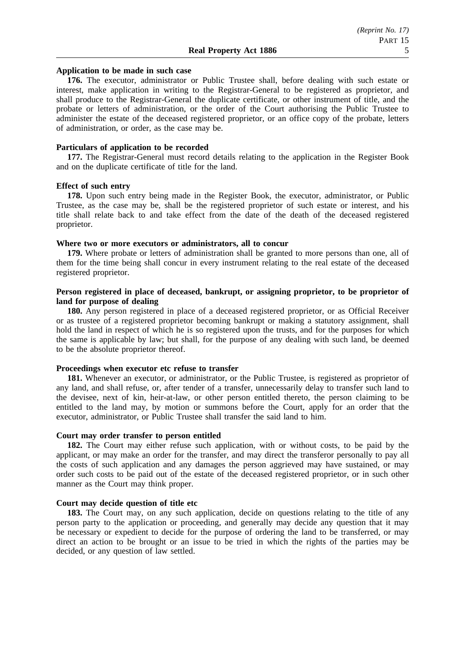#### **Application to be made in such case**

**176.** The executor, administrator or Public Trustee shall, before dealing with such estate or interest, make application in writing to the Registrar-General to be registered as proprietor, and shall produce to the Registrar-General the duplicate certificate, or other instrument of title, and the probate or letters of administration, or the order of the Court authorising the Public Trustee to administer the estate of the deceased registered proprietor, or an office copy of the probate, letters of administration, or order, as the case may be.

#### **Particulars of application to be recorded**

**177.** The Registrar-General must record details relating to the application in the Register Book and on the duplicate certificate of title for the land.

#### **Effect of such entry**

**178.** Upon such entry being made in the Register Book, the executor, administrator, or Public Trustee, as the case may be, shall be the registered proprietor of such estate or interest, and his title shall relate back to and take effect from the date of the death of the deceased registered proprietor.

### **Where two or more executors or administrators, all to concur**

**179.** Where probate or letters of administration shall be granted to more persons than one, all of them for the time being shall concur in every instrument relating to the real estate of the deceased registered proprietor.

### **Person registered in place of deceased, bankrupt, or assigning proprietor, to be proprietor of land for purpose of dealing**

**180.** Any person registered in place of a deceased registered proprietor, or as Official Receiver or as trustee of a registered proprietor becoming bankrupt or making a statutory assignment, shall hold the land in respect of which he is so registered upon the trusts, and for the purposes for which the same is applicable by law; but shall, for the purpose of any dealing with such land, be deemed to be the absolute proprietor thereof.

#### **Proceedings when executor etc refuse to transfer**

**181.** Whenever an executor, or administrator, or the Public Trustee, is registered as proprietor of any land, and shall refuse, or, after tender of a transfer, unnecessarily delay to transfer such land to the devisee, next of kin, heir-at-law, or other person entitled thereto, the person claiming to be entitled to the land may, by motion or summons before the Court, apply for an order that the executor, administrator, or Public Trustee shall transfer the said land to him.

#### **Court may order transfer to person entitled**

**182.** The Court may either refuse such application, with or without costs, to be paid by the applicant, or may make an order for the transfer, and may direct the transferor personally to pay all the costs of such application and any damages the person aggrieved may have sustained, or may order such costs to be paid out of the estate of the deceased registered proprietor, or in such other manner as the Court may think proper.

#### **Court may decide question of title etc**

**183.** The Court may, on any such application, decide on questions relating to the title of any person party to the application or proceeding, and generally may decide any question that it may be necessary or expedient to decide for the purpose of ordering the land to be transferred, or may direct an action to be brought or an issue to be tried in which the rights of the parties may be decided, or any question of law settled.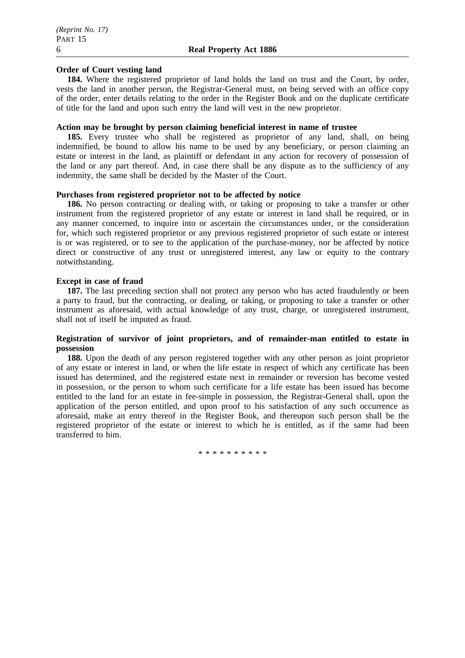## **Order of Court vesting land**

**184.** Where the registered proprietor of land holds the land on trust and the Court, by order, vests the land in another person, the Registrar-General must, on being served with an office copy of the order, enter details relating to the order in the Register Book and on the duplicate certificate of title for the land and upon such entry the land will vest in the new proprietor.

### **Action may be brought by person claiming beneficial interest in name of trustee**

**185.** Every trustee who shall be registered as proprietor of any land, shall, on being indemnified, be bound to allow his name to be used by any beneficiary, or person claiming an estate or interest in the land, as plaintiff or defendant in any action for recovery of possession of the land or any part thereof. And, in case there shall be any dispute as to the sufficiency of any indemnity, the same shall be decided by the Master of the Court.

## **Purchases from registered proprietor not to be affected by notice**

**186.** No person contracting or dealing with, or taking or proposing to take a transfer or other instrument from the registered proprietor of any estate or interest in land shall be required, or in any manner concerned, to inquire into or ascertain the circumstances under, or the consideration for, which such registered proprietor or any previous registered proprietor of such estate or interest is or was registered, or to see to the application of the purchase-money, nor be affected by notice direct or constructive of any trust or unregistered interest, any law or equity to the contrary notwithstanding.

### **Except in case of fraud**

**187.** The last preceding section shall not protect any person who has acted fraudulently or been a party to fraud, but the contracting, or dealing, or taking, or proposing to take a transfer or other instrument as aforesaid, with actual knowledge of any trust, charge, or unregistered instrument, shall not of itself be imputed as fraud.

## **Registration of survivor of joint proprietors, and of remainder-man entitled to estate in possession**

**188.** Upon the death of any person registered together with any other person as joint proprietor of any estate or interest in land, or when the life estate in respect of which any certificate has been issued has determined, and the registered estate next in remainder or reversion has become vested in possession, or the person to whom such certificate for a life estate has been issued has become entitled to the land for an estate in fee-simple in possession, the Registrar-General shall, upon the application of the person entitled, and upon proof to his satisfaction of any such occurrence as aforesaid, make an entry thereof in the Register Book, and thereupon such person shall be the registered proprietor of the estate or interest to which he is entitled, as if the same had been transferred to him.

\*\*\*\*\*\*\*\*\*\*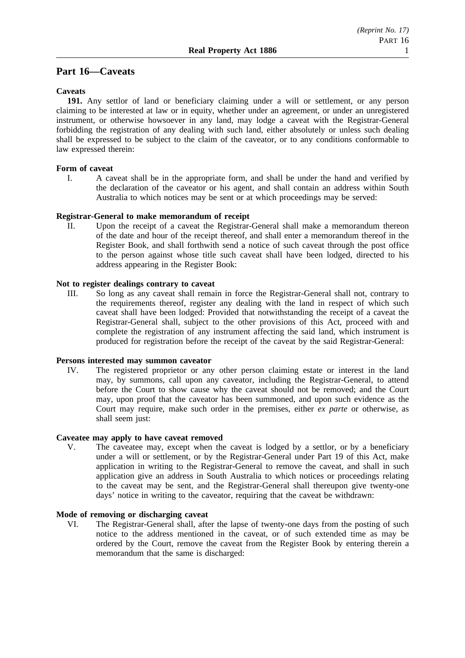# **Part 16—Caveats**

# **Caveats**

**191.** Any settlor of land or beneficiary claiming under a will or settlement, or any person claiming to be interested at law or in equity, whether under an agreement, or under an unregistered instrument, or otherwise howsoever in any land, may lodge a caveat with the Registrar-General forbidding the registration of any dealing with such land, either absolutely or unless such dealing shall be expressed to be subject to the claim of the caveator, or to any conditions conformable to law expressed therein:

# **Form of caveat**

I. A caveat shall be in the appropriate form, and shall be under the hand and verified by the declaration of the caveator or his agent, and shall contain an address within South Australia to which notices may be sent or at which proceedings may be served:

# **Registrar-General to make memorandum of receipt**

II. Upon the receipt of a caveat the Registrar-General shall make a memorandum thereon of the date and hour of the receipt thereof, and shall enter a memorandum thereof in the Register Book, and shall forthwith send a notice of such caveat through the post office to the person against whose title such caveat shall have been lodged, directed to his address appearing in the Register Book:

# **Not to register dealings contrary to caveat**

III. So long as any caveat shall remain in force the Registrar-General shall not, contrary to the requirements thereof, register any dealing with the land in respect of which such caveat shall have been lodged: Provided that notwithstanding the receipt of a caveat the Registrar-General shall, subject to the other provisions of this Act, proceed with and complete the registration of any instrument affecting the said land, which instrument is produced for registration before the receipt of the caveat by the said Registrar-General:

### **Persons interested may summon caveator**

IV. The registered proprietor or any other person claiming estate or interest in the land may, by summons, call upon any caveator, including the Registrar-General, to attend before the Court to show cause why the caveat should not be removed; and the Court may, upon proof that the caveator has been summoned, and upon such evidence as the Court may require, make such order in the premises, either *ex parte* or otherwise, as shall seem just:

### **Caveatee may apply to have caveat removed**

V. The caveatee may, except when the caveat is lodged by a settlor, or by a beneficiary under a will or settlement, or by the Registrar-General under Part 19 of this Act, make application in writing to the Registrar-General to remove the caveat, and shall in such application give an address in South Australia to which notices or proceedings relating to the caveat may be sent, and the Registrar-General shall thereupon give twenty-one days' notice in writing to the caveator, requiring that the caveat be withdrawn:

### **Mode of removing or discharging caveat**

VI. The Registrar-General shall, after the lapse of twenty-one days from the posting of such notice to the address mentioned in the caveat, or of such extended time as may be ordered by the Court, remove the caveat from the Register Book by entering therein a memorandum that the same is discharged: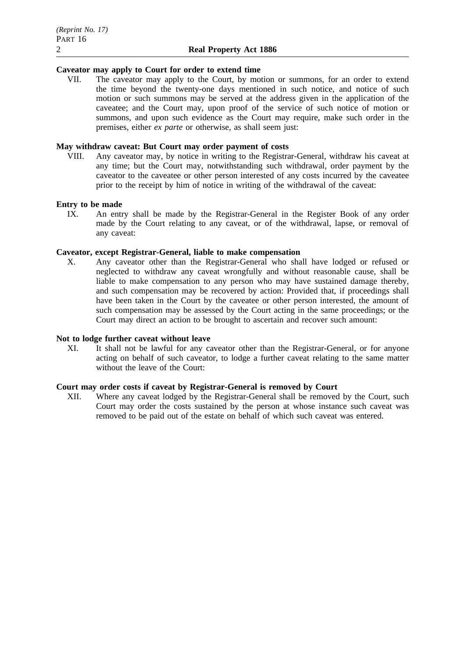### **Caveator may apply to Court for order to extend time**

VII. The caveator may apply to the Court, by motion or summons, for an order to extend the time beyond the twenty-one days mentioned in such notice, and notice of such motion or such summons may be served at the address given in the application of the caveatee; and the Court may, upon proof of the service of such notice of motion or summons, and upon such evidence as the Court may require, make such order in the premises, either *ex parte* or otherwise, as shall seem just:

### **May withdraw caveat: But Court may order payment of costs**

VIII. Any caveator may, by notice in writing to the Registrar-General, withdraw his caveat at any time; but the Court may, notwithstanding such withdrawal, order payment by the caveator to the caveatee or other person interested of any costs incurred by the caveatee prior to the receipt by him of notice in writing of the withdrawal of the caveat:

### **Entry to be made**

IX. An entry shall be made by the Registrar-General in the Register Book of any order made by the Court relating to any caveat, or of the withdrawal, lapse, or removal of any caveat:

## **Caveator, except Registrar-General, liable to make compensation**

X. Any caveator other than the Registrar-General who shall have lodged or refused or neglected to withdraw any caveat wrongfully and without reasonable cause, shall be liable to make compensation to any person who may have sustained damage thereby, and such compensation may be recovered by action: Provided that, if proceedings shall have been taken in the Court by the caveatee or other person interested, the amount of such compensation may be assessed by the Court acting in the same proceedings; or the Court may direct an action to be brought to ascertain and recover such amount:

# **Not to lodge further caveat without leave**

XI. It shall not be lawful for any caveator other than the Registrar-General, or for anyone acting on behalf of such caveator, to lodge a further caveat relating to the same matter without the leave of the Court:

### **Court may order costs if caveat by Registrar-General is removed by Court**

XII. Where any caveat lodged by the Registrar-General shall be removed by the Court, such Court may order the costs sustained by the person at whose instance such caveat was removed to be paid out of the estate on behalf of which such caveat was entered.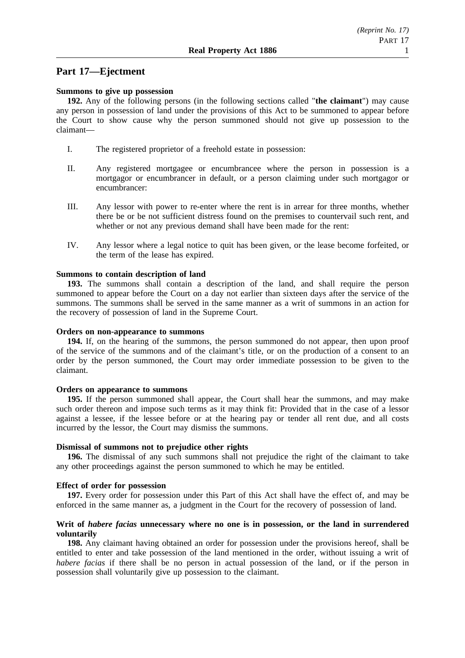# **Part 17—Ejectment**

### **Summons to give up possession**

**192.** Any of the following persons (in the following sections called "**the claimant**") may cause any person in possession of land under the provisions of this Act to be summoned to appear before the Court to show cause why the person summoned should not give up possession to the claimant—

- I. The registered proprietor of a freehold estate in possession:
- II. Any registered mortgagee or encumbrancee where the person in possession is a mortgagor or encumbrancer in default, or a person claiming under such mortgagor or encumbrancer:
- III. Any lessor with power to re-enter where the rent is in arrear for three months, whether there be or be not sufficient distress found on the premises to countervail such rent, and whether or not any previous demand shall have been made for the rent:
- IV. Any lessor where a legal notice to quit has been given, or the lease become forfeited, or the term of the lease has expired.

### **Summons to contain description of land**

**193.** The summons shall contain a description of the land, and shall require the person summoned to appear before the Court on a day not earlier than sixteen days after the service of the summons. The summons shall be served in the same manner as a writ of summons in an action for the recovery of possession of land in the Supreme Court.

### **Orders on non-appearance to summons**

**194.** If, on the hearing of the summons, the person summoned do not appear, then upon proof of the service of the summons and of the claimant's title, or on the production of a consent to an order by the person summoned, the Court may order immediate possession to be given to the claimant.

#### **Orders on appearance to summons**

**195.** If the person summoned shall appear, the Court shall hear the summons, and may make such order thereon and impose such terms as it may think fit: Provided that in the case of a lessor against a lessee, if the lessee before or at the hearing pay or tender all rent due, and all costs incurred by the lessor, the Court may dismiss the summons.

### **Dismissal of summons not to prejudice other rights**

**196.** The dismissal of any such summons shall not prejudice the right of the claimant to take any other proceedings against the person summoned to which he may be entitled.

### **Effect of order for possession**

**197.** Every order for possession under this Part of this Act shall have the effect of, and may be enforced in the same manner as, a judgment in the Court for the recovery of possession of land.

### **Writ of** *habere facias* **unnecessary where no one is in possession, or the land in surrendered voluntarily**

**198.** Any claimant having obtained an order for possession under the provisions hereof, shall be entitled to enter and take possession of the land mentioned in the order, without issuing a writ of *habere facias* if there shall be no person in actual possession of the land, or if the person in possession shall voluntarily give up possession to the claimant.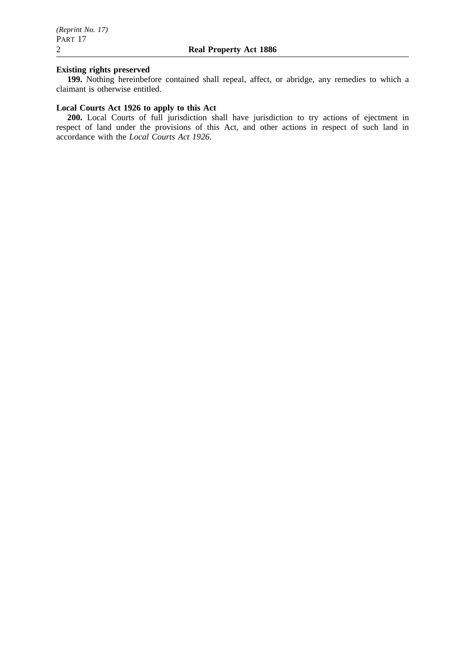# **Existing rights preserved**

**199.** Nothing hereinbefore contained shall repeal, affect, or abridge, any remedies to which a claimant is otherwise entitled.

# **Local Courts Act 1926 to apply to this Act**

**200.** Local Courts of full jurisdiction shall have jurisdiction to try actions of ejectment in respect of land under the provisions of this Act, and other actions in respect of such land in accordance with the *Local Courts Act 1926*.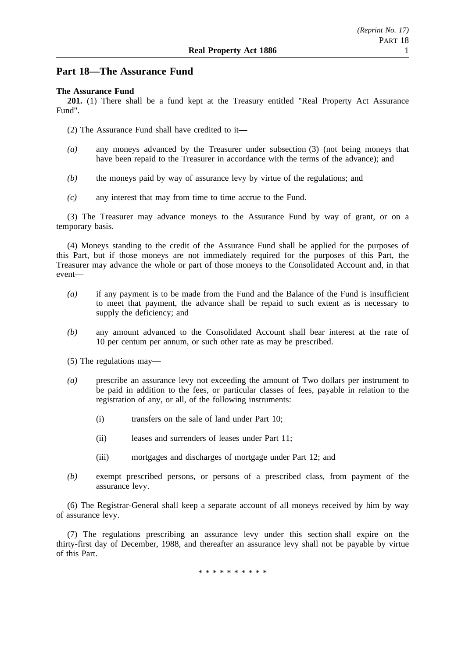# **Part 18—The Assurance Fund**

### **The Assurance Fund**

**201.** (1) There shall be a fund kept at the Treasury entitled "Real Property Act Assurance Fund".

- (2) The Assurance Fund shall have credited to it—
- *(a)* any moneys advanced by the Treasurer under subsection (3) (not being moneys that have been repaid to the Treasurer in accordance with the terms of the advance); and
- *(b)* the moneys paid by way of assurance levy by virtue of the regulations; and
- *(c)* any interest that may from time to time accrue to the Fund.

(3) The Treasurer may advance moneys to the Assurance Fund by way of grant, or on a temporary basis.

(4) Moneys standing to the credit of the Assurance Fund shall be applied for the purposes of this Part, but if those moneys are not immediately required for the purposes of this Part, the Treasurer may advance the whole or part of those moneys to the Consolidated Account and, in that event—

- *(a)* if any payment is to be made from the Fund and the Balance of the Fund is insufficient to meet that payment, the advance shall be repaid to such extent as is necessary to supply the deficiency; and
- *(b)* any amount advanced to the Consolidated Account shall bear interest at the rate of 10 per centum per annum, or such other rate as may be prescribed.
- (5) The regulations may—
- *(a)* prescribe an assurance levy not exceeding the amount of Two dollars per instrument to be paid in addition to the fees, or particular classes of fees, payable in relation to the registration of any, or all, of the following instruments:
	- (i) transfers on the sale of land under Part 10;
	- (ii) leases and surrenders of leases under Part 11;
	- (iii) mortgages and discharges of mortgage under Part 12; and
- *(b)* exempt prescribed persons, or persons of a prescribed class, from payment of the assurance levy.

(6) The Registrar-General shall keep a separate account of all moneys received by him by way of assurance levy.

(7) The regulations prescribing an assurance levy under this section shall expire on the thirty-first day of December, 1988, and thereafter an assurance levy shall not be payable by virtue of this Part.

\*\*\*\*\*\*\*\*\*\*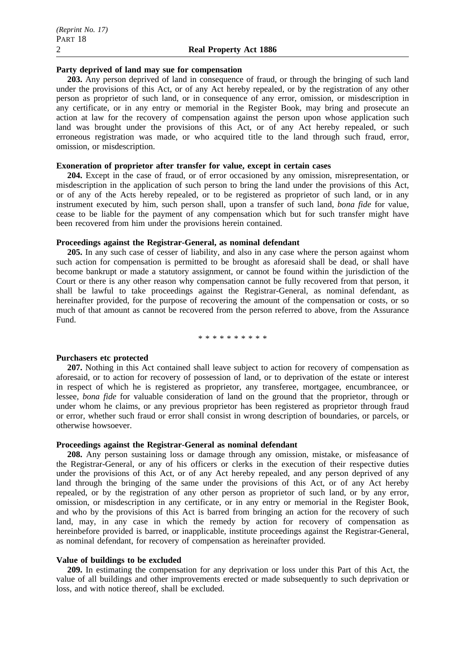### **Party deprived of land may sue for compensation**

**203.** Any person deprived of land in consequence of fraud, or through the bringing of such land under the provisions of this Act, or of any Act hereby repealed, or by the registration of any other person as proprietor of such land, or in consequence of any error, omission, or misdescription in any certificate, or in any entry or memorial in the Register Book, may bring and prosecute an action at law for the recovery of compensation against the person upon whose application such land was brought under the provisions of this Act, or of any Act hereby repealed, or such erroneous registration was made, or who acquired title to the land through such fraud, error, omission, or misdescription.

### **Exoneration of proprietor after transfer for value, except in certain cases**

**204.** Except in the case of fraud, or of error occasioned by any omission, misrepresentation, or misdescription in the application of such person to bring the land under the provisions of this Act, or of any of the Acts hereby repealed, or to be registered as proprietor of such land, or in any instrument executed by him, such person shall, upon a transfer of such land, *bona fide* for value, cease to be liable for the payment of any compensation which but for such transfer might have been recovered from him under the provisions herein contained.

### **Proceedings against the Registrar-General, as nominal defendant**

**205.** In any such case of cesser of liability, and also in any case where the person against whom such action for compensation is permitted to be brought as aforesaid shall be dead, or shall have become bankrupt or made a statutory assignment, or cannot be found within the jurisdiction of the Court or there is any other reason why compensation cannot be fully recovered from that person, it shall be lawful to take proceedings against the Registrar-General, as nominal defendant, as hereinafter provided, for the purpose of recovering the amount of the compensation or costs, or so much of that amount as cannot be recovered from the person referred to above, from the Assurance Fund.

\*\*\*\*\*\*\*\*\*\*

### **Purchasers etc protected**

**207.** Nothing in this Act contained shall leave subject to action for recovery of compensation as aforesaid, or to action for recovery of possession of land, or to deprivation of the estate or interest in respect of which he is registered as proprietor, any transferee, mortgagee, encumbrancee, or lessee, *bona fide* for valuable consideration of land on the ground that the proprietor, through or under whom he claims, or any previous proprietor has been registered as proprietor through fraud or error, whether such fraud or error shall consist in wrong description of boundaries, or parcels, or otherwise howsoever.

### **Proceedings against the Registrar-General as nominal defendant**

**208.** Any person sustaining loss or damage through any omission, mistake, or misfeasance of the Registrar-General, or any of his officers or clerks in the execution of their respective duties under the provisions of this Act, or of any Act hereby repealed, and any person deprived of any land through the bringing of the same under the provisions of this Act, or of any Act hereby repealed, or by the registration of any other person as proprietor of such land, or by any error, omission, or misdescription in any certificate, or in any entry or memorial in the Register Book, and who by the provisions of this Act is barred from bringing an action for the recovery of such land, may, in any case in which the remedy by action for recovery of compensation as hereinbefore provided is barred, or inapplicable, institute proceedings against the Registrar-General, as nominal defendant, for recovery of compensation as hereinafter provided.

### **Value of buildings to be excluded**

**209.** In estimating the compensation for any deprivation or loss under this Part of this Act, the value of all buildings and other improvements erected or made subsequently to such deprivation or loss, and with notice thereof, shall be excluded.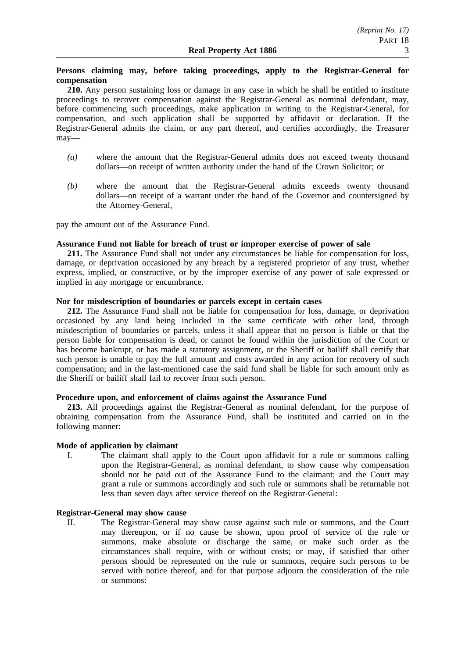## **Persons claiming may, before taking proceedings, apply to the Registrar-General for compensation**

**210.** Any person sustaining loss or damage in any case in which he shall be entitled to institute proceedings to recover compensation against the Registrar-General as nominal defendant, may, before commencing such proceedings, make application in writing to the Registrar-General, for compensation, and such application shall be supported by affidavit or declaration. If the Registrar-General admits the claim, or any part thereof, and certifies accordingly, the Treasurer may—

- *(a)* where the amount that the Registrar-General admits does not exceed twenty thousand dollars—on receipt of written authority under the hand of the Crown Solicitor; or
- *(b)* where the amount that the Registrar-General admits exceeds twenty thousand dollars—on receipt of a warrant under the hand of the Governor and countersigned by the Attorney-General,

pay the amount out of the Assurance Fund.

# **Assurance Fund not liable for breach of trust or improper exercise of power of sale**

**211.** The Assurance Fund shall not under any circumstances be liable for compensation for loss, damage, or deprivation occasioned by any breach by a registered proprietor of any trust, whether express, implied, or constructive, or by the improper exercise of any power of sale expressed or implied in any mortgage or encumbrance.

### **Nor for misdescription of boundaries or parcels except in certain cases**

**212.** The Assurance Fund shall not be liable for compensation for loss, damage, or deprivation occasioned by any land being included in the same certificate with other land, through misdescription of boundaries or parcels, unless it shall appear that no person is liable or that the person liable for compensation is dead, or cannot be found within the jurisdiction of the Court or has become bankrupt, or has made a statutory assignment, or the Sheriff or bailiff shall certify that such person is unable to pay the full amount and costs awarded in any action for recovery of such compensation; and in the last-mentioned case the said fund shall be liable for such amount only as the Sheriff or bailiff shall fail to recover from such person.

# **Procedure upon, and enforcement of claims against the Assurance Fund**

**213.** All proceedings against the Registrar-General as nominal defendant, for the purpose of obtaining compensation from the Assurance Fund, shall be instituted and carried on in the following manner:

### **Mode of application by claimant**

I. The claimant shall apply to the Court upon affidavit for a rule or summons calling upon the Registrar-General, as nominal defendant, to show cause why compensation should not be paid out of the Assurance Fund to the claimant; and the Court may grant a rule or summons accordingly and such rule or summons shall be returnable not less than seven days after service thereof on the Registrar-General:

# **Registrar-General may show cause**

II. The Registrar-General may show cause against such rule or summons, and the Court may thereupon, or if no cause be shown, upon proof of service of the rule or summons, make absolute or discharge the same, or make such order as the circumstances shall require, with or without costs; or may, if satisfied that other persons should be represented on the rule or summons, require such persons to be served with notice thereof, and for that purpose adjourn the consideration of the rule or summons: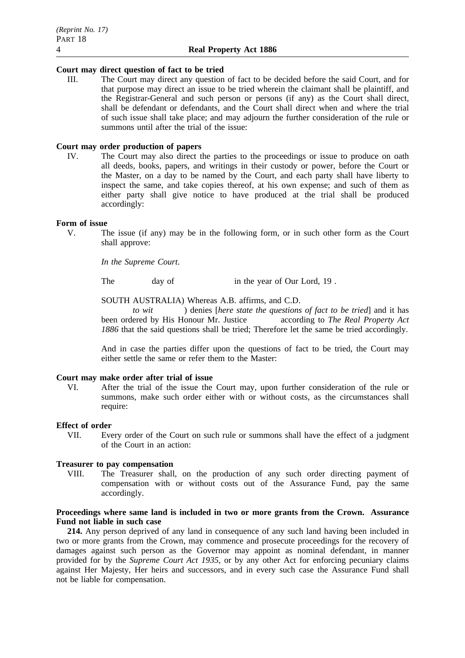## **Court may direct question of fact to be tried**

III. The Court may direct any question of fact to be decided before the said Court, and for that purpose may direct an issue to be tried wherein the claimant shall be plaintiff, and the Registrar-General and such person or persons (if any) as the Court shall direct, shall be defendant or defendants, and the Court shall direct when and where the trial of such issue shall take place; and may adjourn the further consideration of the rule or summons until after the trial of the issue:

# **Court may order production of papers**

IV. The Court may also direct the parties to the proceedings or issue to produce on oath all deeds, books, papers, and writings in their custody or power, before the Court or the Master, on a day to be named by the Court, and each party shall have liberty to inspect the same, and take copies thereof, at his own expense; and such of them as either party shall give notice to have produced at the trial shall be produced accordingly:

### **Form of issue**

V. The issue (if any) may be in the following form, or in such other form as the Court shall approve:

*In the Supreme Court*.

The day of in the year of Our Lord, 19.

SOUTH AUSTRALIA) Whereas A.B. affirms, and C.D.

*to wit* ) denies [*here state the questions of fact to be tried*] and it has been ordered by His Honour Mr. Justice according to *The Real Property Act 1886* that the said questions shall be tried; Therefore let the same be tried accordingly.

And in case the parties differ upon the questions of fact to be tried, the Court may either settle the same or refer them to the Master:

### **Court may make order after trial of issue**

VI. After the trial of the issue the Court may, upon further consideration of the rule or summons, make such order either with or without costs, as the circumstances shall require:

### **Effect of order**

VII. Every order of the Court on such rule or summons shall have the effect of a judgment of the Court in an action:

# **Treasurer to pay compensation**

VIII. The Treasurer shall, on the production of any such order directing payment of compensation with or without costs out of the Assurance Fund, pay the same accordingly.

# **Proceedings where same land is included in two or more grants from the Crown. Assurance Fund not liable in such case**

**214.** Any person deprived of any land in consequence of any such land having been included in two or more grants from the Crown, may commence and prosecute proceedings for the recovery of damages against such person as the Governor may appoint as nominal defendant, in manner provided for by the *Supreme Court Act 1935*, or by any other Act for enforcing pecuniary claims against Her Majesty, Her heirs and successors, and in every such case the Assurance Fund shall not be liable for compensation.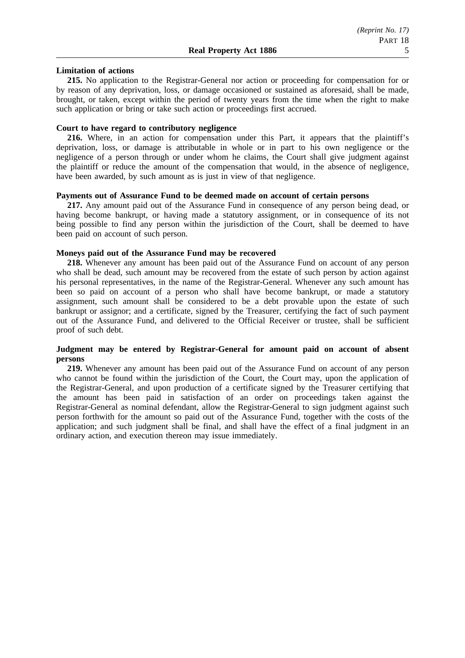### **Limitation of actions**

**215.** No application to the Registrar-General nor action or proceeding for compensation for or by reason of any deprivation, loss, or damage occasioned or sustained as aforesaid, shall be made, brought, or taken, except within the period of twenty years from the time when the right to make such application or bring or take such action or proceedings first accrued.

### **Court to have regard to contributory negligence**

**216.** Where, in an action for compensation under this Part, it appears that the plaintiff's deprivation, loss, or damage is attributable in whole or in part to his own negligence or the negligence of a person through or under whom he claims, the Court shall give judgment against the plaintiff or reduce the amount of the compensation that would, in the absence of negligence, have been awarded, by such amount as is just in view of that negligence.

# **Payments out of Assurance Fund to be deemed made on account of certain persons**

**217.** Any amount paid out of the Assurance Fund in consequence of any person being dead, or having become bankrupt, or having made a statutory assignment, or in consequence of its not being possible to find any person within the jurisdiction of the Court, shall be deemed to have been paid on account of such person.

## **Moneys paid out of the Assurance Fund may be recovered**

**218.** Whenever any amount has been paid out of the Assurance Fund on account of any person who shall be dead, such amount may be recovered from the estate of such person by action against his personal representatives, in the name of the Registrar-General. Whenever any such amount has been so paid on account of a person who shall have become bankrupt, or made a statutory assignment, such amount shall be considered to be a debt provable upon the estate of such bankrupt or assignor; and a certificate, signed by the Treasurer, certifying the fact of such payment out of the Assurance Fund, and delivered to the Official Receiver or trustee, shall be sufficient proof of such debt.

# **Judgment may be entered by Registrar-General for amount paid on account of absent persons**

**219.** Whenever any amount has been paid out of the Assurance Fund on account of any person who cannot be found within the jurisdiction of the Court, the Court may, upon the application of the Registrar-General, and upon production of a certificate signed by the Treasurer certifying that the amount has been paid in satisfaction of an order on proceedings taken against the Registrar-General as nominal defendant, allow the Registrar-General to sign judgment against such person forthwith for the amount so paid out of the Assurance Fund, together with the costs of the application; and such judgment shall be final, and shall have the effect of a final judgment in an ordinary action, and execution thereon may issue immediately.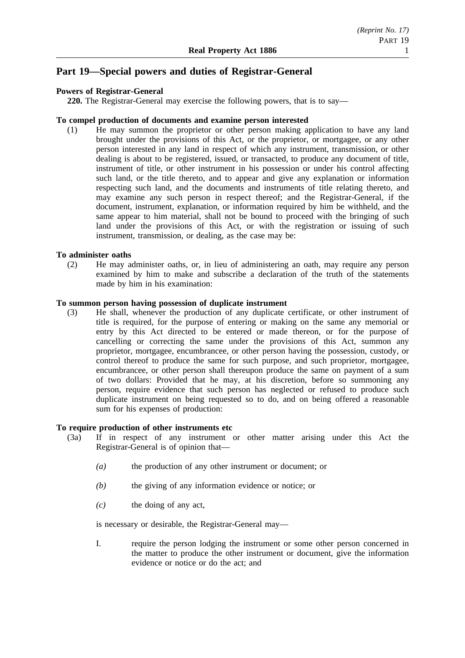# **Part 19—Special powers and duties of Registrar-General**

# **Powers of Registrar-General**

**220.** The Registrar-General may exercise the following powers, that is to say—

# **To compel production of documents and examine person interested**

(1) He may summon the proprietor or other person making application to have any land brought under the provisions of this Act, or the proprietor, or mortgagee, or any other person interested in any land in respect of which any instrument, transmission, or other dealing is about to be registered, issued, or transacted, to produce any document of title, instrument of title, or other instrument in his possession or under his control affecting such land, or the title thereto, and to appear and give any explanation or information respecting such land, and the documents and instruments of title relating thereto, and may examine any such person in respect thereof; and the Registrar-General, if the document, instrument, explanation, or information required by him be withheld, and the same appear to him material, shall not be bound to proceed with the bringing of such land under the provisions of this Act, or with the registration or issuing of such instrument, transmission, or dealing, as the case may be:

# **To administer oaths**

(2) He may administer oaths, or, in lieu of administering an oath, may require any person examined by him to make and subscribe a declaration of the truth of the statements made by him in his examination:

# **To summon person having possession of duplicate instrument**

(3) He shall, whenever the production of any duplicate certificate, or other instrument of title is required, for the purpose of entering or making on the same any memorial or entry by this Act directed to be entered or made thereon, or for the purpose of cancelling or correcting the same under the provisions of this Act, summon any proprietor, mortgagee, encumbrancee, or other person having the possession, custody, or control thereof to produce the same for such purpose, and such proprietor, mortgagee, encumbrancee, or other person shall thereupon produce the same on payment of a sum of two dollars: Provided that he may, at his discretion, before so summoning any person, require evidence that such person has neglected or refused to produce such duplicate instrument on being requested so to do, and on being offered a reasonable sum for his expenses of production:

### **To require production of other instruments etc**

- (3a) If in respect of any instrument or other matter arising under this Act the Registrar-General is of opinion that—
	- *(a)* the production of any other instrument or document; or
	- *(b)* the giving of any information evidence or notice; or
	- *(c)* the doing of any act,

is necessary or desirable, the Registrar-General may—

I. require the person lodging the instrument or some other person concerned in the matter to produce the other instrument or document, give the information evidence or notice or do the act; and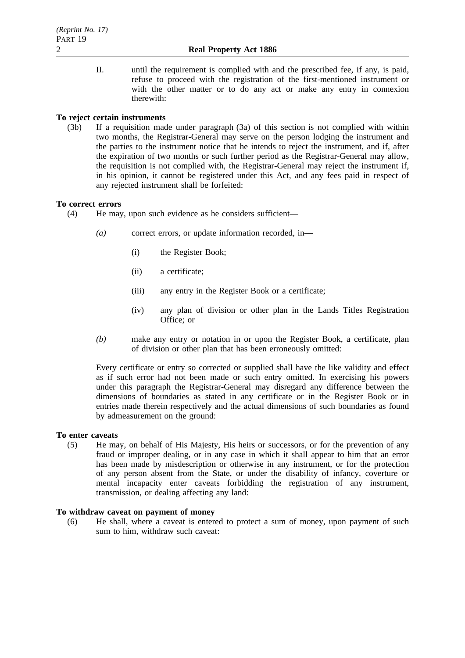II. until the requirement is complied with and the prescribed fee, if any, is paid, refuse to proceed with the registration of the first-mentioned instrument or with the other matter or to do any act or make any entry in connexion therewith:

# **To reject certain instruments**

(3b) If a requisition made under paragraph (3a) of this section is not complied with within two months, the Registrar-General may serve on the person lodging the instrument and the parties to the instrument notice that he intends to reject the instrument, and if, after the expiration of two months or such further period as the Registrar-General may allow, the requisition is not complied with, the Registrar-General may reject the instrument if, in his opinion, it cannot be registered under this Act, and any fees paid in respect of any rejected instrument shall be forfeited:

# **To correct errors**

- (4) He may, upon such evidence as he considers sufficient—
	- *(a)* correct errors, or update information recorded, in—
		- (i) the Register Book;
		- (ii) a certificate;
		- (iii) any entry in the Register Book or a certificate;
		- (iv) any plan of division or other plan in the Lands Titles Registration Office; or
	- *(b)* make any entry or notation in or upon the Register Book, a certificate, plan of division or other plan that has been erroneously omitted:

Every certificate or entry so corrected or supplied shall have the like validity and effect as if such error had not been made or such entry omitted. In exercising his powers under this paragraph the Registrar-General may disregard any difference between the dimensions of boundaries as stated in any certificate or in the Register Book or in entries made therein respectively and the actual dimensions of such boundaries as found by admeasurement on the ground:

### **To enter caveats**

(5) He may, on behalf of His Majesty, His heirs or successors, or for the prevention of any fraud or improper dealing, or in any case in which it shall appear to him that an error has been made by misdescription or otherwise in any instrument, or for the protection of any person absent from the State, or under the disability of infancy, coverture or mental incapacity enter caveats forbidding the registration of any instrument, transmission, or dealing affecting any land:

### **To withdraw caveat on payment of money**

(6) He shall, where a caveat is entered to protect a sum of money, upon payment of such sum to him, withdraw such caveat: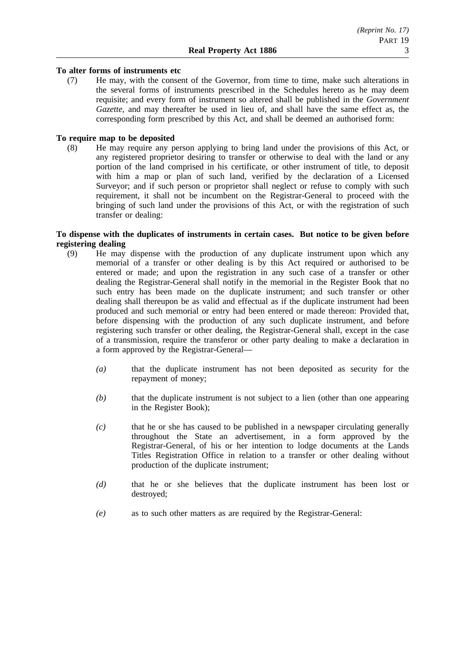# **To alter forms of instruments etc**

(7) He may, with the consent of the Governor, from time to time, make such alterations in the several forms of instruments prescribed in the Schedules hereto as he may deem requisite; and every form of instrument so altered shall be published in the *Government Gazette*, and may thereafter be used in lieu of, and shall have the same effect as, the corresponding form prescribed by this Act, and shall be deemed an authorised form:

# **To require map to be deposited**

(8) He may require any person applying to bring land under the provisions of this Act, or any registered proprietor desiring to transfer or otherwise to deal with the land or any portion of the land comprised in his certificate, or other instrument of title, to deposit with him a map or plan of such land, verified by the declaration of a Licensed Surveyor; and if such person or proprietor shall neglect or refuse to comply with such requirement, it shall not be incumbent on the Registrar-General to proceed with the bringing of such land under the provisions of this Act, or with the registration of such transfer or dealing:

# **To dispense with the duplicates of instruments in certain cases. But notice to be given before registering dealing**<br>(9) He may

- He may dispense with the production of any duplicate instrument upon which any memorial of a transfer or other dealing is by this Act required or authorised to be entered or made; and upon the registration in any such case of a transfer or other dealing the Registrar-General shall notify in the memorial in the Register Book that no such entry has been made on the duplicate instrument; and such transfer or other dealing shall thereupon be as valid and effectual as if the duplicate instrument had been produced and such memorial or entry had been entered or made thereon: Provided that, before dispensing with the production of any such duplicate instrument, and before registering such transfer or other dealing, the Registrar-General shall, except in the case of a transmission, require the transferor or other party dealing to make a declaration in a form approved by the Registrar-General—
	- *(a)* that the duplicate instrument has not been deposited as security for the repayment of money;
	- *(b)* that the duplicate instrument is not subject to a lien (other than one appearing in the Register Book);
	- *(c)* that he or she has caused to be published in a newspaper circulating generally throughout the State an advertisement, in a form approved by the Registrar-General, of his or her intention to lodge documents at the Lands Titles Registration Office in relation to a transfer or other dealing without production of the duplicate instrument;
	- *(d)* that he or she believes that the duplicate instrument has been lost or destroyed;
	- *(e)* as to such other matters as are required by the Registrar-General: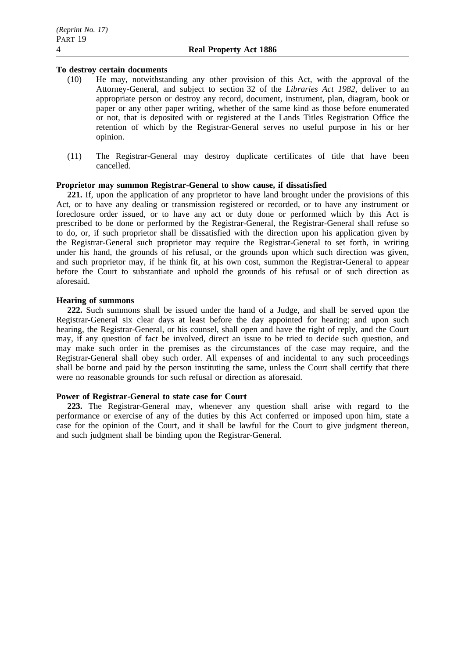# **To destroy certain documents**

- (10) He may, notwithstanding any other provision of this Act, with the approval of the Attorney-General, and subject to section 32 of the *Libraries Act 1982*, deliver to an appropriate person or destroy any record, document, instrument, plan, diagram, book or paper or any other paper writing, whether of the same kind as those before enumerated or not, that is deposited with or registered at the Lands Titles Registration Office the retention of which by the Registrar-General serves no useful purpose in his or her opinion.
- (11) The Registrar-General may destroy duplicate certificates of title that have been cancelled.

## **Proprietor may summon Registrar-General to show cause, if dissatisfied**

**221.** If, upon the application of any proprietor to have land brought under the provisions of this Act, or to have any dealing or transmission registered or recorded, or to have any instrument or foreclosure order issued, or to have any act or duty done or performed which by this Act is prescribed to be done or performed by the Registrar-General, the Registrar-General shall refuse so to do, or, if such proprietor shall be dissatisfied with the direction upon his application given by the Registrar-General such proprietor may require the Registrar-General to set forth, in writing under his hand, the grounds of his refusal, or the grounds upon which such direction was given, and such proprietor may, if he think fit, at his own cost, summon the Registrar-General to appear before the Court to substantiate and uphold the grounds of his refusal or of such direction as aforesaid.

### **Hearing of summons**

**222.** Such summons shall be issued under the hand of a Judge, and shall be served upon the Registrar-General six clear days at least before the day appointed for hearing; and upon such hearing, the Registrar-General, or his counsel, shall open and have the right of reply, and the Court may, if any question of fact be involved, direct an issue to be tried to decide such question, and may make such order in the premises as the circumstances of the case may require, and the Registrar-General shall obey such order. All expenses of and incidental to any such proceedings shall be borne and paid by the person instituting the same, unless the Court shall certify that there were no reasonable grounds for such refusal or direction as aforesaid.

# **Power of Registrar-General to state case for Court**

**223.** The Registrar-General may, whenever any question shall arise with regard to the performance or exercise of any of the duties by this Act conferred or imposed upon him, state a case for the opinion of the Court, and it shall be lawful for the Court to give judgment thereon, and such judgment shall be binding upon the Registrar-General.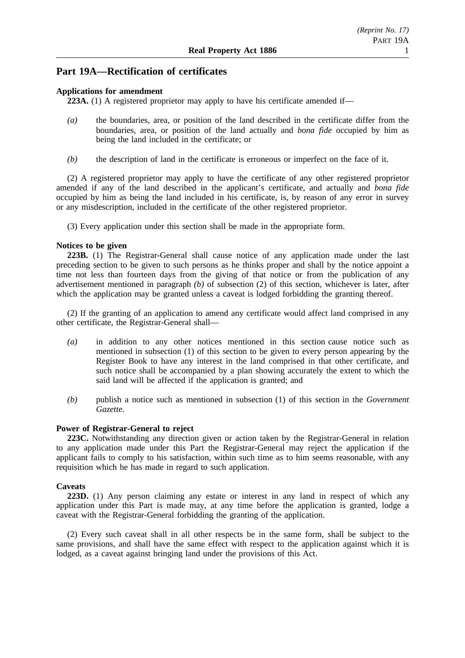# **Part 19A—Rectification of certificates**

## **Applications for amendment**

**223A.** (1) A registered proprietor may apply to have his certificate amended if—

- *(a)* the boundaries, area, or position of the land described in the certificate differ from the boundaries, area, or position of the land actually and *bona fide* occupied by him as being the land included in the certificate; or
- *(b)* the description of land in the certificate is erroneous or imperfect on the face of it.

(2) A registered proprietor may apply to have the certificate of any other registered proprietor amended if any of the land described in the applicant's certificate, and actually and *bona fide* occupied by him as being the land included in his certificate, is, by reason of any error in survey or any misdescription, included in the certificate of the other registered proprietor.

(3) Every application under this section shall be made in the appropriate form.

### **Notices to be given**

**223B.** (1) The Registrar-General shall cause notice of any application made under the last preceding section to be given to such persons as he thinks proper and shall by the notice appoint a time not less than fourteen days from the giving of that notice or from the publication of any advertisement mentioned in paragraph *(b)* of subsection (2) of this section, whichever is later, after which the application may be granted unless a caveat is lodged forbidding the granting thereof.

(2) If the granting of an application to amend any certificate would affect land comprised in any other certificate, the Registrar-General shall—

- *(a)* in addition to any other notices mentioned in this section cause notice such as mentioned in subsection (1) of this section to be given to every person appearing by the Register Book to have any interest in the land comprised in that other certificate, and such notice shall be accompanied by a plan showing accurately the extent to which the said land will be affected if the application is granted; and
- *(b)* publish a notice such as mentioned in subsection (1) of this section in the *Government Gazette*.

### **Power of Registrar-General to reject**

**223C.** Notwithstanding any direction given or action taken by the Registrar-General in relation to any application made under this Part the Registrar-General may reject the application if the applicant fails to comply to his satisfaction, within such time as to him seems reasonable, with any requisition which he has made in regard to such application.

### **Caveats**

**223D.** (1) Any person claiming any estate or interest in any land in respect of which any application under this Part is made may, at any time before the application is granted, lodge a caveat with the Registrar-General forbidding the granting of the application.

(2) Every such caveat shall in all other respects be in the same form, shall be subject to the same provisions, and shall have the same effect with respect to the application against which it is lodged, as a caveat against bringing land under the provisions of this Act.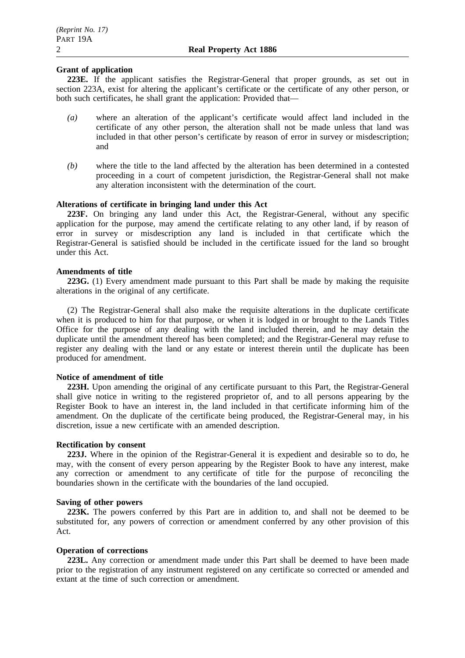## **Grant of application**

**223E.** If the applicant satisfies the Registrar-General that proper grounds, as set out in section 223A, exist for altering the applicant's certificate or the certificate of any other person, or both such certificates, he shall grant the application: Provided that—

- *(a)* where an alteration of the applicant's certificate would affect land included in the certificate of any other person, the alteration shall not be made unless that land was included in that other person's certificate by reason of error in survey or misdescription; and
- *(b)* where the title to the land affected by the alteration has been determined in a contested proceeding in a court of competent jurisdiction, the Registrar-General shall not make any alteration inconsistent with the determination of the court.

## **Alterations of certificate in bringing land under this Act**

**223F.** On bringing any land under this Act, the Registrar-General, without any specific application for the purpose, may amend the certificate relating to any other land, if by reason of error in survey or misdescription any land is included in that certificate which the Registrar-General is satisfied should be included in the certificate issued for the land so brought under this Act.

## **Amendments of title**

**223G.** (1) Every amendment made pursuant to this Part shall be made by making the requisite alterations in the original of any certificate.

(2) The Registrar-General shall also make the requisite alterations in the duplicate certificate when it is produced to him for that purpose, or when it is lodged in or brought to the Lands Titles Office for the purpose of any dealing with the land included therein, and he may detain the duplicate until the amendment thereof has been completed; and the Registrar-General may refuse to register any dealing with the land or any estate or interest therein until the duplicate has been produced for amendment.

### **Notice of amendment of title**

**223H.** Upon amending the original of any certificate pursuant to this Part, the Registrar-General shall give notice in writing to the registered proprietor of, and to all persons appearing by the Register Book to have an interest in, the land included in that certificate informing him of the amendment. On the duplicate of the certificate being produced, the Registrar-General may, in his discretion, issue a new certificate with an amended description.

### **Rectification by consent**

**223J.** Where in the opinion of the Registrar-General it is expedient and desirable so to do, he may, with the consent of every person appearing by the Register Book to have any interest, make any correction or amendment to any certificate of title for the purpose of reconciling the boundaries shown in the certificate with the boundaries of the land occupied.

### **Saving of other powers**

**223K.** The powers conferred by this Part are in addition to, and shall not be deemed to be substituted for, any powers of correction or amendment conferred by any other provision of this Act.

### **Operation of corrections**

**223L.** Any correction or amendment made under this Part shall be deemed to have been made prior to the registration of any instrument registered on any certificate so corrected or amended and extant at the time of such correction or amendment.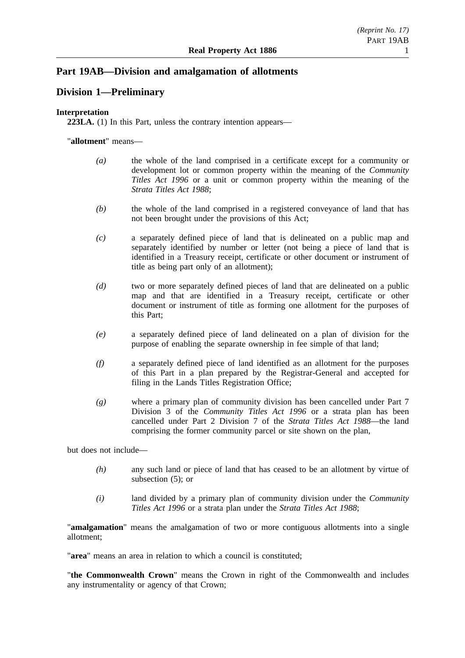# **Part 19AB—Division and amalgamation of allotments**

# **Division 1—Preliminary**

# **Interpretation**

**223LA.** (1) In this Part, unless the contrary intention appears—

"**allotment**" means—

- *(a)* the whole of the land comprised in a certificate except for a community or development lot or common property within the meaning of the *Community Titles Act 1996* or a unit or common property within the meaning of the *Strata Titles Act 1988*;
- *(b)* the whole of the land comprised in a registered conveyance of land that has not been brought under the provisions of this Act;
- *(c)* a separately defined piece of land that is delineated on a public map and separately identified by number or letter (not being a piece of land that is identified in a Treasury receipt, certificate or other document or instrument of title as being part only of an allotment);
- *(d)* two or more separately defined pieces of land that are delineated on a public map and that are identified in a Treasury receipt, certificate or other document or instrument of title as forming one allotment for the purposes of this Part;
- *(e)* a separately defined piece of land delineated on a plan of division for the purpose of enabling the separate ownership in fee simple of that land;
- *(f)* a separately defined piece of land identified as an allotment for the purposes of this Part in a plan prepared by the Registrar-General and accepted for filing in the Lands Titles Registration Office;
- *(g)* where a primary plan of community division has been cancelled under Part 7 Division 3 of the *Community Titles Act 1996* or a strata plan has been cancelled under Part 2 Division 7 of the *Strata Titles Act 1988*—the land comprising the former community parcel or site shown on the plan,

but does not include—

- *(h)* any such land or piece of land that has ceased to be an allotment by virtue of subsection (5); or
- *(i)* land divided by a primary plan of community division under the *Community Titles Act 1996* or a strata plan under the *Strata Titles Act 1988*;

"**amalgamation**" means the amalgamation of two or more contiguous allotments into a single allotment;

"**area**" means an area in relation to which a council is constituted;

"**the Commonwealth Crown**" means the Crown in right of the Commonwealth and includes any instrumentality or agency of that Crown;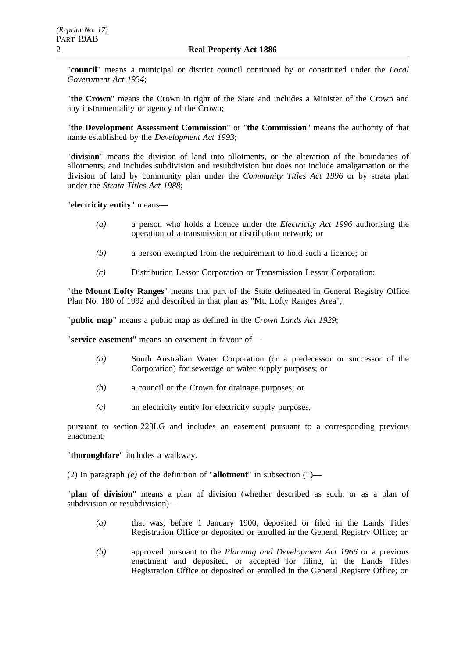"**council**" means a municipal or district council continued by or constituted under the *Local Government Act 1934*;

"**the Crown**" means the Crown in right of the State and includes a Minister of the Crown and any instrumentality or agency of the Crown;

"**the Development Assessment Commission**" or "**the Commission**" means the authority of that name established by the *Development Act 1993*;

"**division**" means the division of land into allotments, or the alteration of the boundaries of allotments, and includes subdivision and resubdivision but does not include amalgamation or the division of land by community plan under the *Community Titles Act 1996* or by strata plan under the *Strata Titles Act 1988*;

"**electricity entity**" means—

- *(a)* a person who holds a licence under the *Electricity Act 1996* authorising the operation of a transmission or distribution network; or
- *(b)* a person exempted from the requirement to hold such a licence; or
- *(c)* Distribution Lessor Corporation or Transmission Lessor Corporation;

"**the Mount Lofty Ranges**" means that part of the State delineated in General Registry Office Plan No. 180 of 1992 and described in that plan as "Mt. Lofty Ranges Area";

"**public map**" means a public map as defined in the *Crown Lands Act 1929*;

"**service easement**" means an easement in favour of—

- *(a)* South Australian Water Corporation (or a predecessor or successor of the Corporation) for sewerage or water supply purposes; or
- *(b)* a council or the Crown for drainage purposes; or
- *(c)* an electricity entity for electricity supply purposes,

pursuant to section 223LG and includes an easement pursuant to a corresponding previous enactment;

"**thoroughfare**" includes a walkway.

(2) In paragraph *(e)* of the definition of "**allotment**" in subsection (1)—

"**plan of division**" means a plan of division (whether described as such, or as a plan of subdivision or resubdivision)—

- *(a)* that was, before 1 January 1900, deposited or filed in the Lands Titles Registration Office or deposited or enrolled in the General Registry Office; or
- *(b)* approved pursuant to the *Planning and Development Act 1966* or a previous enactment and deposited, or accepted for filing, in the Lands Titles Registration Office or deposited or enrolled in the General Registry Office; or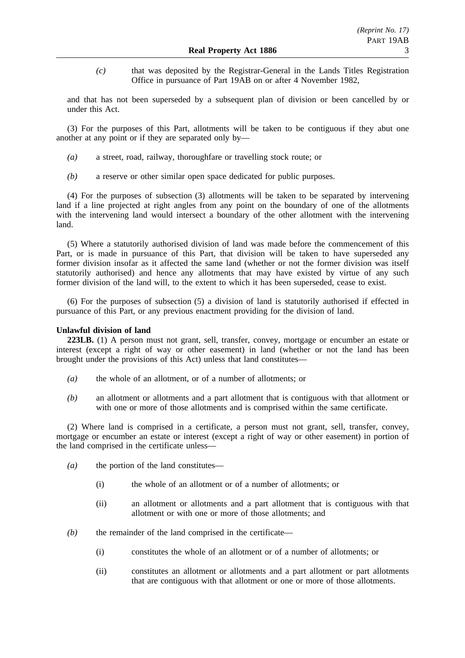*(c)* that was deposited by the Registrar-General in the Lands Titles Registration Office in pursuance of Part 19AB on or after 4 November 1982,

and that has not been superseded by a subsequent plan of division or been cancelled by or under this Act.

(3) For the purposes of this Part, allotments will be taken to be contiguous if they abut one another at any point or if they are separated only by—

- *(a)* a street, road, railway, thoroughfare or travelling stock route; or
- *(b)* a reserve or other similar open space dedicated for public purposes.

(4) For the purposes of subsection (3) allotments will be taken to be separated by intervening land if a line projected at right angles from any point on the boundary of one of the allotments with the intervening land would intersect a boundary of the other allotment with the intervening land.

(5) Where a statutorily authorised division of land was made before the commencement of this Part, or is made in pursuance of this Part, that division will be taken to have superseded any former division insofar as it affected the same land (whether or not the former division was itself statutorily authorised) and hence any allotments that may have existed by virtue of any such former division of the land will, to the extent to which it has been superseded, cease to exist.

(6) For the purposes of subsection (5) a division of land is statutorily authorised if effected in pursuance of this Part, or any previous enactment providing for the division of land.

### **Unlawful division of land**

**223LB.** (1) A person must not grant, sell, transfer, convey, mortgage or encumber an estate or interest (except a right of way or other easement) in land (whether or not the land has been brought under the provisions of this Act) unless that land constitutes—

- *(a)* the whole of an allotment, or of a number of allotments; or
- *(b)* an allotment or allotments and a part allotment that is contiguous with that allotment or with one or more of those allotments and is comprised within the same certificate.

(2) Where land is comprised in a certificate, a person must not grant, sell, transfer, convey, mortgage or encumber an estate or interest (except a right of way or other easement) in portion of the land comprised in the certificate unless—

- *(a)* the portion of the land constitutes—
	- (i) the whole of an allotment or of a number of allotments; or
	- (ii) an allotment or allotments and a part allotment that is contiguous with that allotment or with one or more of those allotments; and
- *(b)* the remainder of the land comprised in the certificate—
	- (i) constitutes the whole of an allotment or of a number of allotments; or
	- (ii) constitutes an allotment or allotments and a part allotment or part allotments that are contiguous with that allotment or one or more of those allotments.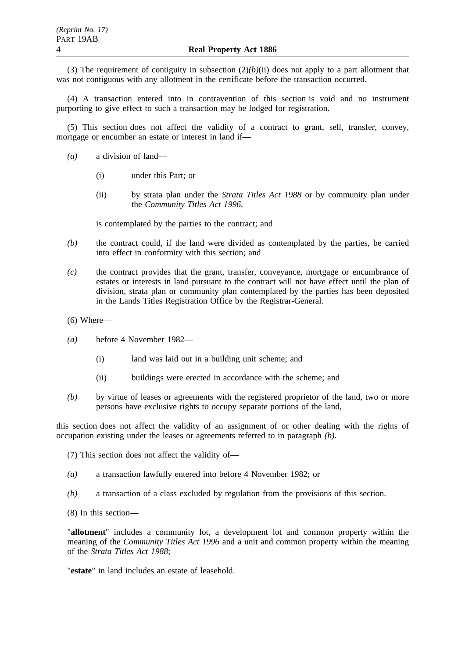(3) The requirement of contiguity in subsection  $(2)(b)(ii)$  does not apply to a part allotment that was not contiguous with any allotment in the certificate before the transaction occurred.

(4) A transaction entered into in contravention of this section is void and no instrument purporting to give effect to such a transaction may be lodged for registration.

(5) This section does not affect the validity of a contract to grant, sell, transfer, convey, mortgage or encumber an estate or interest in land if—

- *(a)* a division of land—
	- (i) under this Part; or
	- (ii) by strata plan under the *Strata Titles Act 1988* or by community plan under the *Community Titles Act 1996*,

is contemplated by the parties to the contract; and

- *(b)* the contract could, if the land were divided as contemplated by the parties, be carried into effect in conformity with this section; and
- *(c)* the contract provides that the grant, transfer, conveyance, mortgage or encumbrance of estates or interests in land pursuant to the contract will not have effect until the plan of division, strata plan or community plan contemplated by the parties has been deposited in the Lands Titles Registration Office by the Registrar-General.
- (6) Where—
- *(a)* before 4 November 1982—
	- (i) land was laid out in a building unit scheme; and
	- (ii) buildings were erected in accordance with the scheme; and
- *(b)* by virtue of leases or agreements with the registered proprietor of the land, two or more persons have exclusive rights to occupy separate portions of the land,

this section does not affect the validity of an assignment of or other dealing with the rights of occupation existing under the leases or agreements referred to in paragraph *(b)*.

- (7) This section does not affect the validity of—
- *(a)* a transaction lawfully entered into before 4 November 1982; or
- *(b)* a transaction of a class excluded by regulation from the provisions of this section.
- (8) In this section—

"**allotment**" includes a community lot, a development lot and common property within the meaning of the *Community Titles Act 1996* and a unit and common property within the meaning of the *Strata Titles Act 1988*;

"**estate**" in land includes an estate of leasehold.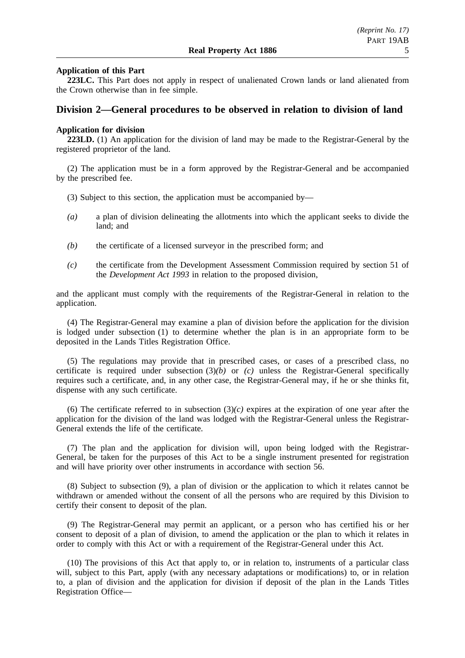## **Application of this Part**

**223LC.** This Part does not apply in respect of unalienated Crown lands or land alienated from the Crown otherwise than in fee simple.

# **Division 2—General procedures to be observed in relation to division of land**

### **Application for division**

**223LD.** (1) An application for the division of land may be made to the Registrar-General by the registered proprietor of the land.

(2) The application must be in a form approved by the Registrar-General and be accompanied by the prescribed fee.

- (3) Subject to this section, the application must be accompanied by—
- *(a)* a plan of division delineating the allotments into which the applicant seeks to divide the land; and
- *(b)* the certificate of a licensed surveyor in the prescribed form; and
- *(c)* the certificate from the Development Assessment Commission required by section 51 of the *Development Act 1993* in relation to the proposed division,

and the applicant must comply with the requirements of the Registrar-General in relation to the application.

(4) The Registrar-General may examine a plan of division before the application for the division is lodged under subsection (1) to determine whether the plan is in an appropriate form to be deposited in the Lands Titles Registration Office.

(5) The regulations may provide that in prescribed cases, or cases of a prescribed class, no certificate is required under subsection  $(3)(b)$  or  $(c)$  unless the Registrar-General specifically requires such a certificate, and, in any other case, the Registrar-General may, if he or she thinks fit, dispense with any such certificate.

(6) The certificate referred to in subsection  $(3)(c)$  expires at the expiration of one year after the application for the division of the land was lodged with the Registrar-General unless the Registrar-General extends the life of the certificate.

(7) The plan and the application for division will, upon being lodged with the Registrar-General, be taken for the purposes of this Act to be a single instrument presented for registration and will have priority over other instruments in accordance with section 56.

(8) Subject to subsection (9), a plan of division or the application to which it relates cannot be withdrawn or amended without the consent of all the persons who are required by this Division to certify their consent to deposit of the plan.

(9) The Registrar-General may permit an applicant, or a person who has certified his or her consent to deposit of a plan of division, to amend the application or the plan to which it relates in order to comply with this Act or with a requirement of the Registrar-General under this Act.

(10) The provisions of this Act that apply to, or in relation to, instruments of a particular class will, subject to this Part, apply (with any necessary adaptations or modifications) to, or in relation to, a plan of division and the application for division if deposit of the plan in the Lands Titles Registration Office—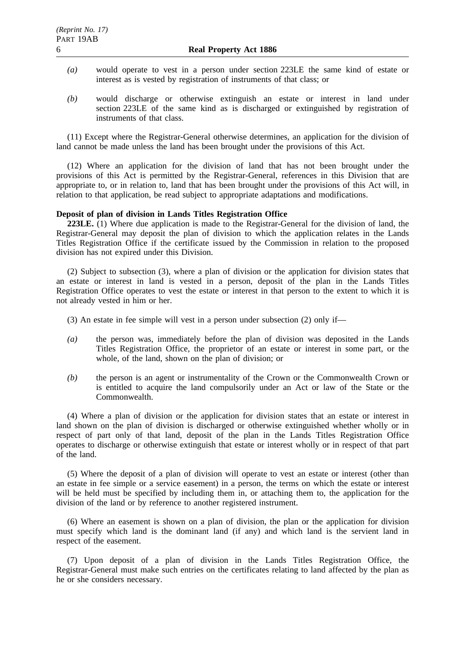- *(a)* would operate to vest in a person under section 223LE the same kind of estate or interest as is vested by registration of instruments of that class; or
- *(b)* would discharge or otherwise extinguish an estate or interest in land under section 223LE of the same kind as is discharged or extinguished by registration of instruments of that class.

(11) Except where the Registrar-General otherwise determines, an application for the division of land cannot be made unless the land has been brought under the provisions of this Act.

(12) Where an application for the division of land that has not been brought under the provisions of this Act is permitted by the Registrar-General, references in this Division that are appropriate to, or in relation to, land that has been brought under the provisions of this Act will, in relation to that application, be read subject to appropriate adaptations and modifications.

### **Deposit of plan of division in Lands Titles Registration Office**

**223LE.** (1) Where due application is made to the Registrar-General for the division of land, the Registrar-General may deposit the plan of division to which the application relates in the Lands Titles Registration Office if the certificate issued by the Commission in relation to the proposed division has not expired under this Division.

(2) Subject to subsection (3), where a plan of division or the application for division states that an estate or interest in land is vested in a person, deposit of the plan in the Lands Titles Registration Office operates to vest the estate or interest in that person to the extent to which it is not already vested in him or her.

- (3) An estate in fee simple will vest in a person under subsection (2) only if—
- *(a)* the person was, immediately before the plan of division was deposited in the Lands Titles Registration Office, the proprietor of an estate or interest in some part, or the whole, of the land, shown on the plan of division; or
- *(b)* the person is an agent or instrumentality of the Crown or the Commonwealth Crown or is entitled to acquire the land compulsorily under an Act or law of the State or the Commonwealth.

(4) Where a plan of division or the application for division states that an estate or interest in land shown on the plan of division is discharged or otherwise extinguished whether wholly or in respect of part only of that land, deposit of the plan in the Lands Titles Registration Office operates to discharge or otherwise extinguish that estate or interest wholly or in respect of that part of the land.

(5) Where the deposit of a plan of division will operate to vest an estate or interest (other than an estate in fee simple or a service easement) in a person, the terms on which the estate or interest will be held must be specified by including them in, or attaching them to, the application for the division of the land or by reference to another registered instrument.

(6) Where an easement is shown on a plan of division, the plan or the application for division must specify which land is the dominant land (if any) and which land is the servient land in respect of the easement.

(7) Upon deposit of a plan of division in the Lands Titles Registration Office, the Registrar-General must make such entries on the certificates relating to land affected by the plan as he or she considers necessary.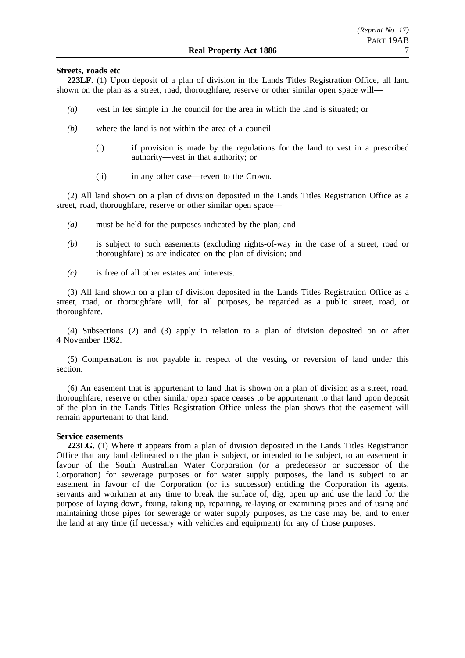### **Streets, roads etc**

**223LF.** (1) Upon deposit of a plan of division in the Lands Titles Registration Office, all land shown on the plan as a street, road, thoroughfare, reserve or other similar open space will—

- *(a)* vest in fee simple in the council for the area in which the land is situated; or
- *(b)* where the land is not within the area of a council—
	- (i) if provision is made by the regulations for the land to vest in a prescribed authority—vest in that authority; or
	- (ii) in any other case—revert to the Crown.

(2) All land shown on a plan of division deposited in the Lands Titles Registration Office as a street, road, thoroughfare, reserve or other similar open space—

- *(a)* must be held for the purposes indicated by the plan; and
- *(b)* is subject to such easements (excluding rights-of-way in the case of a street, road or thoroughfare) as are indicated on the plan of division; and
- *(c)* is free of all other estates and interests.

(3) All land shown on a plan of division deposited in the Lands Titles Registration Office as a street, road, or thoroughfare will, for all purposes, be regarded as a public street, road, or thoroughfare.

(4) Subsections (2) and (3) apply in relation to a plan of division deposited on or after 4 November 1982.

(5) Compensation is not payable in respect of the vesting or reversion of land under this section.

(6) An easement that is appurtenant to land that is shown on a plan of division as a street, road, thoroughfare, reserve or other similar open space ceases to be appurtenant to that land upon deposit of the plan in the Lands Titles Registration Office unless the plan shows that the easement will remain appurtenant to that land.

### **Service easements**

**223LG.** (1) Where it appears from a plan of division deposited in the Lands Titles Registration Office that any land delineated on the plan is subject, or intended to be subject, to an easement in favour of the South Australian Water Corporation (or a predecessor or successor of the Corporation) for sewerage purposes or for water supply purposes, the land is subject to an easement in favour of the Corporation (or its successor) entitling the Corporation its agents, servants and workmen at any time to break the surface of, dig, open up and use the land for the purpose of laying down, fixing, taking up, repairing, re-laying or examining pipes and of using and maintaining those pipes for sewerage or water supply purposes, as the case may be, and to enter the land at any time (if necessary with vehicles and equipment) for any of those purposes.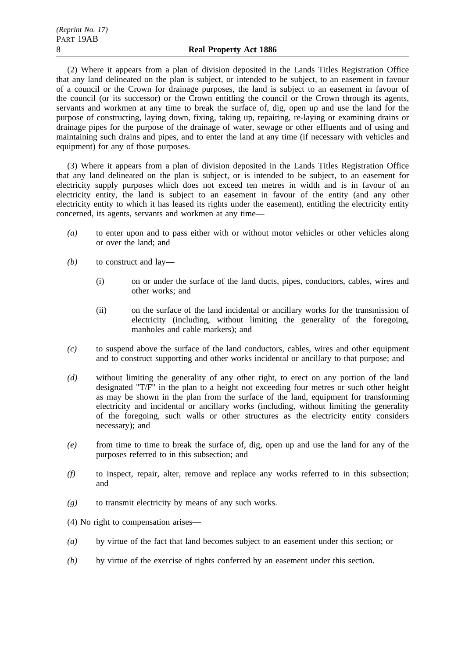(2) Where it appears from a plan of division deposited in the Lands Titles Registration Office that any land delineated on the plan is subject, or intended to be subject, to an easement in favour of a council or the Crown for drainage purposes, the land is subject to an easement in favour of the council (or its successor) or the Crown entitling the council or the Crown through its agents, servants and workmen at any time to break the surface of, dig, open up and use the land for the purpose of constructing, laying down, fixing, taking up, repairing, re-laying or examining drains or drainage pipes for the purpose of the drainage of water, sewage or other effluents and of using and maintaining such drains and pipes, and to enter the land at any time (if necessary with vehicles and equipment) for any of those purposes.

(3) Where it appears from a plan of division deposited in the Lands Titles Registration Office that any land delineated on the plan is subject, or is intended to be subject, to an easement for electricity supply purposes which does not exceed ten metres in width and is in favour of an electricity entity, the land is subject to an easement in favour of the entity (and any other electricity entity to which it has leased its rights under the easement), entitling the electricity entity concerned, its agents, servants and workmen at any time—

- *(a)* to enter upon and to pass either with or without motor vehicles or other vehicles along or over the land; and
- *(b)* to construct and lay—
	- (i) on or under the surface of the land ducts, pipes, conductors, cables, wires and other works; and
	- (ii) on the surface of the land incidental or ancillary works for the transmission of electricity (including, without limiting the generality of the foregoing, manholes and cable markers); and
- *(c)* to suspend above the surface of the land conductors, cables, wires and other equipment and to construct supporting and other works incidental or ancillary to that purpose; and
- *(d)* without limiting the generality of any other right, to erect on any portion of the land designated "T/F" in the plan to a height not exceeding four metres or such other height as may be shown in the plan from the surface of the land, equipment for transforming electricity and incidental or ancillary works (including, without limiting the generality of the foregoing, such walls or other structures as the electricity entity considers necessary); and
- *(e)* from time to time to break the surface of, dig, open up and use the land for any of the purposes referred to in this subsection; and
- *(f)* to inspect, repair, alter, remove and replace any works referred to in this subsection; and
- *(g)* to transmit electricity by means of any such works.

(4) No right to compensation arises—

- *(a)* by virtue of the fact that land becomes subject to an easement under this section; or
- *(b)* by virtue of the exercise of rights conferred by an easement under this section.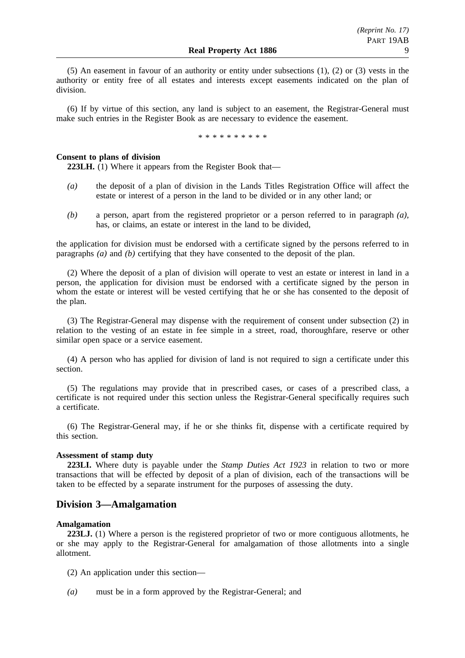(5) An easement in favour of an authority or entity under subsections (1), (2) or (3) vests in the authority or entity free of all estates and interests except easements indicated on the plan of division.

(6) If by virtue of this section, any land is subject to an easement, the Registrar-General must make such entries in the Register Book as are necessary to evidence the easement.

\*\*\*\*\*\*\*\*\*\*

### **Consent to plans of division**

**223LH.** (1) Where it appears from the Register Book that—

- *(a)* the deposit of a plan of division in the Lands Titles Registration Office will affect the estate or interest of a person in the land to be divided or in any other land; or
- *(b)* a person, apart from the registered proprietor or a person referred to in paragraph *(a)*, has, or claims, an estate or interest in the land to be divided,

the application for division must be endorsed with a certificate signed by the persons referred to in paragraphs *(a)* and *(b)* certifying that they have consented to the deposit of the plan.

(2) Where the deposit of a plan of division will operate to vest an estate or interest in land in a person, the application for division must be endorsed with a certificate signed by the person in whom the estate or interest will be vested certifying that he or she has consented to the deposit of the plan.

(3) The Registrar-General may dispense with the requirement of consent under subsection (2) in relation to the vesting of an estate in fee simple in a street, road, thoroughfare, reserve or other similar open space or a service easement.

(4) A person who has applied for division of land is not required to sign a certificate under this section.

(5) The regulations may provide that in prescribed cases, or cases of a prescribed class, a certificate is not required under this section unless the Registrar-General specifically requires such a certificate.

(6) The Registrar-General may, if he or she thinks fit, dispense with a certificate required by this section.

### **Assessment of stamp duty**

**223LI.** Where duty is payable under the *Stamp Duties Act 1923* in relation to two or more transactions that will be effected by deposit of a plan of division, each of the transactions will be taken to be effected by a separate instrument for the purposes of assessing the duty.

# **Division 3—Amalgamation**

### **Amalgamation**

**223LJ.** (1) Where a person is the registered proprietor of two or more contiguous allotments, he or she may apply to the Registrar-General for amalgamation of those allotments into a single allotment.

- (2) An application under this section—
- *(a)* must be in a form approved by the Registrar-General; and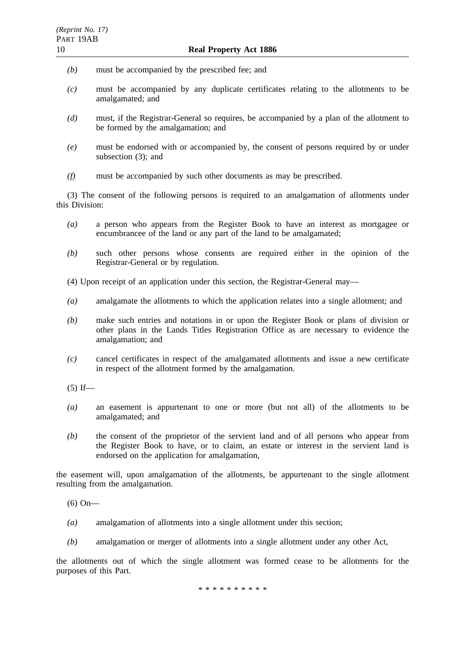- *(b)* must be accompanied by the prescribed fee; and
- *(c)* must be accompanied by any duplicate certificates relating to the allotments to be amalgamated; and
- *(d)* must, if the Registrar-General so requires, be accompanied by a plan of the allotment to be formed by the amalgamation; and
- *(e)* must be endorsed with or accompanied by, the consent of persons required by or under subsection (3); and
- *(f)* must be accompanied by such other documents as may be prescribed.

(3) The consent of the following persons is required to an amalgamation of allotments under this Division:

- *(a)* a person who appears from the Register Book to have an interest as mortgagee or encumbrancee of the land or any part of the land to be amalgamated;
- *(b)* such other persons whose consents are required either in the opinion of the Registrar-General or by regulation.
- (4) Upon receipt of an application under this section, the Registrar-General may—
- *(a)* amalgamate the allotments to which the application relates into a single allotment; and
- *(b)* make such entries and notations in or upon the Register Book or plans of division or other plans in the Lands Titles Registration Office as are necessary to evidence the amalgamation; and
- *(c)* cancel certificates in respect of the amalgamated allotments and issue a new certificate in respect of the allotment formed by the amalgamation.
- $(5)$  If—
- *(a)* an easement is appurtenant to one or more (but not all) of the allotments to be amalgamated; and
- *(b)* the consent of the proprietor of the servient land and of all persons who appear from the Register Book to have, or to claim, an estate or interest in the servient land is endorsed on the application for amalgamation,

the easement will, upon amalgamation of the allotments, be appurtenant to the single allotment resulting from the amalgamation.

(6) On—

- *(a)* amalgamation of allotments into a single allotment under this section;
- *(b)* amalgamation or merger of allotments into a single allotment under any other Act,

the allotments out of which the single allotment was formed cease to be allotments for the purposes of this Part.

\*\*\*\*\*\*\*\*\*\*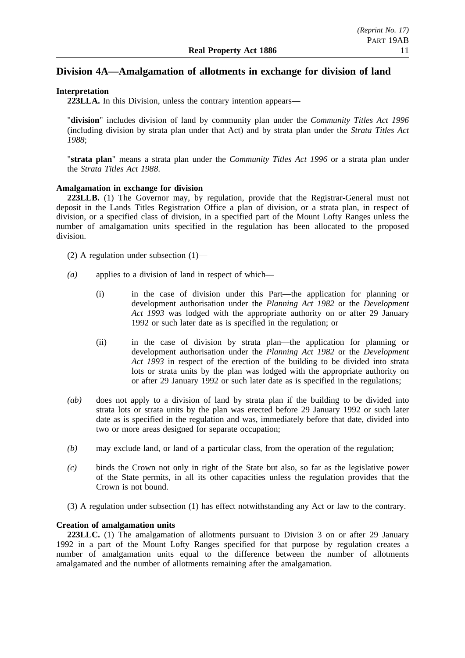# **Division 4A—Amalgamation of allotments in exchange for division of land**

# **Interpretation**

**223LLA.** In this Division, unless the contrary intention appears—

"**division**" includes division of land by community plan under the *Community Titles Act 1996* (including division by strata plan under that Act) and by strata plan under the *Strata Titles Act 1988*;

"**strata plan**" means a strata plan under the *Community Titles Act 1996* or a strata plan under the *Strata Titles Act 1988*.

# **Amalgamation in exchange for division**

**223LLB.** (1) The Governor may, by regulation, provide that the Registrar-General must not deposit in the Lands Titles Registration Office a plan of division, or a strata plan, in respect of division, or a specified class of division, in a specified part of the Mount Lofty Ranges unless the number of amalgamation units specified in the regulation has been allocated to the proposed division.

- (2) A regulation under subsection (1)—
- *(a)* applies to a division of land in respect of which—
	- (i) in the case of division under this Part—the application for planning or development authorisation under the *Planning Act 1982* or the *Development Act 1993* was lodged with the appropriate authority on or after 29 January 1992 or such later date as is specified in the regulation; or
	- (ii) in the case of division by strata plan—the application for planning or development authorisation under the *Planning Act 1982* or the *Development Act 1993* in respect of the erection of the building to be divided into strata lots or strata units by the plan was lodged with the appropriate authority on or after 29 January 1992 or such later date as is specified in the regulations;
- *(ab)* does not apply to a division of land by strata plan if the building to be divided into strata lots or strata units by the plan was erected before 29 January 1992 or such later date as is specified in the regulation and was, immediately before that date, divided into two or more areas designed for separate occupation;
- *(b)* may exclude land, or land of a particular class, from the operation of the regulation;
- *(c)* binds the Crown not only in right of the State but also, so far as the legislative power of the State permits, in all its other capacities unless the regulation provides that the Crown is not bound.
- (3) A regulation under subsection (1) has effect notwithstanding any Act or law to the contrary.

# **Creation of amalgamation units**

**223LLC.** (1) The amalgamation of allotments pursuant to Division 3 on or after 29 January 1992 in a part of the Mount Lofty Ranges specified for that purpose by regulation creates a number of amalgamation units equal to the difference between the number of allotments amalgamated and the number of allotments remaining after the amalgamation.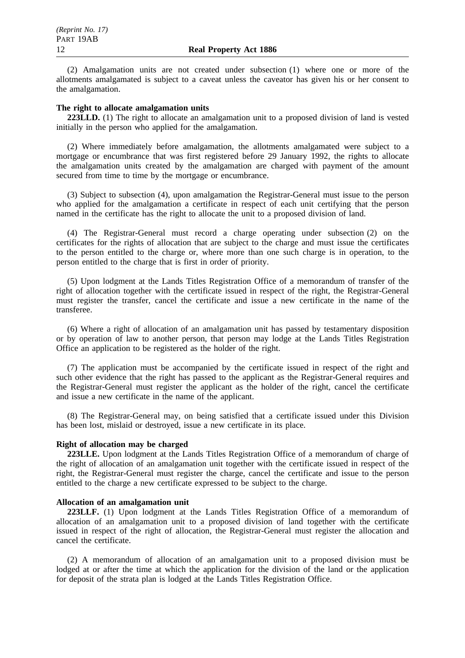(2) Amalgamation units are not created under subsection (1) where one or more of the allotments amalgamated is subject to a caveat unless the caveator has given his or her consent to the amalgamation.

### **The right to allocate amalgamation units**

**223LLD.** (1) The right to allocate an amalgamation unit to a proposed division of land is vested initially in the person who applied for the amalgamation.

(2) Where immediately before amalgamation, the allotments amalgamated were subject to a mortgage or encumbrance that was first registered before 29 January 1992, the rights to allocate the amalgamation units created by the amalgamation are charged with payment of the amount secured from time to time by the mortgage or encumbrance.

(3) Subject to subsection (4), upon amalgamation the Registrar-General must issue to the person who applied for the amalgamation a certificate in respect of each unit certifying that the person named in the certificate has the right to allocate the unit to a proposed division of land.

(4) The Registrar-General must record a charge operating under subsection (2) on the certificates for the rights of allocation that are subject to the charge and must issue the certificates to the person entitled to the charge or, where more than one such charge is in operation, to the person entitled to the charge that is first in order of priority.

(5) Upon lodgment at the Lands Titles Registration Office of a memorandum of transfer of the right of allocation together with the certificate issued in respect of the right, the Registrar-General must register the transfer, cancel the certificate and issue a new certificate in the name of the transferee.

(6) Where a right of allocation of an amalgamation unit has passed by testamentary disposition or by operation of law to another person, that person may lodge at the Lands Titles Registration Office an application to be registered as the holder of the right.

(7) The application must be accompanied by the certificate issued in respect of the right and such other evidence that the right has passed to the applicant as the Registrar-General requires and the Registrar-General must register the applicant as the holder of the right, cancel the certificate and issue a new certificate in the name of the applicant.

(8) The Registrar-General may, on being satisfied that a certificate issued under this Division has been lost, mislaid or destroyed, issue a new certificate in its place.

### **Right of allocation may be charged**

**223LLE.** Upon lodgment at the Lands Titles Registration Office of a memorandum of charge of the right of allocation of an amalgamation unit together with the certificate issued in respect of the right, the Registrar-General must register the charge, cancel the certificate and issue to the person entitled to the charge a new certificate expressed to be subject to the charge.

### **Allocation of an amalgamation unit**

**223LLF.** (1) Upon lodgment at the Lands Titles Registration Office of a memorandum of allocation of an amalgamation unit to a proposed division of land together with the certificate issued in respect of the right of allocation, the Registrar-General must register the allocation and cancel the certificate.

(2) A memorandum of allocation of an amalgamation unit to a proposed division must be lodged at or after the time at which the application for the division of the land or the application for deposit of the strata plan is lodged at the Lands Titles Registration Office.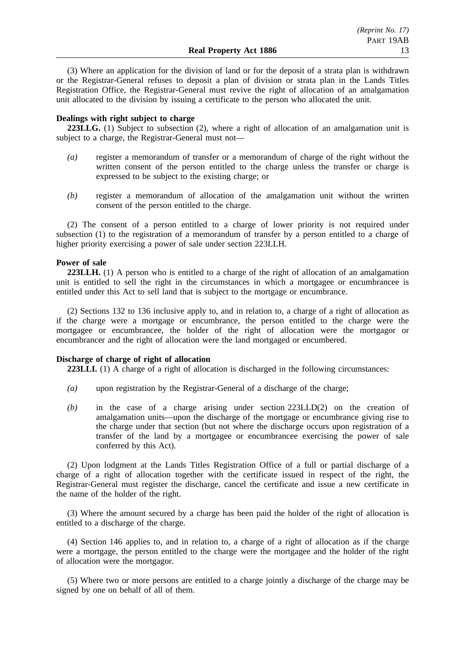(3) Where an application for the division of land or for the deposit of a strata plan is withdrawn or the Registrar-General refuses to deposit a plan of division or strata plan in the Lands Titles Registration Office, the Registrar-General must revive the right of allocation of an amalgamation unit allocated to the division by issuing a certificate to the person who allocated the unit.

### **Dealings with right subject to charge**

**223LLG.** (1) Subject to subsection (2), where a right of allocation of an amalgamation unit is subject to a charge, the Registrar-General must not—

- *(a)* register a memorandum of transfer or a memorandum of charge of the right without the written consent of the person entitled to the charge unless the transfer or charge is expressed to be subject to the existing charge; or
- *(b)* register a memorandum of allocation of the amalgamation unit without the written consent of the person entitled to the charge.

(2) The consent of a person entitled to a charge of lower priority is not required under subsection (1) to the registration of a memorandum of transfer by a person entitled to a charge of higher priority exercising a power of sale under section 223LLH.

### **Power of sale**

**223LLH.** (1) A person who is entitled to a charge of the right of allocation of an amalgamation unit is entitled to sell the right in the circumstances in which a mortgagee or encumbrancee is entitled under this Act to sell land that is subject to the mortgage or encumbrance.

(2) Sections 132 to 136 inclusive apply to, and in relation to, a charge of a right of allocation as if the charge were a mortgage or encumbrance, the person entitled to the charge were the mortgagee or encumbrancee, the holder of the right of allocation were the mortgagor or encumbrancer and the right of allocation were the land mortgaged or encumbered.

### **Discharge of charge of right of allocation**

**223LLI.** (1) A charge of a right of allocation is discharged in the following circumstances:

- *(a)* upon registration by the Registrar-General of a discharge of the charge;
- *(b)* in the case of a charge arising under section 223LLD(2) on the creation of amalgamation units—upon the discharge of the mortgage or encumbrance giving rise to the charge under that section (but not where the discharge occurs upon registration of a transfer of the land by a mortgagee or encumbrancee exercising the power of sale conferred by this Act).

(2) Upon lodgment at the Lands Titles Registration Office of a full or partial discharge of a charge of a right of allocation together with the certificate issued in respect of the right, the Registrar-General must register the discharge, cancel the certificate and issue a new certificate in the name of the holder of the right.

(3) Where the amount secured by a charge has been paid the holder of the right of allocation is entitled to a discharge of the charge.

(4) Section 146 applies to, and in relation to, a charge of a right of allocation as if the charge were a mortgage, the person entitled to the charge were the mortgagee and the holder of the right of allocation were the mortgagor.

(5) Where two or more persons are entitled to a charge jointly a discharge of the charge may be signed by one on behalf of all of them.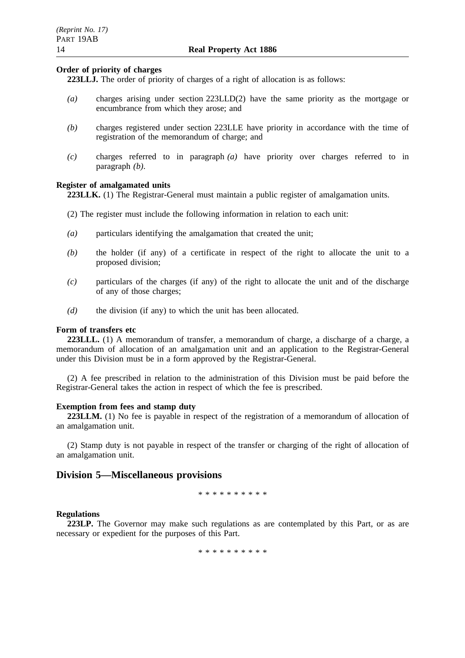# **Order of priority of charges**

**223LLJ.** The order of priority of charges of a right of allocation is as follows:

- *(a)* charges arising under section 223LLD(2) have the same priority as the mortgage or encumbrance from which they arose; and
- *(b)* charges registered under section 223LLE have priority in accordance with the time of registration of the memorandum of charge; and
- *(c)* charges referred to in paragraph *(a)* have priority over charges referred to in paragraph *(b)*.

## **Register of amalgamated units**

**223LLK.** (1) The Registrar-General must maintain a public register of amalgamation units.

- (2) The register must include the following information in relation to each unit:
- *(a)* particulars identifying the amalgamation that created the unit;
- *(b)* the holder (if any) of a certificate in respect of the right to allocate the unit to a proposed division;
- *(c)* particulars of the charges (if any) of the right to allocate the unit and of the discharge of any of those charges;
- *(d)* the division (if any) to which the unit has been allocated.

### **Form of transfers etc**

**223LLL.** (1) A memorandum of transfer, a memorandum of charge, a discharge of a charge, a memorandum of allocation of an amalgamation unit and an application to the Registrar-General under this Division must be in a form approved by the Registrar-General.

(2) A fee prescribed in relation to the administration of this Division must be paid before the Registrar-General takes the action in respect of which the fee is prescribed.

### **Exemption from fees and stamp duty**

223LLM. (1) No fee is payable in respect of the registration of a memorandum of allocation of an amalgamation unit.

(2) Stamp duty is not payable in respect of the transfer or charging of the right of allocation of an amalgamation unit.

# **Division 5—Miscellaneous provisions**

\*\*\*\*\*\*\*\*\*\*

### **Regulations**

**223LP.** The Governor may make such regulations as are contemplated by this Part, or as are necessary or expedient for the purposes of this Part.

\*\*\*\*\*\*\*\*\*\*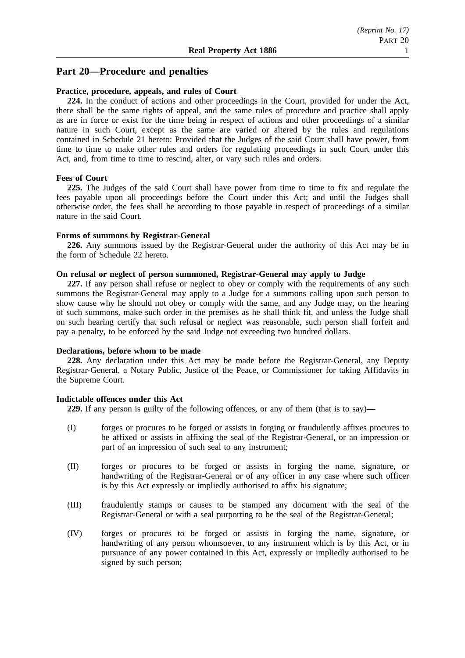# **Part 20—Procedure and penalties**

# **Practice, procedure, appeals, and rules of Court**

**224.** In the conduct of actions and other proceedings in the Court, provided for under the Act, there shall be the same rights of appeal, and the same rules of procedure and practice shall apply as are in force or exist for the time being in respect of actions and other proceedings of a similar nature in such Court, except as the same are varied or altered by the rules and regulations contained in Schedule 21 hereto: Provided that the Judges of the said Court shall have power, from time to time to make other rules and orders for regulating proceedings in such Court under this Act, and, from time to time to rescind, alter, or vary such rules and orders.

# **Fees of Court**

**225.** The Judges of the said Court shall have power from time to time to fix and regulate the fees payable upon all proceedings before the Court under this Act; and until the Judges shall otherwise order, the fees shall be according to those payable in respect of proceedings of a similar nature in the said Court.

### **Forms of summons by Registrar-General**

**226.** Any summons issued by the Registrar-General under the authority of this Act may be in the form of Schedule 22 hereto.

### **On refusal or neglect of person summoned, Registrar-General may apply to Judge**

**227.** If any person shall refuse or neglect to obey or comply with the requirements of any such summons the Registrar-General may apply to a Judge for a summons calling upon such person to show cause why he should not obey or comply with the same, and any Judge may, on the hearing of such summons, make such order in the premises as he shall think fit, and unless the Judge shall on such hearing certify that such refusal or neglect was reasonable, such person shall forfeit and pay a penalty, to be enforced by the said Judge not exceeding two hundred dollars.

### **Declarations, before whom to be made**

**228.** Any declaration under this Act may be made before the Registrar-General, any Deputy Registrar-General, a Notary Public, Justice of the Peace, or Commissioner for taking Affidavits in the Supreme Court.

### **Indictable offences under this Act**

**229.** If any person is guilty of the following offences, or any of them (that is to say)—

- (I) forges or procures to be forged or assists in forging or fraudulently affixes procures to be affixed or assists in affixing the seal of the Registrar-General, or an impression or part of an impression of such seal to any instrument;
- (II) forges or procures to be forged or assists in forging the name, signature, or handwriting of the Registrar-General or of any officer in any case where such officer is by this Act expressly or impliedly authorised to affix his signature;
- (III) fraudulently stamps or causes to be stamped any document with the seal of the Registrar-General or with a seal purporting to be the seal of the Registrar-General;
- (IV) forges or procures to be forged or assists in forging the name, signature, or handwriting of any person whomsoever, to any instrument which is by this Act, or in pursuance of any power contained in this Act, expressly or impliedly authorised to be signed by such person;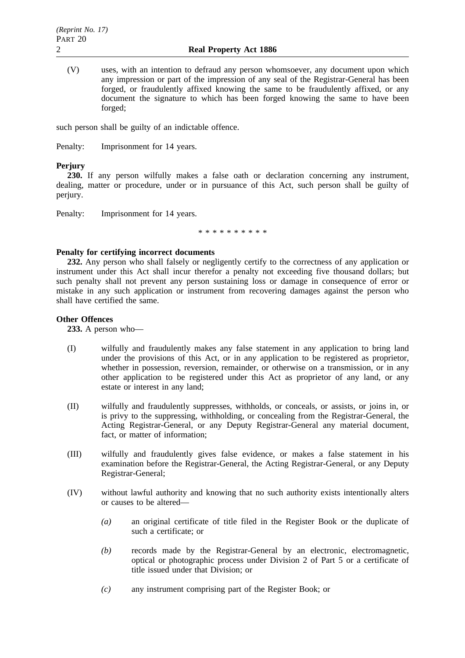(V) uses, with an intention to defraud any person whomsoever, any document upon which any impression or part of the impression of any seal of the Registrar-General has been forged, or fraudulently affixed knowing the same to be fraudulently affixed, or any document the signature to which has been forged knowing the same to have been forged;

such person shall be guilty of an indictable offence.

Penalty: Imprisonment for 14 years.

# **Perjury**

**230.** If any person wilfully makes a false oath or declaration concerning any instrument, dealing, matter or procedure, under or in pursuance of this Act, such person shall be guilty of perjury.

Penalty: Imprisonment for 14 years.

\* \* \* \* \* \* \* \* \*

# **Penalty for certifying incorrect documents**

**232.** Any person who shall falsely or negligently certify to the correctness of any application or instrument under this Act shall incur therefor a penalty not exceeding five thousand dollars; but such penalty shall not prevent any person sustaining loss or damage in consequence of error or mistake in any such application or instrument from recovering damages against the person who shall have certified the same.

# **Other Offences**

**233.** A person who—

- (I) wilfully and fraudulently makes any false statement in any application to bring land under the provisions of this Act, or in any application to be registered as proprietor, whether in possession, reversion, remainder, or otherwise on a transmission, or in any other application to be registered under this Act as proprietor of any land, or any estate or interest in any land;
- (II) wilfully and fraudulently suppresses, withholds, or conceals, or assists, or joins in, or is privy to the suppressing, withholding, or concealing from the Registrar-General, the Acting Registrar-General, or any Deputy Registrar-General any material document, fact, or matter of information;
- (III) wilfully and fraudulently gives false evidence, or makes a false statement in his examination before the Registrar-General, the Acting Registrar-General, or any Deputy Registrar-General;
- (IV) without lawful authority and knowing that no such authority exists intentionally alters or causes to be altered—
	- *(a)* an original certificate of title filed in the Register Book or the duplicate of such a certificate; or
	- *(b)* records made by the Registrar-General by an electronic, electromagnetic, optical or photographic process under Division 2 of Part 5 or a certificate of title issued under that Division; or
	- *(c)* any instrument comprising part of the Register Book; or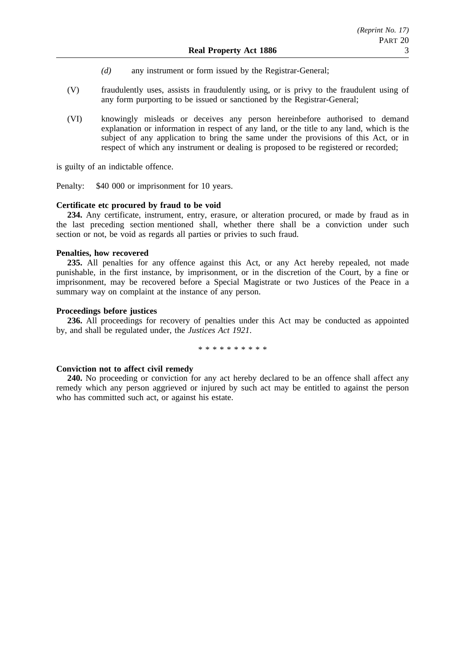- *(d)* any instrument or form issued by the Registrar-General;
- (V) fraudulently uses, assists in fraudulently using, or is privy to the fraudulent using of any form purporting to be issued or sanctioned by the Registrar-General;
- (VI) knowingly misleads or deceives any person hereinbefore authorised to demand explanation or information in respect of any land, or the title to any land, which is the subject of any application to bring the same under the provisions of this Act, or in respect of which any instrument or dealing is proposed to be registered or recorded;

is guilty of an indictable offence.

Penalty: \$40 000 or imprisonment for 10 years.

### **Certificate etc procured by fraud to be void**

**234.** Any certificate, instrument, entry, erasure, or alteration procured, or made by fraud as in the last preceding section mentioned shall, whether there shall be a conviction under such section or not, be void as regards all parties or privies to such fraud.

## **Penalties, how recovered**

**235.** All penalties for any offence against this Act, or any Act hereby repealed, not made punishable, in the first instance, by imprisonment, or in the discretion of the Court, by a fine or imprisonment, may be recovered before a Special Magistrate or two Justices of the Peace in a summary way on complaint at the instance of any person.

### **Proceedings before justices**

**236.** All proceedings for recovery of penalties under this Act may be conducted as appointed by, and shall be regulated under, the *Justices Act 1921*.

\*\*\*\*\*\*\*\*\*\*

### **Conviction not to affect civil remedy**

**240.** No proceeding or conviction for any act hereby declared to be an offence shall affect any remedy which any person aggrieved or injured by such act may be entitled to against the person who has committed such act, or against his estate.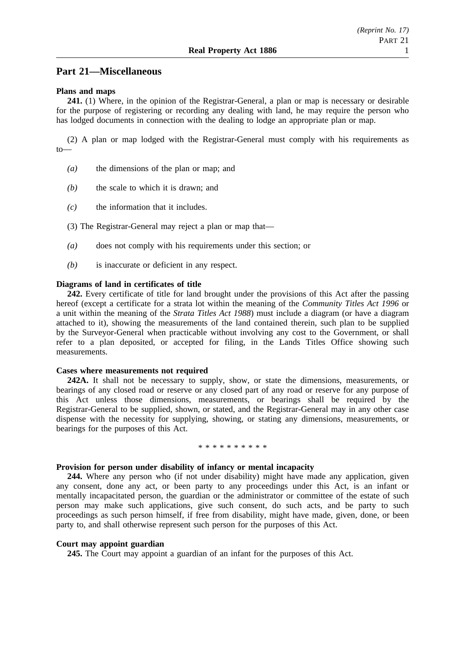# **Part 21—Miscellaneous**

### **Plans and maps**

**241.** (1) Where, in the opinion of the Registrar-General, a plan or map is necessary or desirable for the purpose of registering or recording any dealing with land, he may require the person who has lodged documents in connection with the dealing to lodge an appropriate plan or map.

(2) A plan or map lodged with the Registrar-General must comply with his requirements as to—

- *(a)* the dimensions of the plan or map; and
- *(b)* the scale to which it is drawn; and
- *(c)* the information that it includes.
- (3) The Registrar-General may reject a plan or map that—
- *(a)* does not comply with his requirements under this section; or
- *(b)* is inaccurate or deficient in any respect.

#### **Diagrams of land in certificates of title**

**242.** Every certificate of title for land brought under the provisions of this Act after the passing hereof (except a certificate for a strata lot within the meaning of the *Community Titles Act 1996* or a unit within the meaning of the *Strata Titles Act 1988*) must include a diagram (or have a diagram attached to it), showing the measurements of the land contained therein, such plan to be supplied by the Surveyor-General when practicable without involving any cost to the Government, or shall refer to a plan deposited, or accepted for filing, in the Lands Titles Office showing such measurements.

### **Cases where measurements not required**

**242A.** It shall not be necessary to supply, show, or state the dimensions, measurements, or bearings of any closed road or reserve or any closed part of any road or reserve for any purpose of this Act unless those dimensions, measurements, or bearings shall be required by the Registrar-General to be supplied, shown, or stated, and the Registrar-General may in any other case dispense with the necessity for supplying, showing, or stating any dimensions, measurements, or bearings for the purposes of this Act.

#### \*\*\*\*\*\*\*\*\*\*

### **Provision for person under disability of infancy or mental incapacity**

**244.** Where any person who (if not under disability) might have made any application, given any consent, done any act, or been party to any proceedings under this Act, is an infant or mentally incapacitated person, the guardian or the administrator or committee of the estate of such person may make such applications, give such consent, do such acts, and be party to such proceedings as such person himself, if free from disability, might have made, given, done, or been party to, and shall otherwise represent such person for the purposes of this Act.

### **Court may appoint guardian**

**245.** The Court may appoint a guardian of an infant for the purposes of this Act.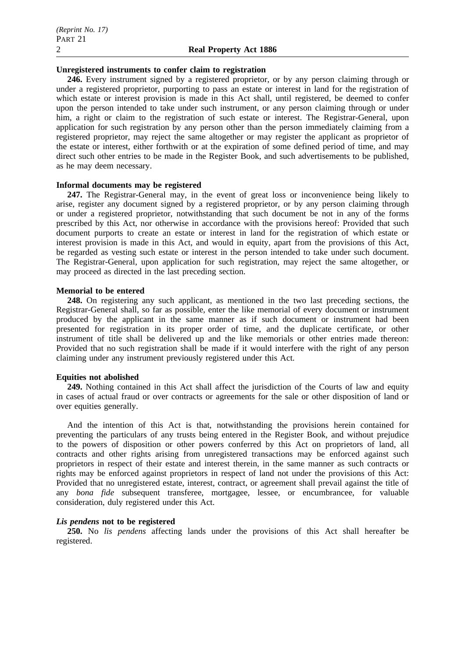### **Unregistered instruments to confer claim to registration**

246. Every instrument signed by a registered proprietor, or by any person claiming through or under a registered proprietor, purporting to pass an estate or interest in land for the registration of which estate or interest provision is made in this Act shall, until registered, be deemed to confer upon the person intended to take under such instrument, or any person claiming through or under him, a right or claim to the registration of such estate or interest. The Registrar-General, upon application for such registration by any person other than the person immediately claiming from a registered proprietor, may reject the same altogether or may register the applicant as proprietor of the estate or interest, either forthwith or at the expiration of some defined period of time, and may direct such other entries to be made in the Register Book, and such advertisements to be published, as he may deem necessary.

### **Informal documents may be registered**

**247.** The Registrar-General may, in the event of great loss or inconvenience being likely to arise, register any document signed by a registered proprietor, or by any person claiming through or under a registered proprietor, notwithstanding that such document be not in any of the forms prescribed by this Act, nor otherwise in accordance with the provisions hereof: Provided that such document purports to create an estate or interest in land for the registration of which estate or interest provision is made in this Act, and would in equity, apart from the provisions of this Act, be regarded as vesting such estate or interest in the person intended to take under such document. The Registrar-General, upon application for such registration, may reject the same altogether, or may proceed as directed in the last preceding section.

### **Memorial to be entered**

**248.** On registering any such applicant, as mentioned in the two last preceding sections, the Registrar-General shall, so far as possible, enter the like memorial of every document or instrument produced by the applicant in the same manner as if such document or instrument had been presented for registration in its proper order of time, and the duplicate certificate, or other instrument of title shall be delivered up and the like memorials or other entries made thereon: Provided that no such registration shall be made if it would interfere with the right of any person claiming under any instrument previously registered under this Act.

### **Equities not abolished**

**249.** Nothing contained in this Act shall affect the jurisdiction of the Courts of law and equity in cases of actual fraud or over contracts or agreements for the sale or other disposition of land or over equities generally.

And the intention of this Act is that, notwithstanding the provisions herein contained for preventing the particulars of any trusts being entered in the Register Book, and without prejudice to the powers of disposition or other powers conferred by this Act on proprietors of land, all contracts and other rights arising from unregistered transactions may be enforced against such proprietors in respect of their estate and interest therein, in the same manner as such contracts or rights may be enforced against proprietors in respect of land not under the provisions of this Act: Provided that no unregistered estate, interest, contract, or agreement shall prevail against the title of any *bona fide* subsequent transferee, mortgagee, lessee, or encumbrancee, for valuable consideration, duly registered under this Act.

### *Lis pendens* **not to be registered**

**250.** No *lis pendens* affecting lands under the provisions of this Act shall hereafter be registered.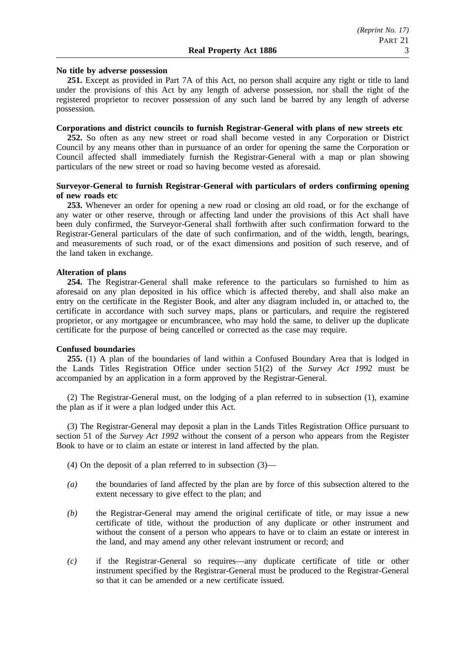### **No title by adverse possession**

**251.** Except as provided in Part 7A of this Act, no person shall acquire any right or title to land under the provisions of this Act by any length of adverse possession, nor shall the right of the registered proprietor to recover possession of any such land be barred by any length of adverse possession.

# **Corporations and district councils to furnish Registrar-General with plans of new streets etc**

**252.** So often as any new street or road shall become vested in any Corporation or District Council by any means other than in pursuance of an order for opening the same the Corporation or Council affected shall immediately furnish the Registrar-General with a map or plan showing particulars of the new street or road so having become vested as aforesaid.

# **Surveyor-General to furnish Registrar-General with particulars of orders confirming opening of new roads etc**

**253.** Whenever an order for opening a new road or closing an old road, or for the exchange of any water or other reserve, through or affecting land under the provisions of this Act shall have been duly confirmed, the Surveyor-General shall forthwith after such confirmation forward to the Registrar-General particulars of the date of such confirmation, and of the width, length, bearings, and measurements of such road, or of the exact dimensions and position of such reserve, and of the land taken in exchange.

## **Alteration of plans**

**254.** The Registrar-General shall make reference to the particulars so furnished to him as aforesaid on any plan deposited in his office which is affected thereby, and shall also make an entry on the certificate in the Register Book, and alter any diagram included in, or attached to, the certificate in accordance with such survey maps, plans or particulars, and require the registered proprietor, or any mortgagee or encumbrancee, who may hold the same, to deliver up the duplicate certificate for the purpose of being cancelled or corrected as the case may require.

## **Confused boundaries**

**255.** (1) A plan of the boundaries of land within a Confused Boundary Area that is lodged in the Lands Titles Registration Office under section 51(2) of the *Survey Act 1992* must be accompanied by an application in a form approved by the Registrar-General.

(2) The Registrar-General must, on the lodging of a plan referred to in subsection (1), examine the plan as if it were a plan lodged under this Act.

(3) The Registrar-General may deposit a plan in the Lands Titles Registration Office pursuant to section 51 of the *Survey Act 1992* without the consent of a person who appears from the Register Book to have or to claim an estate or interest in land affected by the plan.

(4) On the deposit of a plan referred to in subsection (3)—

- *(a)* the boundaries of land affected by the plan are by force of this subsection altered to the extent necessary to give effect to the plan; and
- *(b)* the Registrar-General may amend the original certificate of title, or may issue a new certificate of title, without the production of any duplicate or other instrument and without the consent of a person who appears to have or to claim an estate or interest in the land, and may amend any other relevant instrument or record; and
- *(c)* if the Registrar-General so requires—any duplicate certificate of title or other instrument specified by the Registrar-General must be produced to the Registrar-General so that it can be amended or a new certificate issued.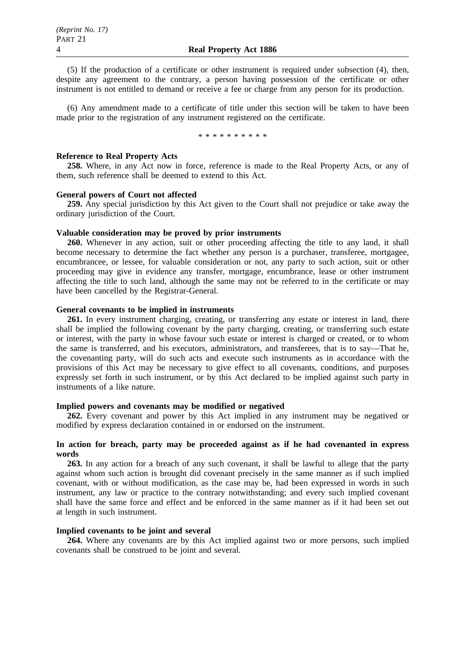(5) If the production of a certificate or other instrument is required under subsection (4), then, despite any agreement to the contrary, a person having possession of the certificate or other instrument is not entitled to demand or receive a fee or charge from any person for its production.

(6) Any amendment made to a certificate of title under this section will be taken to have been made prior to the registration of any instrument registered on the certificate.

\*\*\*\*\*\*\*\*\*\*

### **Reference to Real Property Acts**

**258.** Where, in any Act now in force, reference is made to the Real Property Acts, or any of them, such reference shall be deemed to extend to this Act.

### **General powers of Court not affected**

**259.** Any special jurisdiction by this Act given to the Court shall not prejudice or take away the ordinary jurisdiction of the Court.

# **Valuable consideration may be proved by prior instruments**

**260.** Whenever in any action, suit or other proceeding affecting the title to any land, it shall become necessary to determine the fact whether any person is a purchaser, transferee, mortgagee, encumbrancee, or lessee, for valuable consideration or not, any party to such action, suit or other proceeding may give in evidence any transfer, mortgage, encumbrance, lease or other instrument affecting the title to such land, although the same may not be referred to in the certificate or may have been cancelled by the Registrar-General.

### **General covenants to be implied in instruments**

**261.** In every instrument charging, creating, or transferring any estate or interest in land, there shall be implied the following covenant by the party charging, creating, or transferring such estate or interest, with the party in whose favour such estate or interest is charged or created, or to whom the same is transferred, and his executors, administrators, and transferees, that is to say—That he, the covenanting party, will do such acts and execute such instruments as in accordance with the provisions of this Act may be necessary to give effect to all covenants, conditions, and purposes expressly set forth in such instrument, or by this Act declared to be implied against such party in instruments of a like nature.

### **Implied powers and covenants may be modified or negatived**

**262.** Every covenant and power by this Act implied in any instrument may be negatived or modified by express declaration contained in or endorsed on the instrument.

## **In action for breach, party may be proceeded against as if he had covenanted in express words**

**263.** In any action for a breach of any such covenant, it shall be lawful to allege that the party against whom such action is brought did covenant precisely in the same manner as if such implied covenant, with or without modification, as the case may be, had been expressed in words in such instrument, any law or practice to the contrary notwithstanding; and every such implied covenant shall have the same force and effect and be enforced in the same manner as if it had been set out at length in such instrument.

### **Implied covenants to be joint and several**

**264.** Where any covenants are by this Act implied against two or more persons, such implied covenants shall be construed to be joint and several.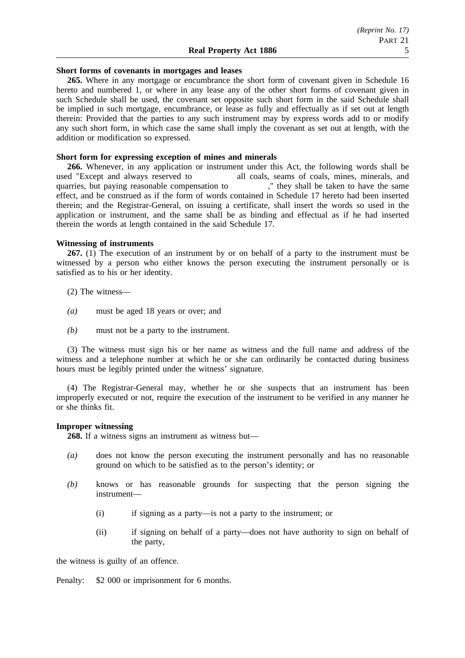### **Real Property Act 1886** 5

### **Short forms of covenants in mortgages and leases**

**265.** Where in any mortgage or encumbrance the short form of covenant given in Schedule 16 hereto and numbered 1, or where in any lease any of the other short forms of covenant given in such Schedule shall be used, the covenant set opposite such short form in the said Schedule shall be implied in such mortgage, encumbrance, or lease as fully and effectually as if set out at length therein: Provided that the parties to any such instrument may by express words add to or modify any such short form, in which case the same shall imply the covenant as set out at length, with the addition or modification so expressed.

### **Short form for expressing exception of mines and minerals**

**266.** Whenever, in any application or instrument under this Act, the following words shall be used "Except and always reserved to all coals, seams of coals, mines, minerals, and quarries, but paying reasonable compensation to ," they shall be taken to have the same effect, and be construed as if the form of words contained in Schedule 17 hereto had been inserted therein; and the Registrar-General, on issuing a certificate, shall insert the words so used in the application or instrument, and the same shall be as binding and effectual as if he had inserted therein the words at length contained in the said Schedule 17.

### **Witnessing of instruments**

**267.** (1) The execution of an instrument by or on behalf of a party to the instrument must be witnessed by a person who either knows the person executing the instrument personally or is satisfied as to his or her identity.

- (2) The witness—
- *(a)* must be aged 18 years or over; and
- *(b)* must not be a party to the instrument.

(3) The witness must sign his or her name as witness and the full name and address of the witness and a telephone number at which he or she can ordinarily be contacted during business hours must be legibly printed under the witness' signature.

(4) The Registrar-General may, whether he or she suspects that an instrument has been improperly executed or not, require the execution of the instrument to be verified in any manner he or she thinks fit.

### **Improper witnessing**

**268.** If a witness signs an instrument as witness but—

- *(a)* does not know the person executing the instrument personally and has no reasonable ground on which to be satisfied as to the person's identity; or
- *(b)* knows or has reasonable grounds for suspecting that the person signing the instrument—
	- (i) if signing as a party—is not a party to the instrument; or
	- (ii) if signing on behalf of a party—does not have authority to sign on behalf of the party,

the witness is guilty of an offence.

Penalty: \$2 000 or imprisonment for 6 months.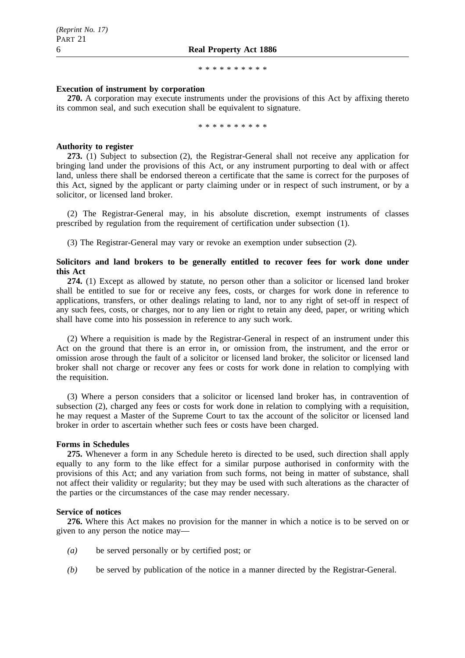### 6 **Real Property Act 1886**

#### \*\*\*\*\*\*\*\*\*\*

### **Execution of instrument by corporation**

**270.** A corporation may execute instruments under the provisions of this Act by affixing thereto its common seal, and such execution shall be equivalent to signature.

\*\*\*\*\*\*\*\*\*\*

### **Authority to register**

**273.** (1) Subject to subsection (2), the Registrar-General shall not receive any application for bringing land under the provisions of this Act, or any instrument purporting to deal with or affect land, unless there shall be endorsed thereon a certificate that the same is correct for the purposes of this Act, signed by the applicant or party claiming under or in respect of such instrument, or by a solicitor, or licensed land broker.

(2) The Registrar-General may, in his absolute discretion, exempt instruments of classes prescribed by regulation from the requirement of certification under subsection (1).

(3) The Registrar-General may vary or revoke an exemption under subsection (2).

### **Solicitors and land brokers to be generally entitled to recover fees for work done under this Act**

**274.** (1) Except as allowed by statute, no person other than a solicitor or licensed land broker shall be entitled to sue for or receive any fees, costs, or charges for work done in reference to applications, transfers, or other dealings relating to land, nor to any right of set-off in respect of any such fees, costs, or charges, nor to any lien or right to retain any deed, paper, or writing which shall have come into his possession in reference to any such work.

(2) Where a requisition is made by the Registrar-General in respect of an instrument under this Act on the ground that there is an error in, or omission from, the instrument, and the error or omission arose through the fault of a solicitor or licensed land broker, the solicitor or licensed land broker shall not charge or recover any fees or costs for work done in relation to complying with the requisition.

(3) Where a person considers that a solicitor or licensed land broker has, in contravention of subsection (2), charged any fees or costs for work done in relation to complying with a requisition, he may request a Master of the Supreme Court to tax the account of the solicitor or licensed land broker in order to ascertain whether such fees or costs have been charged.

### **Forms in Schedules**

**275.** Whenever a form in any Schedule hereto is directed to be used, such direction shall apply equally to any form to the like effect for a similar purpose authorised in conformity with the provisions of this Act; and any variation from such forms, not being in matter of substance, shall not affect their validity or regularity; but they may be used with such alterations as the character of the parties or the circumstances of the case may render necessary.

### **Service of notices**

**276.** Where this Act makes no provision for the manner in which a notice is to be served on or given to any person the notice may—

- *(a)* be served personally or by certified post; or
- *(b)* be served by publication of the notice in a manner directed by the Registrar-General.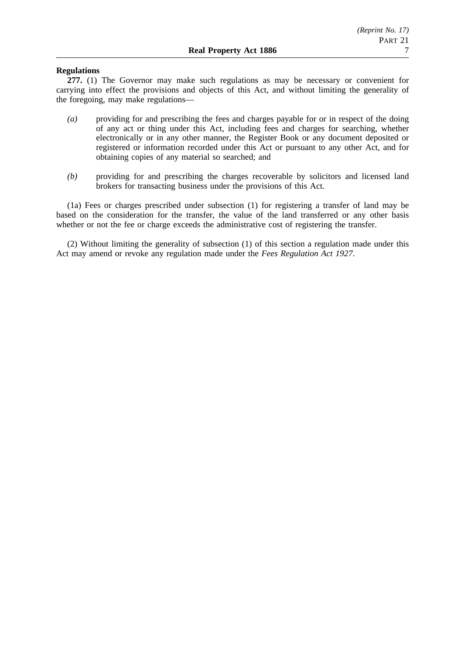### **Regulations**

**277.** (1) The Governor may make such regulations as may be necessary or convenient for carrying into effect the provisions and objects of this Act, and without limiting the generality of the foregoing, may make regulations—

- *(a)* providing for and prescribing the fees and charges payable for or in respect of the doing of any act or thing under this Act, including fees and charges for searching, whether electronically or in any other manner, the Register Book or any document deposited or registered or information recorded under this Act or pursuant to any other Act, and for obtaining copies of any material so searched; and
- *(b)* providing for and prescribing the charges recoverable by solicitors and licensed land brokers for transacting business under the provisions of this Act.

(1a) Fees or charges prescribed under subsection (1) for registering a transfer of land may be based on the consideration for the transfer, the value of the land transferred or any other basis whether or not the fee or charge exceeds the administrative cost of registering the transfer.

(2) Without limiting the generality of subsection (1) of this section a regulation made under this Act may amend or revoke any regulation made under the *Fees Regulation Act 1927*.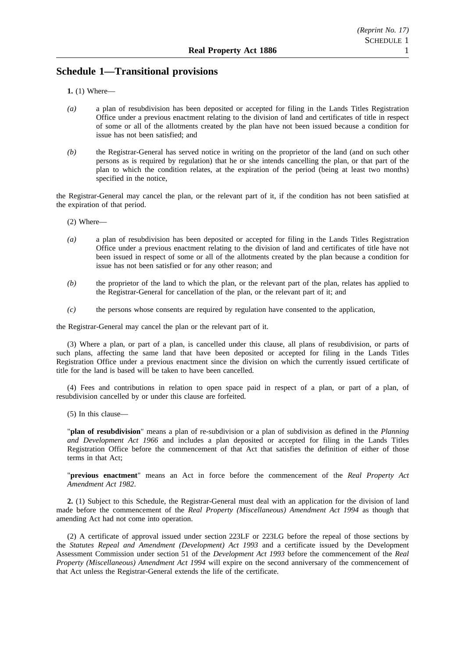# **Schedule 1—Transitional provisions**

- **1.** (1) Where—
- *(a)* a plan of resubdivision has been deposited or accepted for filing in the Lands Titles Registration Office under a previous enactment relating to the division of land and certificates of title in respect of some or all of the allotments created by the plan have not been issued because a condition for issue has not been satisfied; and
- *(b)* the Registrar-General has served notice in writing on the proprietor of the land (and on such other persons as is required by regulation) that he or she intends cancelling the plan, or that part of the plan to which the condition relates, at the expiration of the period (being at least two months) specified in the notice,

the Registrar-General may cancel the plan, or the relevant part of it, if the condition has not been satisfied at the expiration of that period.

(2) Where—

- *(a)* a plan of resubdivision has been deposited or accepted for filing in the Lands Titles Registration Office under a previous enactment relating to the division of land and certificates of title have not been issued in respect of some or all of the allotments created by the plan because a condition for issue has not been satisfied or for any other reason; and
- *(b)* the proprietor of the land to which the plan, or the relevant part of the plan, relates has applied to the Registrar-General for cancellation of the plan, or the relevant part of it; and
- *(c)* the persons whose consents are required by regulation have consented to the application,

the Registrar-General may cancel the plan or the relevant part of it.

(3) Where a plan, or part of a plan, is cancelled under this clause, all plans of resubdivision, or parts of such plans, affecting the same land that have been deposited or accepted for filing in the Lands Titles Registration Office under a previous enactment since the division on which the currently issued certificate of title for the land is based will be taken to have been cancelled.

(4) Fees and contributions in relation to open space paid in respect of a plan, or part of a plan, of resubdivision cancelled by or under this clause are forfeited.

(5) In this clause—

"**plan of resubdivision**" means a plan of re-subdivision or a plan of subdivision as defined in the *Planning and Development Act 1966* and includes a plan deposited or accepted for filing in the Lands Titles Registration Office before the commencement of that Act that satisfies the definition of either of those terms in that Act;

"**previous enactment**" means an Act in force before the commencement of the *Real Property Act Amendment Act 1982*.

**2.** (1) Subject to this Schedule, the Registrar-General must deal with an application for the division of land made before the commencement of the *Real Property (Miscellaneous) Amendment Act 1994* as though that amending Act had not come into operation.

(2) A certificate of approval issued under section 223LF or 223LG before the repeal of those sections by the *Statutes Repeal and Amendment (Development) Act 1993* and a certificate issued by the Development Assessment Commission under section 51 of the *Development Act 1993* before the commencement of the *Real Property (Miscellaneous) Amendment Act 1994* will expire on the second anniversary of the commencement of that Act unless the Registrar-General extends the life of the certificate.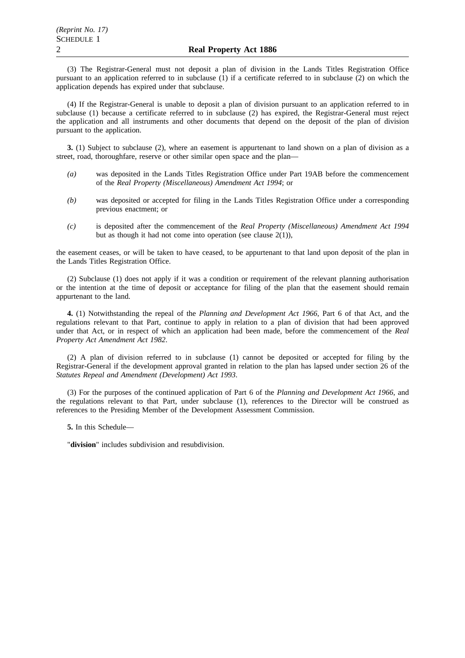(3) The Registrar-General must not deposit a plan of division in the Lands Titles Registration Office pursuant to an application referred to in subclause (1) if a certificate referred to in subclause (2) on which the application depends has expired under that subclause.

(4) If the Registrar-General is unable to deposit a plan of division pursuant to an application referred to in subclause (1) because a certificate referred to in subclause (2) has expired, the Registrar-General must reject the application and all instruments and other documents that depend on the deposit of the plan of division pursuant to the application.

**3.** (1) Subject to subclause (2), where an easement is appurtenant to land shown on a plan of division as a street, road, thoroughfare, reserve or other similar open space and the plan—

- *(a)* was deposited in the Lands Titles Registration Office under Part 19AB before the commencement of the *Real Property (Miscellaneous) Amendment Act 1994*; or
- *(b)* was deposited or accepted for filing in the Lands Titles Registration Office under a corresponding previous enactment; or
- *(c)* is deposited after the commencement of the *Real Property (Miscellaneous) Amendment Act 1994* but as though it had not come into operation (see clause 2(1)),

the easement ceases, or will be taken to have ceased, to be appurtenant to that land upon deposit of the plan in the Lands Titles Registration Office.

(2) Subclause (1) does not apply if it was a condition or requirement of the relevant planning authorisation or the intention at the time of deposit or acceptance for filing of the plan that the easement should remain appurtenant to the land.

**4.** (1) Notwithstanding the repeal of the *Planning and Development Act 1966*, Part 6 of that Act, and the regulations relevant to that Part, continue to apply in relation to a plan of division that had been approved under that Act, or in respect of which an application had been made, before the commencement of the *Real Property Act Amendment Act 1982*.

(2) A plan of division referred to in subclause (1) cannot be deposited or accepted for filing by the Registrar-General if the development approval granted in relation to the plan has lapsed under section 26 of the *Statutes Repeal and Amendment (Development) Act 1993*.

(3) For the purposes of the continued application of Part 6 of the *Planning and Development Act 1966*, and the regulations relevant to that Part, under subclause (1), references to the Director will be construed as references to the Presiding Member of the Development Assessment Commission.

**5.** In this Schedule—

"**division**" includes subdivision and resubdivision.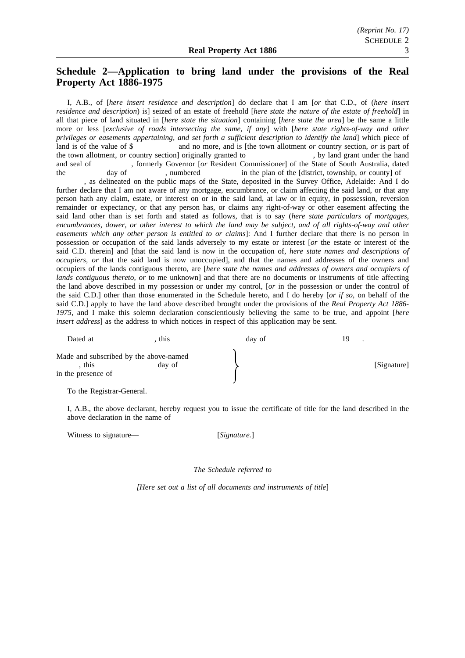# **Schedule 2—Application to bring land under the provisions of the Real Property Act 1886-1975**

I, A.B., of [*here insert residence and description*] do declare that I am [*or* that C.D., of (*here insert residence and description*) is] seized of an estate of freehold [*here state the nature of the estate of freehold*] in all that piece of land situated in [*here state the situation*] containing [*here state the area*] be the same a little more or less [*exclusive of roads intersecting the same, if any*] with [*here state rights-of-way and other privileges or easements appertaining, and set forth a sufficient description to identify the land*] which piece of land is of the value of \$ and no more, and is [the town allotment *or* country section, *or* is part of the town allotment, *or* country section] originally granted to , by land grant under the hand and seal of , formerly Governor [*or* Resident Commissioner] of the State of South Australia, dated the day of , numbered in the plan of the [district, township, *or* county] of

, as delineated on the public maps of the State, deposited in the Survey Office, Adelaide: And I do further declare that I am not aware of any mortgage, encumbrance, or claim affecting the said land, or that any person hath any claim, estate, or interest on or in the said land, at law or in equity, in possession, reversion remainder or expectancy, or that any person has, or claims any right-of-way or other easement affecting the said land other than is set forth and stated as follows, that is to say (*here state particulars of mortgages, encumbrances, dower, or other interest to which the land may be subject, and of all rights-of-way and other easements which any other person is entitled to or claims*]: And I further declare that there is no person in possession or occupation of the said lands adversely to my estate or interest [*or* the estate or interest of the said C.D. therein] and [that the said land is now in the occupation of, *here state names and descriptions of occupiers, or* that the said land is now unoccupied], and that the names and addresses of the owners and occupiers of the lands contiguous thereto, are [*here state the names and addresses of owners and occupiers of lands contiguous thereto, or* to me unknown] and that there are no documents or instruments of title affecting the land above described in my possession or under my control, [*or* in the possession or under the control of the said C.D.] other than those enumerated in the Schedule hereto, and I do hereby [*or if so*, on behalf of the said C.D.] apply to have the land above described brought under the provisions of the *Real Property Act 1886- 1975*, and I make this solemn declaration conscientiously believing the same to be true, and appoint [*here insert address*] as the address to which notices in respect of this application may be sent.

| Dated at                                                             | this   | day of |             |
|----------------------------------------------------------------------|--------|--------|-------------|
| Made and subscribed by the above-named<br>this<br>in the presence of | day of |        | [Signature] |

To the Registrar-General.

I, A.B., the above declarant, hereby request you to issue the certificate of title for the land described in the above declaration in the name of

Witness to signature— [*Signature.*]

*The Schedule referred to*

*[Here set out a list of all documents and instruments of title*]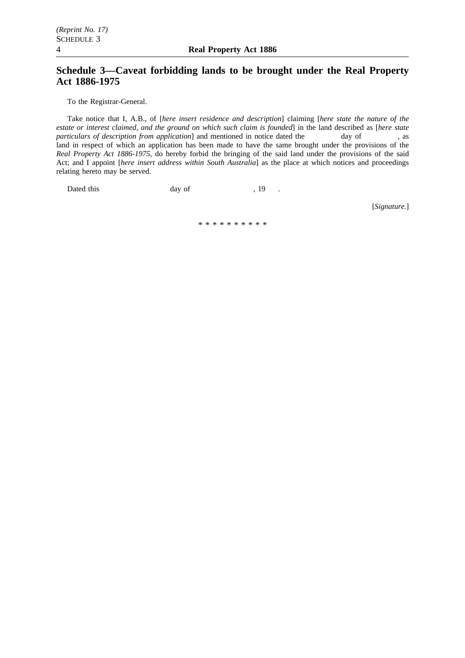## **Schedule 3—Caveat forbidding lands to be brought under the Real Property Act 1886-1975**

To the Registrar-General.

Take notice that I, A.B., of [*here insert residence and description*] claiming [*here state the nature of the estate or interest claimed, and the ground on which such claim is founded*] in the land described as [*here state particulars of description from application*] and mentioned in notice dated the day of , as land in respect of which an application has been made to have the same brought under the provisions of the *Real Property Act 1886-1975*, do hereby forbid the bringing of the said land under the provisions of the said Act; and I appoint [*here insert address within South Australia*] as the place at which notices and proceedings relating hereto may be served.

| Dated this | day of | . 19<br>$\cdot$     |              |
|------------|--------|---------------------|--------------|
|            |        |                     | [Signature.] |
|            |        | * * * * * * * * * * |              |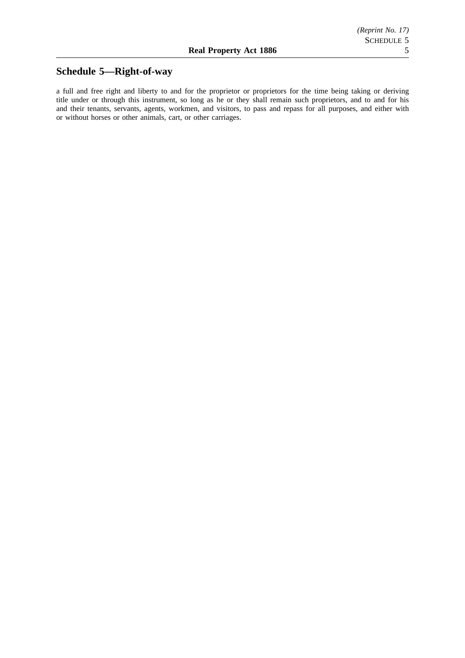# **Schedule 5—Right-of-way**

a full and free right and liberty to and for the proprietor or proprietors for the time being taking or deriving title under or through this instrument, so long as he or they shall remain such proprietors, and to and for his and their tenants, servants, agents, workmen, and visitors, to pass and repass for all purposes, and either with or without horses or other animals, cart, or other carriages.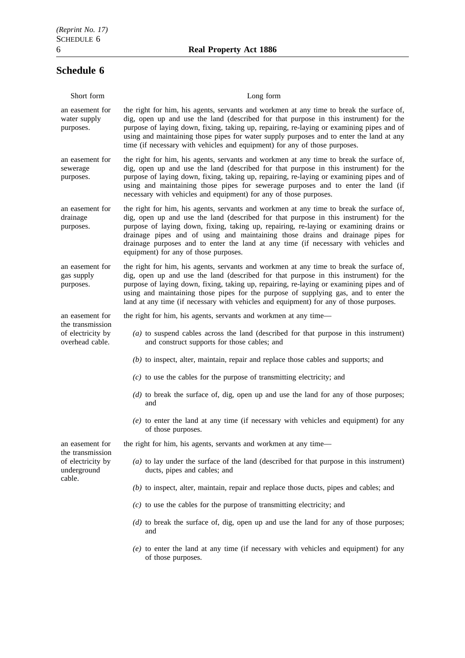# **Schedule 6**

| Short form                                                                        | Long form                                                                                                                                                                                                                                                                                                                                                                                                                                                                                      |
|-----------------------------------------------------------------------------------|------------------------------------------------------------------------------------------------------------------------------------------------------------------------------------------------------------------------------------------------------------------------------------------------------------------------------------------------------------------------------------------------------------------------------------------------------------------------------------------------|
| an easement for<br>water supply<br>purposes.                                      | the right for him, his agents, servants and workmen at any time to break the surface of,<br>dig, open up and use the land (described for that purpose in this instrument) for the<br>purpose of laying down, fixing, taking up, repairing, re-laying or examining pipes and of<br>using and maintaining those pipes for water supply purposes and to enter the land at any<br>time (if necessary with vehicles and equipment) for any of those purposes.                                       |
| an easement for<br>sewerage<br>purposes.                                          | the right for him, his agents, servants and workmen at any time to break the surface of,<br>dig, open up and use the land (described for that purpose in this instrument) for the<br>purpose of laying down, fixing, taking up, repairing, re-laying or examining pipes and of<br>using and maintaining those pipes for sewerage purposes and to enter the land (if<br>necessary with vehicles and equipment) for any of those purposes.                                                       |
| an easement for<br>drainage<br>purposes.                                          | the right for him, his agents, servants and workmen at any time to break the surface of,<br>dig, open up and use the land (described for that purpose in this instrument) for the<br>purpose of laying down, fixing, taking up, repairing, re-laying or examining drains or<br>drainage pipes and of using and maintaining those drains and drainage pipes for<br>drainage purposes and to enter the land at any time (if necessary with vehicles and<br>equipment) for any of those purposes. |
| an easement for<br>gas supply<br>purposes.                                        | the right for him, his agents, servants and workmen at any time to break the surface of,<br>dig, open up and use the land (described for that purpose in this instrument) for the<br>purpose of laying down, fixing, taking up, repairing, re-laying or examining pipes and of<br>using and maintaining those pipes for the purpose of supplying gas, and to enter the<br>land at any time (if necessary with vehicles and equipment) for any of those purposes.                               |
| an easement for                                                                   | the right for him, his agents, servants and workmen at any time—                                                                                                                                                                                                                                                                                                                                                                                                                               |
| the transmission<br>of electricity by<br>overhead cable.                          | $(a)$ to suspend cables across the land (described for that purpose in this instrument)<br>and construct supports for those cables; and                                                                                                                                                                                                                                                                                                                                                        |
|                                                                                   | $(b)$ to inspect, alter, maintain, repair and replace those cables and supports; and                                                                                                                                                                                                                                                                                                                                                                                                           |
|                                                                                   | $(c)$ to use the cables for the purpose of transmitting electricity; and                                                                                                                                                                                                                                                                                                                                                                                                                       |
|                                                                                   | $(d)$ to break the surface of, dig, open up and use the land for any of those purposes;<br>and                                                                                                                                                                                                                                                                                                                                                                                                 |
|                                                                                   | $(e)$ to enter the land at any time (if necessary with vehicles and equipment) for any<br>of those purposes.                                                                                                                                                                                                                                                                                                                                                                                   |
| an easement for<br>the transmission<br>of electricity by<br>underground<br>cable. | the right for him, his agents, servants and workmen at any time-                                                                                                                                                                                                                                                                                                                                                                                                                               |
|                                                                                   | $(a)$ to lay under the surface of the land (described for that purpose in this instrument)<br>ducts, pipes and cables; and                                                                                                                                                                                                                                                                                                                                                                     |
|                                                                                   | $(b)$ to inspect, alter, maintain, repair and replace those ducts, pipes and cables; and                                                                                                                                                                                                                                                                                                                                                                                                       |
|                                                                                   | $(c)$ to use the cables for the purpose of transmitting electricity; and                                                                                                                                                                                                                                                                                                                                                                                                                       |
|                                                                                   | $(d)$ to break the surface of, dig, open up and use the land for any of those purposes;<br>and                                                                                                                                                                                                                                                                                                                                                                                                 |
|                                                                                   | $(e)$ to enter the land at any time (if necessary with vehicles and equipment) for any<br>of those purposes.                                                                                                                                                                                                                                                                                                                                                                                   |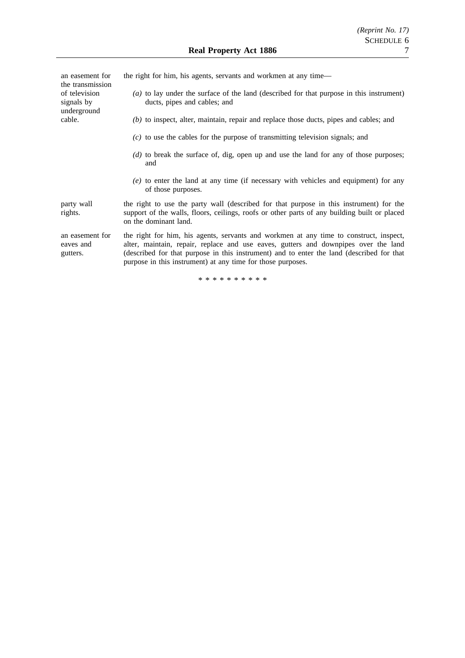| an easement for<br>the transmission                  | the right for him, his agents, servants and workmen at any time—                                                                                                                                                                                                                                                                          |
|------------------------------------------------------|-------------------------------------------------------------------------------------------------------------------------------------------------------------------------------------------------------------------------------------------------------------------------------------------------------------------------------------------|
| of television<br>signals by<br>underground<br>cable. | (a) to lay under the surface of the land (described for that purpose in this instrument)<br>ducts, pipes and cables; and                                                                                                                                                                                                                  |
|                                                      | $(b)$ to inspect, alter, maintain, repair and replace those ducts, pipes and cables; and                                                                                                                                                                                                                                                  |
|                                                      | $(c)$ to use the cables for the purpose of transmitting television signals; and                                                                                                                                                                                                                                                           |
|                                                      | (d) to break the surface of, dig, open up and use the land for any of those purposes;<br>and                                                                                                                                                                                                                                              |
|                                                      | $(e)$ to enter the land at any time (if necessary with vehicles and equipment) for any<br>of those purposes.                                                                                                                                                                                                                              |
| party wall<br>rights.                                | the right to use the party wall (described for that purpose in this instrument) for the<br>support of the walls, floors, ceilings, roofs or other parts of any building built or placed<br>on the dominant land.                                                                                                                          |
| an easement for<br>eaves and<br>gutters.             | the right for him, his agents, servants and workmen at any time to construct, inspect,<br>alter, maintain, repair, replace and use eaves, gutters and downpipes over the land<br>(described for that purpose in this instrument) and to enter the land (described for that<br>purpose in this instrument) at any time for those purposes. |

\*\*\*\*\*\*\*\*\*\*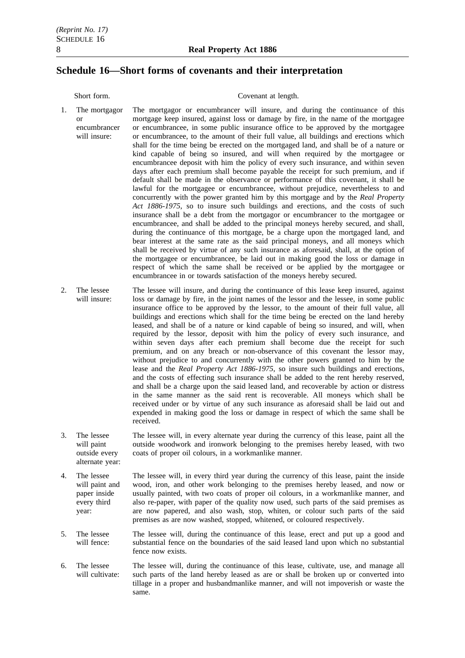## **Schedule 16—Short forms of covenants and their interpretation**

or

### Short form. Covenant at length.

- 1. The mortgagor encumbrancer will insure: The mortgagor or encumbrancer will insure, and during the continuance of this mortgage keep insured, against loss or damage by fire, in the name of the mortgagee or encumbrancee, in some public insurance office to be approved by the mortgagee or encumbrancee, to the amount of their full value, all buildings and erections which shall for the time being be erected on the mortgaged land, and shall be of a nature or kind capable of being so insured, and will when required by the mortgagee or encumbrancee deposit with him the policy of every such insurance, and within seven days after each premium shall become payable the receipt for such premium, and if default shall be made in the observance or performance of this covenant, it shall be lawful for the mortgagee or encumbrancee, without prejudice, nevertheless to and concurrently with the power granted him by this mortgage and by the *Real Property Act 1886-1975*, so to insure such buildings and erections, and the costs of such insurance shall be a debt from the mortgagor or encumbrancer to the mortgagee or encumbrancee, and shall be added to the principal moneys hereby secured, and shall, during the continuance of this mortgage, be a charge upon the mortgaged land, and bear interest at the same rate as the said principal moneys, and all moneys which shall be received by virtue of any such insurance as aforesaid, shall, at the option of the mortgagee or encumbrancee, be laid out in making good the loss or damage in respect of which the same shall be received or be applied by the mortgagee or encumbrancee in or towards satisfaction of the moneys hereby secured.
- 2. The lessee will insure: The lessee will insure, and during the continuance of this lease keep insured, against loss or damage by fire, in the joint names of the lessor and the lessee, in some public insurance office to be approved by the lessor, to the amount of their full value, all buildings and erections which shall for the time being be erected on the land hereby leased, and shall be of a nature or kind capable of being so insured, and will, when required by the lessor, deposit with him the policy of every such insurance, and within seven days after each premium shall become due the receipt for such premium, and on any breach or non-observance of this covenant the lessor may, without prejudice to and concurrently with the other powers granted to him by the lease and the *Real Property Act 1886-1975*, so insure such buildings and erections, and the costs of effecting such insurance shall be added to the rent hereby reserved, and shall be a charge upon the said leased land, and recoverable by action or distress in the same manner as the said rent is recoverable. All moneys which shall be received under or by virtue of any such insurance as aforesaid shall be laid out and expended in making good the loss or damage in respect of which the same shall be received.
- 3. The lessee will paint outside every alternate year: The lessee will, in every alternate year during the currency of this lease, paint all the outside woodwork and ironwork belonging to the premises hereby leased, with two coats of proper oil colours, in a workmanlike manner.
- 4. The lessee will paint and paper inside every third year: The lessee will, in every third year during the currency of this lease, paint the inside wood, iron, and other work belonging to the premises hereby leased, and now or usually painted, with two coats of proper oil colours, in a workmanlike manner, and also re-paper, with paper of the quality now used, such parts of the said premises as are now papered, and also wash, stop, whiten, or colour such parts of the said premises as are now washed, stopped, whitened, or coloured respectively.
- 5. The lessee will fence: The lessee will, during the continuance of this lease, erect and put up a good and substantial fence on the boundaries of the said leased land upon which no substantial fence now exists.
- 6. The lessee will cultivate: The lessee will, during the continuance of this lease, cultivate, use, and manage all such parts of the land hereby leased as are or shall be broken up or converted into tillage in a proper and husbandmanlike manner, and will not impoverish or waste the same.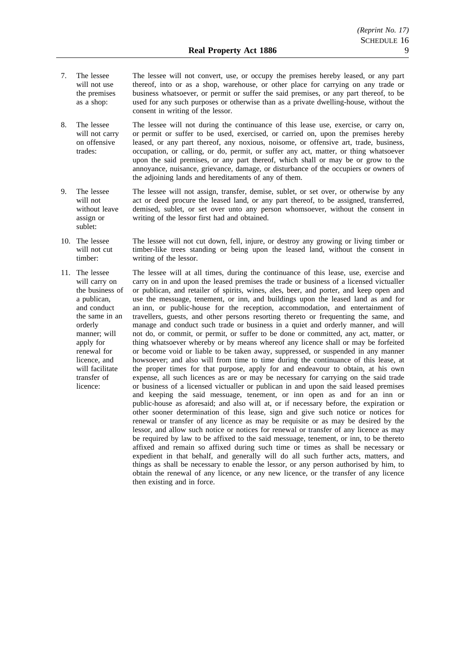- 7. The lessee will not use the premises as a shop: The lessee will not convert, use, or occupy the premises hereby leased, or any part thereof, into or as a shop, warehouse, or other place for carrying on any trade or business whatsoever, or permit or suffer the said premises, or any part thereof, to be used for any such purposes or otherwise than as a private dwelling-house, without the consent in writing of the lessor.
- 8. The lessee will not carry on offensive trades: The lessee will not during the continuance of this lease use, exercise, or carry on, or permit or suffer to be used, exercised, or carried on, upon the premises hereby leased, or any part thereof, any noxious, noisome, or offensive art, trade, business, occupation, or calling, or do, permit, or suffer any act, matter, or thing whatsoever upon the said premises, or any part thereof, which shall or may be or grow to the annoyance, nuisance, grievance, damage, or disturbance of the occupiers or owners of the adjoining lands and hereditaments of any of them.
- 9. The lessee will not without leave assign or sublet: The lessee will not assign, transfer, demise, sublet, or set over, or otherwise by any act or deed procure the leased land, or any part thereof, to be assigned, transferred, demised, sublet, or set over unto any person whomsoever, without the consent in writing of the lessor first had and obtained.
- 10. The lessee will not cut timber: The lessee will not cut down, fell, injure, or destroy any growing or living timber or timber-like trees standing or being upon the leased land, without the consent in writing of the lessor.
- 11. The lessee will carry on the business of a publican, and conduct the same in an orderly manner; will apply for renewal for licence, and will facilitate transfer of licence: The lessee will at all times, during the continuance of this lease, use, exercise and carry on in and upon the leased premises the trade or business of a licensed victualler or publican, and retailer of spirits, wines, ales, beer, and porter, and keep open and use the messuage, tenement, or inn, and buildings upon the leased land as and for an inn, or public-house for the reception, accommodation, and entertainment of travellers, guests, and other persons resorting thereto or frequenting the same, and manage and conduct such trade or business in a quiet and orderly manner, and will not do, or commit, or permit, or suffer to be done or committed, any act, matter, or thing whatsoever whereby or by means whereof any licence shall or may be forfeited or become void or liable to be taken away, suppressed, or suspended in any manner howsoever; and also will from time to time during the continuance of this lease, at the proper times for that purpose, apply for and endeavour to obtain, at his own expense, all such licences as are or may be necessary for carrying on the said trade or business of a licensed victualler or publican in and upon the said leased premises and keeping the said messuage, tenement, or inn open as and for an inn or public-house as aforesaid; and also will at, or if necessary before, the expiration or other sooner determination of this lease, sign and give such notice or notices for renewal or transfer of any licence as may be requisite or as may be desired by the lessor, and allow such notice or notices for renewal or transfer of any licence as may be required by law to be affixed to the said messuage, tenement, or inn, to be thereto affixed and remain so affixed during such time or times as shall be necessary or expedient in that behalf, and generally will do all such further acts, matters, and things as shall be necessary to enable the lessor, or any person authorised by him, to obtain the renewal of any licence, or any new licence, or the transfer of any licence then existing and in force.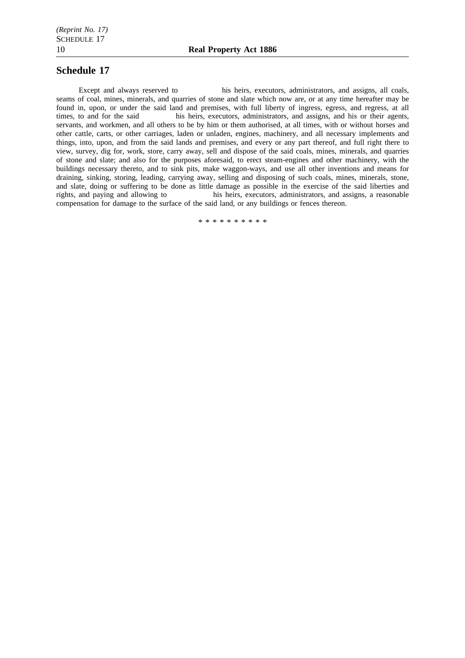### **Schedule 17**

Except and always reserved to his heirs, executors, administrators, and assigns, all coals, seams of coal, mines, minerals, and quarries of stone and slate which now are, or at any time hereafter may be found in, upon, or under the said land and premises, with full liberty of ingress, egress, and regress, at all times, to and for the said his heirs, executors, administrators, and assigns, and his or their agents, servants, and workmen, and all others to be by him or them authorised, at all times, with or without horses and other cattle, carts, or other carriages, laden or unladen, engines, machinery, and all necessary implements and things, into, upon, and from the said lands and premises, and every or any part thereof, and full right there to view, survey, dig for, work, store, carry away, sell and dispose of the said coals, mines, minerals, and quarries of stone and slate; and also for the purposes aforesaid, to erect steam-engines and other machinery, with the buildings necessary thereto, and to sink pits, make waggon-ways, and use all other inventions and means for draining, sinking, storing, leading, carrying away, selling and disposing of such coals, mines, minerals, stone, and slate, doing or suffering to be done as little damage as possible in the exercise of the said liberties and rights, and paying and allowing to his heirs, executors, administrators, and assigns, a reasonable compensation for damage to the surface of the said land, or any buildings or fences thereon.

\*\*\*\*\*\*\*\*\*\*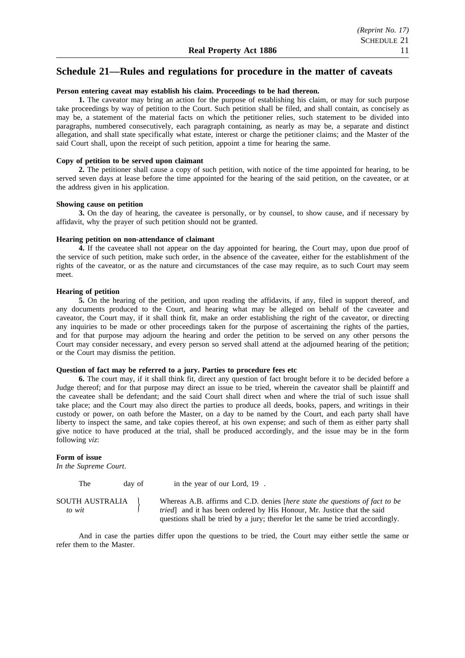### **Schedule 21—Rules and regulations for procedure in the matter of caveats**

### **Person entering caveat may establish his claim. Proceedings to be had thereon.**

**1.** The caveator may bring an action for the purpose of establishing his claim, or may for such purpose take proceedings by way of petition to the Court. Such petition shall be filed, and shall contain, as concisely as may be, a statement of the material facts on which the petitioner relies, such statement to be divided into paragraphs, numbered consecutively, each paragraph containing, as nearly as may be, a separate and distinct allegation, and shall state specifically what estate, interest or charge the petitioner claims; and the Master of the said Court shall, upon the receipt of such petition, appoint a time for hearing the same.

### **Copy of petition to be served upon claimant**

**2.** The petitioner shall cause a copy of such petition, with notice of the time appointed for hearing, to be served seven days at lease before the time appointed for the hearing of the said petition, on the caveatee, or at the address given in his application.

#### **Showing cause on petition**

**3.** On the day of hearing, the caveatee is personally, or by counsel, to show cause, and if necessary by affidavit, why the prayer of such petition should not be granted.

#### **Hearing petition on non-attendance of claimant**

**4.** If the caveatee shall not appear on the day appointed for hearing, the Court may, upon due proof of the service of such petition, make such order, in the absence of the caveatee, either for the establishment of the rights of the caveator, or as the nature and circumstances of the case may require, as to such Court may seem meet.

#### **Hearing of petition**

**5.** On the hearing of the petition, and upon reading the affidavits, if any, filed in support thereof, and any documents produced to the Court, and hearing what may be alleged on behalf of the caveatee and caveator, the Court may, if it shall think fit, make an order establishing the right of the caveator, or directing any inquiries to be made or other proceedings taken for the purpose of ascertaining the rights of the parties, and for that purpose may adjourn the hearing and order the petition to be served on any other persons the Court may consider necessary, and every person so served shall attend at the adjourned hearing of the petition; or the Court may dismiss the petition.

#### **Question of fact may be referred to a jury. Parties to procedure fees etc**

**6.** The court may, if it shall think fit, direct any question of fact brought before it to be decided before a Judge thereof; and for that purpose may direct an issue to be tried, wherein the caveator shall be plaintiff and the caveatee shall be defendant; and the said Court shall direct when and where the trial of such issue shall take place; and the Court may also direct the parties to produce all deeds, books, papers, and writings in their custody or power, on oath before the Master, on a day to be named by the Court, and each party shall have liberty to inspect the same, and take copies thereof, at his own expense; and such of them as either party shall give notice to have produced at the trial, shall be produced accordingly, and the issue may be in the form following *viz*:

#### **Form of issue**

*In the Supreme Court*.

The day of in the year of our Lord, 19. SOUTH AUSTRALIA Whereas A.B. affirms and C.D. denies [*here state the questions of fact to be to wit* fried and it has been ordered by His Honour, Mr. Justice that the said questions shall be tried by a jury; therefor let the same be tried accordingly.

And in case the parties differ upon the questions to be tried, the Court may either settle the same or refer them to the Master.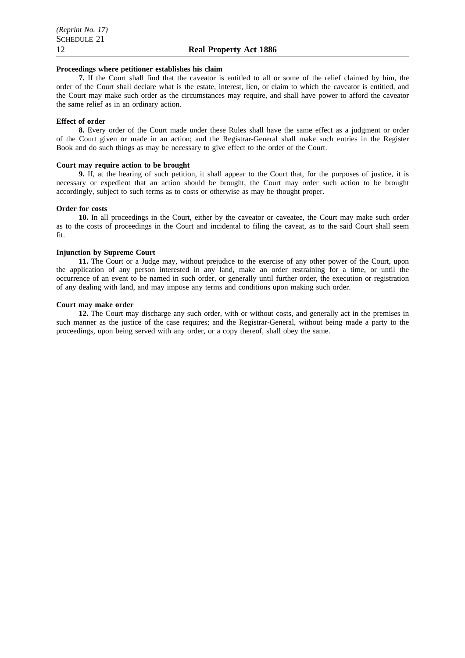### **Proceedings where petitioner establishes his claim**

**7.** If the Court shall find that the caveator is entitled to all or some of the relief claimed by him, the order of the Court shall declare what is the estate, interest, lien, or claim to which the caveator is entitled, and the Court may make such order as the circumstances may require, and shall have power to afford the caveator the same relief as in an ordinary action.

### **Effect of order**

**8.** Every order of the Court made under these Rules shall have the same effect as a judgment or order of the Court given or made in an action; and the Registrar-General shall make such entries in the Register Book and do such things as may be necessary to give effect to the order of the Court.

### **Court may require action to be brought**

**9.** If, at the hearing of such petition, it shall appear to the Court that, for the purposes of justice, it is necessary or expedient that an action should be brought, the Court may order such action to be brought accordingly, subject to such terms as to costs or otherwise as may be thought proper.

#### **Order for costs**

**10.** In all proceedings in the Court, either by the caveator or caveatee, the Court may make such order as to the costs of proceedings in the Court and incidental to filing the caveat, as to the said Court shall seem fit.

### **Injunction by Supreme Court**

**11.** The Court or a Judge may, without prejudice to the exercise of any other power of the Court, upon the application of any person interested in any land, make an order restraining for a time, or until the occurrence of an event to be named in such order, or generally until further order, the execution or registration of any dealing with land, and may impose any terms and conditions upon making such order.

#### **Court may make order**

**12.** The Court may discharge any such order, with or without costs, and generally act in the premises in such manner as the justice of the case requires; and the Registrar-General, without being made a party to the proceedings, upon being served with any order, or a copy thereof, shall obey the same.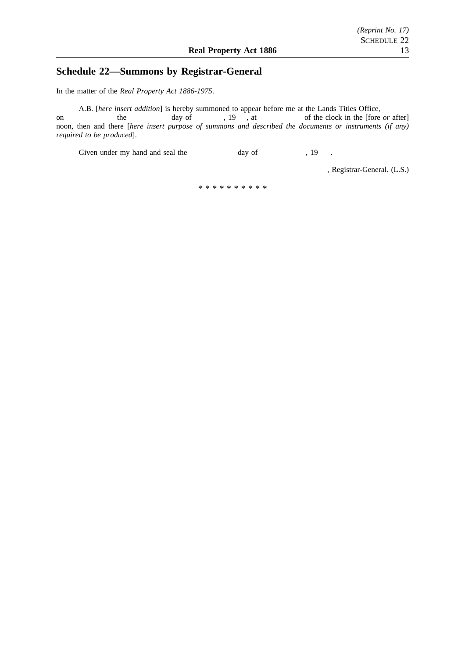# **Schedule 22—Summons by Registrar-General**

In the matter of the *Real Property Act 1886-1975*.

A.B. [*here insert addition*] is hereby summoned to appear before me at the Lands Titles Office, on the day of , 19 , at of the clock in the [fore *or* after] noon, then and there [*here insert purpose of summons and described the documents or instruments (if any) required to be produced*].

Given under my hand and seal the day of the day of the state  $\frac{19}{19}$ .

, Registrar-General. (L.S.)

\*\*\*\*\*\*\*\*\*\*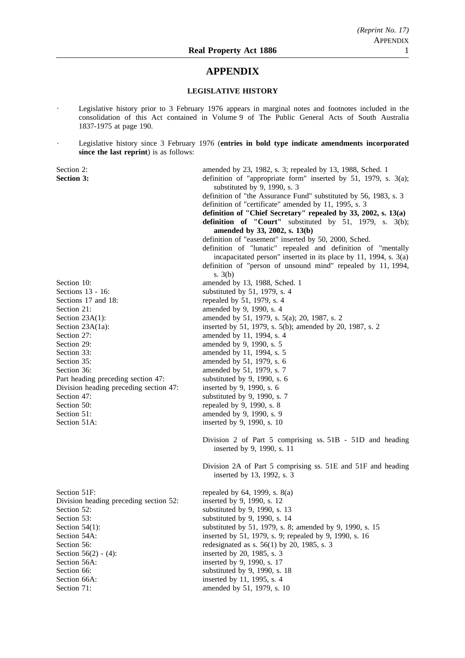### **APPENDIX**

### **LEGISLATIVE HISTORY**

- $\ddot{\phantom{0}}$ Legislative history prior to 3 February 1976 appears in marginal notes and footnotes included in the consolidation of this Act contained in Volume 9 of The Public General Acts of South Australia 1837-1975 at page 190.
- Legislative history since 3 February 1976 (**entries in bold type indicate amendments incorporated**  $\ddot{\phantom{a}}$ **since the last reprint**) is as follows:

| Section 2:<br><b>Section 3:</b>                                                                                                                                                                                                                                                                                                          | amended by 23, 1982, s. 3; repealed by 13, 1988, Sched. 1<br>definition of "appropriate form" inserted by 51, 1979, s. $3(a)$ ;<br>substituted by 9, 1990, s. 3<br>definition of "the Assurance Fund" substituted by 56, 1983, s. 3<br>definition of "certificate" amended by 11, 1995, s. 3<br>definition of "Chief Secretary" repealed by 33, 2002, s. 13(a)<br><b>definition</b> of "Court" substituted by $51$ , 1979, s. $3(b)$ ;<br>amended by 33, 2002, s. 13(b)<br>definition of "easement" inserted by 50, 2000, Sched.<br>definition of "lunatic" repealed and definition of "mentally<br>incapacitated person" inserted in its place by 11, 1994, s. $3(a)$<br>definition of "person of unsound mind" repealed by 11, 1994, |
|------------------------------------------------------------------------------------------------------------------------------------------------------------------------------------------------------------------------------------------------------------------------------------------------------------------------------------------|----------------------------------------------------------------------------------------------------------------------------------------------------------------------------------------------------------------------------------------------------------------------------------------------------------------------------------------------------------------------------------------------------------------------------------------------------------------------------------------------------------------------------------------------------------------------------------------------------------------------------------------------------------------------------------------------------------------------------------------|
| Section 10:<br>Sections 13 - 16:<br>Sections 17 and 18:<br>Section 21:<br>Section $23A(1)$ :<br>Section 23A(1a):<br>Section 27:<br>Section 29:<br>Section 33:<br>Section 35:<br>Section 36:<br>Part heading preceding section 47:<br>Division heading preceding section 47:<br>Section 47:<br>Section 50:<br>Section 51:<br>Section 51A: | s. $3(b)$<br>amended by 13, 1988, Sched. 1<br>substituted by 51, 1979, s. 4<br>repealed by 51, 1979, s. 4<br>amended by 9, 1990, s. 4<br>amended by 51, 1979, s. 5(a); 20, 1987, s. 2<br>inserted by 51, 1979, s. 5(b); amended by 20, 1987, s. 2<br>amended by 11, 1994, s. 4<br>amended by 9, 1990, s. 5<br>amended by 11, 1994, s. 5<br>amended by 51, 1979, s. 6<br>amended by 51, 1979, s. 7<br>substituted by 9, 1990, s. 6<br>inserted by $9$ , 1990, s. 6<br>substituted by 9, 1990, s. 7<br>repealed by 9, 1990, s. 8<br>amended by 9, 1990, s. 9<br>inserted by 9, 1990, s. 10                                                                                                                                               |
| Section 51F:<br>Division heading preceding section 52:<br>Section 52:<br>Section 53:<br>Section $54(1)$ :<br>Section 54A:<br>Section 56:<br>Section $56(2) - (4)$ :<br>Section 56A:<br>Section 66:<br>Section 66A:                                                                                                                       | Division 2 of Part 5 comprising ss. 51B - 51D and heading<br>inserted by 9, 1990, s. 11<br>Division 2A of Part 5 comprising ss. 51E and 51F and heading<br>inserted by 13, 1992, s. 3<br>repealed by $64$ , 1999, s. $8(a)$<br>inserted by 9, 1990, s. 12<br>substituted by 9, 1990, s. 13<br>substituted by 9, 1990, s. 14<br>substituted by 51, 1979, s. 8; amended by 9, 1990, s. 15<br>inserted by 51, 1979, s. 9; repealed by 9, 1990, s. 16<br>redesignated as s. $56(1)$ by 20, 1985, s. 3<br>inserted by 20, 1985, s. 3<br>inserted by 9, 1990, s. 17<br>substituted by 9, 1990, s. 18<br>inserted by 11, 1995, s. 4                                                                                                           |
| Section 71:                                                                                                                                                                                                                                                                                                                              | amended by 51, 1979, s. 10                                                                                                                                                                                                                                                                                                                                                                                                                                                                                                                                                                                                                                                                                                             |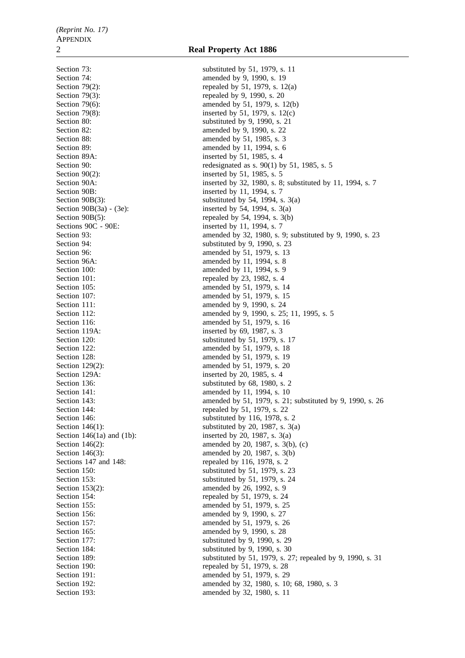Section 90B: inserted by 11, 1994, s. 7

Section 73: substituted by 51, 1979, s. 11 Section 74: **amended** by 9, 1990, s. 19 Section 79(2): repealed by 51, 1979, s.  $12(a)$ Section 79(3): repealed by 9, 1990, s. 20 Section 79(6): amended by 51, 1979, s. 12(b) Section 79(8): inserted by 51, 1979, s. 12(c) Section 80: substituted by 9, 1990, s. 21 Section 82: amended by 9, 1990, s. 22 Section 88: amended by 51, 1985, s. 3 Section 89: **amended** by 11, 1994, s. 6 Section 89A: inserted by 51, 1985, s. 4 Section 90: redesignated as s. 90(1) by 51, 1985, s. 5 Section 90(2): inserted by 51, 1985, s. 5 Section 90A: inserted by 32, 1980, s. 8; substituted by 11, 1994, s. 7 Section 90B(3): substituted by 54, 1994, s. 3(a) Section 90B(3a) - (3e): inserted by 54, 1994, s. 3(a) Section  $90B(5)$ : repealed by 54, 1994, s. 3(b) Sections 90C - 90E: inserted by 11, 1994, s. 7 Section 93: **amended** by 32, 1980, s. 9; substituted by 9, 1990, s. 23 Section 94: substituted by 9, 1990, s. 23 Section 96: **amended** by 51, 1979, s. 13 Section 96A: amended by 11, 1994, s. 8 Section 100: amended by 11, 1994, s. 9 Section 101: repealed by 23, 1982, s. 4 Section 105: **amended** by 51, 1979, s. 14 Section 107: **amended** by 51, 1979, s. 15 Section 111: **amended** by 9, 1990, s. 24 Section 112: **amended** by 9, 1990, s. 25; 11, 1995, s. 5 Section 116: **amended** by 51, 1979, s. 16 Section 119A: inserted by 69, 1987, s. 3 Section 120: substituted by 51, 1979, s. 17 Section 122: **amended** by 51, 1979, s. 18 Section 128: **amended** by 51, 1979, s. 19 Section 129(2): amended by 51, 1979, s. 20 Section 129A: inserted by 20, 1985, s. 4 Section 136: substituted by 68, 1980, s. 2 Section 141: **amended** by 11, 1994, s. 10 Section 143: **amended** by 51, 1979, s. 21; substituted by 9, 1990, s. 26 Section 144: repealed by 51, 1979, s. 22 Section 146: substituted by 116, 1978, s. 2 Section 146(1): substituted by 20, 1987, s.  $3(a)$ Section 146(1a) and (1b): inserted by 20, 1987, s.  $3(a)$ Section 146(2): amended by 20, 1987, s. 3(b), (c) Section 146(3): amended by 20, 1987, s. 3(b) Sections 147 and 148: repealed by 116, 1978, s. 2 Section 150: substituted by 51, 1979, s. 23 Section 153: substituted by 51, 1979, s. 24 Section 153(2): amended by 26, 1992, s. 9 Section 154: repealed by 51, 1979, s. 24 Section 155: **amended** by 51, 1979, s. 25 Section 156: **amended** by 9, 1990, s. 27 Section 157: **amended** by 51, 1979, s. 26 Section 165: **amended** by 9, 1990, s. 28 Section 177: substituted by 9, 1990, s. 29 Section 184: substituted by 9, 1990, s. 30 Section 189: substituted by 51, 1979, s. 27; repealed by 9, 1990, s. 31 Section 190: repealed by 51, 1979, s. 28 Section 191: **amended** by 51, 1979, s. 29 Section 192: **amended by 32, 1980, s. 10; 68, 1980, s. 3** Section 193: **amended** by 32, 1980, s. 11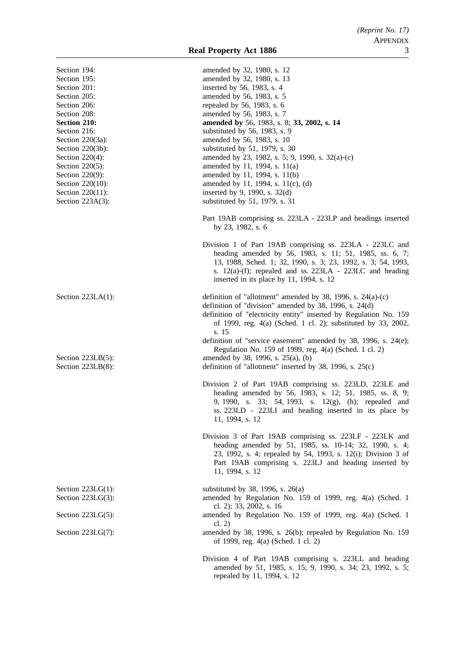| Section 194:<br>Section 195:<br>Section 201:<br>Section 205:<br>Section 206:<br>Section 208:<br>Section 210:<br>Section 216:<br>Section $220(3a)$ :<br>Section $220(3b)$ :<br>Section 220(4):<br>Section 220(5):<br>Section 220(9):<br>Section 220(10):<br>Section 220(11):<br>Section $223A(3)$ : | amended by 32, 1980, s. 12<br>amended by 32, 1980, s. 13<br>inserted by 56, 1983, s. 4<br>amended by 56, 1983, s. 5<br>repealed by 56, 1983, s. 6<br>amended by 56, 1983, s. 7<br>amended by 56, 1983, s. 8; 33, 2002, s. 14<br>substituted by 56, 1983, s. 9<br>amended by 56, 1983, s. 10<br>substituted by 51, 1979, s. 30<br>amended by 23, 1982, s. 5; 9, 1990, s. 32(a)-(c)<br>amended by 11, 1994, s. $11(a)$<br>amended by 11, 1994, s. 11(b)<br>amended by 11, 1994, s. 11(c), (d)<br>inserted by 9, 1990, s. $32(d)$<br>substituted by 51, 1979, s. 31<br>Part 19AB comprising ss. 223LA - 223LP and headings inserted<br>by 23, 1982, s. 6<br>Division 1 of Part 19AB comprising ss. 223LA - 223LC and<br>heading amended by 56, 1983, s. 11; 51, 1985, ss. 6, 7;<br>13, 1988, Sched. 1; 32, 1990, s. 3; 23, 1992, s. 3; 54, 1993,<br>s. $12(a)-(f)$ ; repealed and ss. $223LA - 223LC$ and heading<br>inserted in its place by 11, 1994, s. 12 |
|----------------------------------------------------------------------------------------------------------------------------------------------------------------------------------------------------------------------------------------------------------------------------------------------------|------------------------------------------------------------------------------------------------------------------------------------------------------------------------------------------------------------------------------------------------------------------------------------------------------------------------------------------------------------------------------------------------------------------------------------------------------------------------------------------------------------------------------------------------------------------------------------------------------------------------------------------------------------------------------------------------------------------------------------------------------------------------------------------------------------------------------------------------------------------------------------------------------------------------------------------------------------|
| Section $223LA(1)$ :<br>Section 223LB(5):<br>Section 223LB(8):                                                                                                                                                                                                                                     | definition of "allotment" amended by 38, 1996, s. 24(a)-(c)<br>definition of "division" amended by 38, 1996, s. 24(d)<br>definition of "electricity entity" inserted by Regulation No. 159<br>of 1999, reg. 4(a) (Sched. 1 cl. 2); substituted by 33, 2002,<br>s. 15<br>definition of "service easement" amended by 38, 1996, s. 24(e);<br>Regulation No. 159 of 1999, reg. 4(a) (Sched. 1 cl. 2)<br>amended by 38, 1996, s. 25(a), (b)<br>definition of "allotment" inserted by 38, 1996, s. 25(c)                                                                                                                                                                                                                                                                                                                                                                                                                                                        |
|                                                                                                                                                                                                                                                                                                    | Division 2 of Part 19AB comprising ss. 223LD, 223LE and<br>heading amended by 56, 1983, s. 12; 51, 1985, ss. 8, 9;<br>9, 1990, s. 33; 54, 1993, s. 12(g), (h); repealed and<br>ss. 223LD - 223LI and heading inserted in its place by<br>11, 1994, s. 12                                                                                                                                                                                                                                                                                                                                                                                                                                                                                                                                                                                                                                                                                                   |
|                                                                                                                                                                                                                                                                                                    | Division 3 of Part 19AB comprising ss. 223LF - 223LK and<br>heading amended by 51, 1985, ss. 10-14; 32, 1990, s. 4;<br>23, 1992, s. 4; repealed by 54, 1993, s. 12(i); Division 3 of<br>Part 19AB comprising s. 223LJ and heading inserted by<br>11, 1994, s. 12                                                                                                                                                                                                                                                                                                                                                                                                                                                                                                                                                                                                                                                                                           |
| Section $223LG(1)$ :<br>Section 223LG(3):                                                                                                                                                                                                                                                          | substituted by 38, 1996, s. $26(a)$<br>amended by Regulation No. 159 of 1999, reg. 4(a) (Sched. 1                                                                                                                                                                                                                                                                                                                                                                                                                                                                                                                                                                                                                                                                                                                                                                                                                                                          |
| Section 223LG(5):                                                                                                                                                                                                                                                                                  | cl. 2); 33, 2002, s. 16<br>amended by Regulation No. 159 of 1999, reg. 4(a) (Sched. 1                                                                                                                                                                                                                                                                                                                                                                                                                                                                                                                                                                                                                                                                                                                                                                                                                                                                      |
| Section 223LG(7):                                                                                                                                                                                                                                                                                  | cl. $2)$<br>amended by 38, 1996, s. 26(b); repealed by Regulation No. 159<br>of 1999, reg. 4(a) (Sched. 1 cl. 2)                                                                                                                                                                                                                                                                                                                                                                                                                                                                                                                                                                                                                                                                                                                                                                                                                                           |

Division 4 of Part 19AB comprising s. 223LL and heading amended by 51, 1985, s. 15; 9, 1990, s. 34; 23, 1992, s. 5; repealed by 11, 1994, s. 12

| Section 194:        |
|---------------------|
| Section 195:        |
| Section 201:        |
| Section 205:        |
| Section 206:        |
| Section 208:        |
| <b>Section 210:</b> |
| Section 216:        |
| Section $220(3a)$ : |
| Section $220(3b)$ : |
| Section 220(4):     |
| Section 220(5):     |
| Section 220(9):     |
| Section 220(10):    |
| Section 220(11):    |
| Section 223A(3):    |